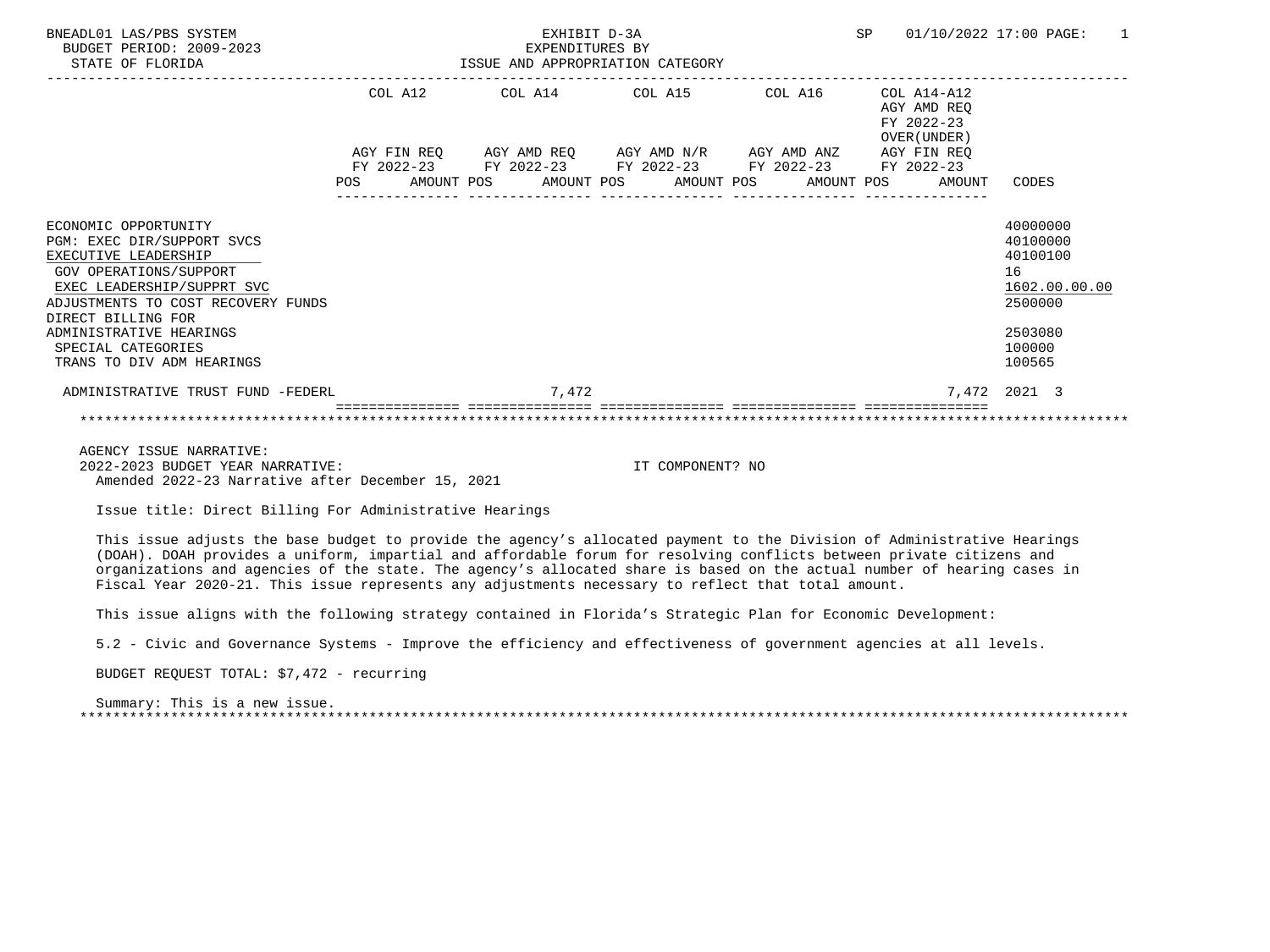| BNEADL01 LAS/PBS SYSTEM<br>BUDGET PERIOD: 2009-2023<br>STATE OF FLORIDA                                                                                                                                                                                                      |  | EXHIBIT D-3A<br>EXPENDITURES BY<br>EXPENDITURES BY<br>ISSUE AND APPROPRIATION CATEGORY |  |  |                                                              | SP 01/10/2022 17:00 PAGE:                                                                         | $\overline{1}$ |
|------------------------------------------------------------------------------------------------------------------------------------------------------------------------------------------------------------------------------------------------------------------------------|--|----------------------------------------------------------------------------------------|--|--|--------------------------------------------------------------|---------------------------------------------------------------------------------------------------|----------------|
|                                                                                                                                                                                                                                                                              |  | COL A12 COL A14 COL A15 COL A16 COL A14-A12                                            |  |  | AGY AMD REO<br>FY 2022-23<br>OVER (UNDER)                    |                                                                                                   |                |
|                                                                                                                                                                                                                                                                              |  | AGY FIN REQ AGY AMD REQ AGY AMD $N/R$ AGY AMD ANZ AGY FIN REQ                          |  |  |                                                              |                                                                                                   |                |
|                                                                                                                                                                                                                                                                              |  | FY 2022-23 FY 2022-23 FY 2022-23 FY 2022-23 FY 2022-23                                 |  |  | POS AMOUNT POS AMOUNT POS AMOUNT POS AMOUNT POS AMOUNT CODES |                                                                                                   |                |
| ECONOMIC OPPORTUNITY<br>PGM: EXEC DIR/SUPPORT SVCS<br>EXECUTIVE LEADERSHIP<br>GOV OPERATIONS/SUPPORT<br>EXEC LEADERSHIP/SUPPRT SVC<br>ADJUSTMENTS TO COST RECOVERY FUNDS<br>DIRECT BILLING FOR<br>ADMINISTRATIVE HEARINGS<br>SPECIAL CATEGORIES<br>TRANS TO DIV ADM HEARINGS |  |                                                                                        |  |  |                                                              | 40000000<br>40100000<br>40100100<br>16<br>1602.00.00.00<br>2500000<br>2503080<br>100000<br>100565 |                |
| ADMINISTRATIVE TRUST FUND -FEDERL                                                                                                                                                                                                                                            |  | 7.472                                                                                  |  |  |                                                              | 7.472 2021 3                                                                                      |                |
|                                                                                                                                                                                                                                                                              |  |                                                                                        |  |  |                                                              |                                                                                                   |                |
| AGENCY ISSUE NARRATIVE:                                                                                                                                                                                                                                                      |  |                                                                                        |  |  |                                                              |                                                                                                   |                |

 2022-2023 BUDGET YEAR NARRATIVE: IT COMPONENT? NO Amended 2022-23 Narrative after December 15, 2021

Issue title: Direct Billing For Administrative Hearings

 This issue adjusts the base budget to provide the agency's allocated payment to the Division of Administrative Hearings (DOAH). DOAH provides a uniform, impartial and affordable forum for resolving conflicts between private citizens and organizations and agencies of the state. The agency's allocated share is based on the actual number of hearing cases in Fiscal Year 2020-21. This issue represents any adjustments necessary to reflect that total amount.

This issue aligns with the following strategy contained in Florida's Strategic Plan for Economic Development:

5.2 - Civic and Governance Systems - Improve the efficiency and effectiveness of government agencies at all levels.

BUDGET REQUEST TOTAL: \$7,472 - recurring

 Summary: This is a new issue. \*\*\*\*\*\*\*\*\*\*\*\*\*\*\*\*\*\*\*\*\*\*\*\*\*\*\*\*\*\*\*\*\*\*\*\*\*\*\*\*\*\*\*\*\*\*\*\*\*\*\*\*\*\*\*\*\*\*\*\*\*\*\*\*\*\*\*\*\*\*\*\*\*\*\*\*\*\*\*\*\*\*\*\*\*\*\*\*\*\*\*\*\*\*\*\*\*\*\*\*\*\*\*\*\*\*\*\*\*\*\*\*\*\*\*\*\*\*\*\*\*\*\*\*\*\*\*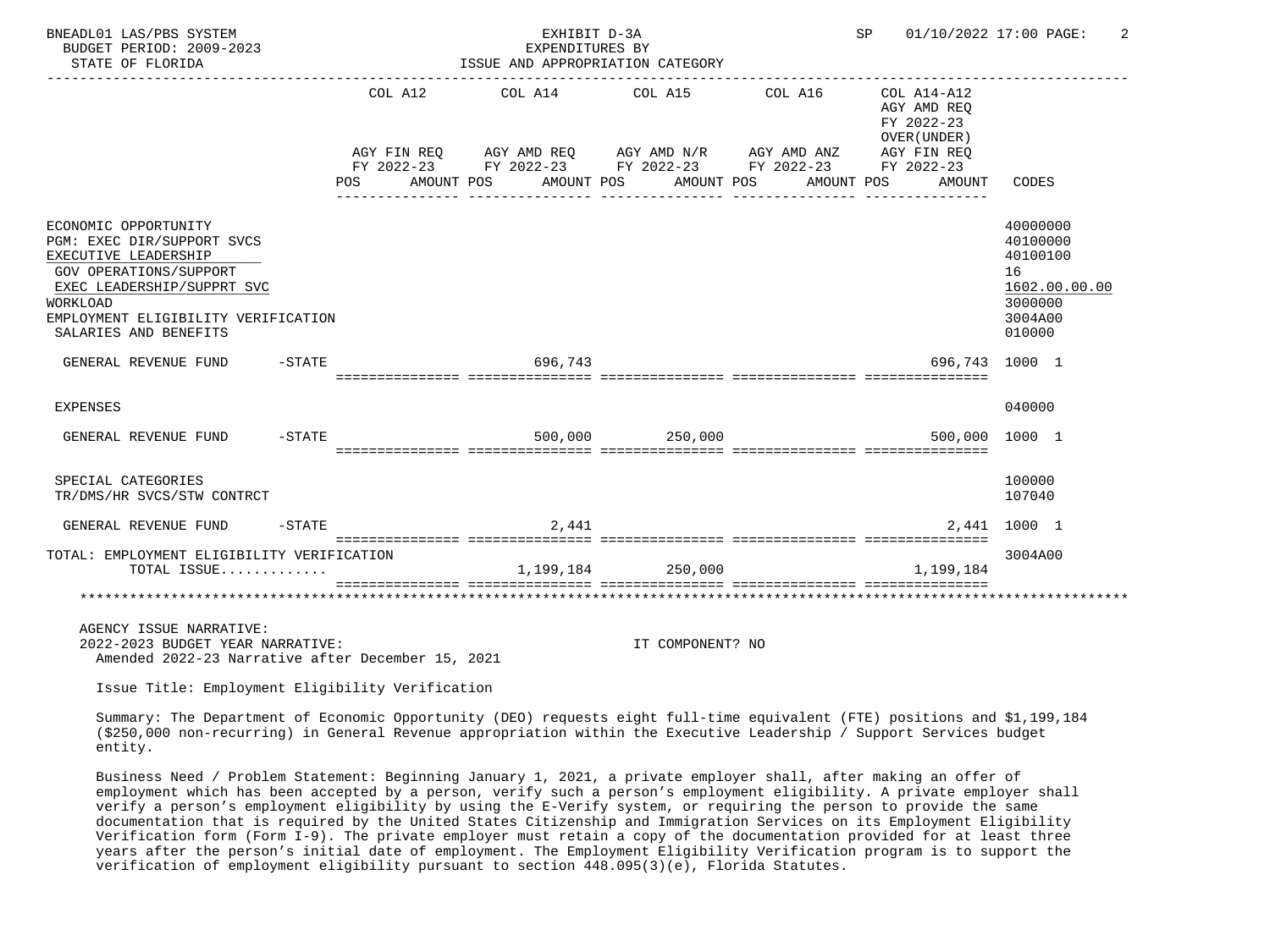| BNEADL01 LAS/PBS SYSTEM<br>BUDGET PERIOD: 2009-2023<br>STATE OF FLORIDA                                                                                                                                                                                      |           | ISSUE AND APPROPRIATION CATEGORY                                                                                                                         | EXHIBIT D-3A<br>EXPENDITURES BY |                   |            | SP |                                                                                   | 01/10/2022 17:00 PAGE:                                                                  |
|--------------------------------------------------------------------------------------------------------------------------------------------------------------------------------------------------------------------------------------------------------------|-----------|----------------------------------------------------------------------------------------------------------------------------------------------------------|---------------------------------|-------------------|------------|----|-----------------------------------------------------------------------------------|-----------------------------------------------------------------------------------------|
|                                                                                                                                                                                                                                                              | POS       | COL A12 COL A14 COL A15 COL A16<br>AGY FIN REQ AGY AMD REQ AGY AMD N/R AGY AMD ANZ AGY FIN REQ FY 2022-23 FY 2022-23 FY 2022-23<br>AMOUNT POS AMOUNT POS |                                 | AMOUNT POS        | AMOUNT POS |    | COL A14-A12<br>AGY AMD REQ<br>FY 2022-23<br>OVER (UNDER)<br>AGY FIN REQ<br>AMOUNT | CODES                                                                                   |
| ECONOMIC OPPORTUNITY<br>PGM: EXEC DIR/SUPPORT SVCS<br>EXECUTIVE LEADERSHIP<br>GOV OPERATIONS/SUPPORT<br>EXEC LEADERSHIP/SUPPRT SVC<br><b>WORKLOAD</b><br>EMPLOYMENT ELIGIBILITY VERIFICATION<br>SALARIES AND BENEFITS                                        |           |                                                                                                                                                          |                                 |                   |            |    |                                                                                   | 40000000<br>40100000<br>40100100<br>16<br>1602.00.00.00<br>3000000<br>3004A00<br>010000 |
| $-$ STATE<br>GENERAL REVENUE FUND                                                                                                                                                                                                                            |           |                                                                                                                                                          | 696,743                         |                   |            |    |                                                                                   | 696.743 1000 1                                                                          |
| <b>EXPENSES</b>                                                                                                                                                                                                                                              |           |                                                                                                                                                          |                                 |                   |            |    |                                                                                   | 040000                                                                                  |
| GENERAL REVENUE FUND                                                                                                                                                                                                                                         | $-$ STATE |                                                                                                                                                          |                                 | 500,000 250,000   |            |    |                                                                                   | 500,000 1000 1                                                                          |
| SPECIAL CATEGORIES<br>TR/DMS/HR SVCS/STW CONTRCT                                                                                                                                                                                                             |           |                                                                                                                                                          |                                 |                   |            |    |                                                                                   | 100000<br>107040                                                                        |
| GENERAL REVENUE FUND                                                                                                                                                                                                                                         | $-STATE$  |                                                                                                                                                          | 2,441                           |                   |            |    |                                                                                   | 2,441 1000 1                                                                            |
| TOTAL: EMPLOYMENT ELIGIBILITY VERIFICATION<br>TOTAL ISSUE                                                                                                                                                                                                    |           |                                                                                                                                                          |                                 | 1,199,184 250,000 |            |    | 1,199,184                                                                         | 3004A00                                                                                 |
| AGENCY ISSUE NARRATIVE:<br>2022-2023 BUDGET YEAR NARRATIVE:<br>Amended 2022-23 Narrative after December 15, 2021<br>Issue Title: Employment Eligibility Verification                                                                                         |           |                                                                                                                                                          |                                 | IT COMPONENT? NO  |            |    |                                                                                   |                                                                                         |
| Summary: The Department of Economic Opportunity (DEO) requests eight full-time equivalent (FTE) positions and \$1,199,184<br>(\$250,000 non-recurring) in General Revenue appropriation within the Executive Leadership / Support Services budget<br>entity. |           |                                                                                                                                                          |                                 |                   |            |    |                                                                                   |                                                                                         |

 Business Need / Problem Statement: Beginning January 1, 2021, a private employer shall, after making an offer of employment which has been accepted by a person, verify such a person's employment eligibility. A private employer shall verify a person's employment eligibility by using the E-Verify system, or requiring the person to provide the same documentation that is required by the United States Citizenship and Immigration Services on its Employment Eligibility Verification form (Form I-9). The private employer must retain a copy of the documentation provided for at least three years after the person's initial date of employment. The Employment Eligibility Verification program is to support the verification of employment eligibility pursuant to section 448.095(3)(e), Florida Statutes.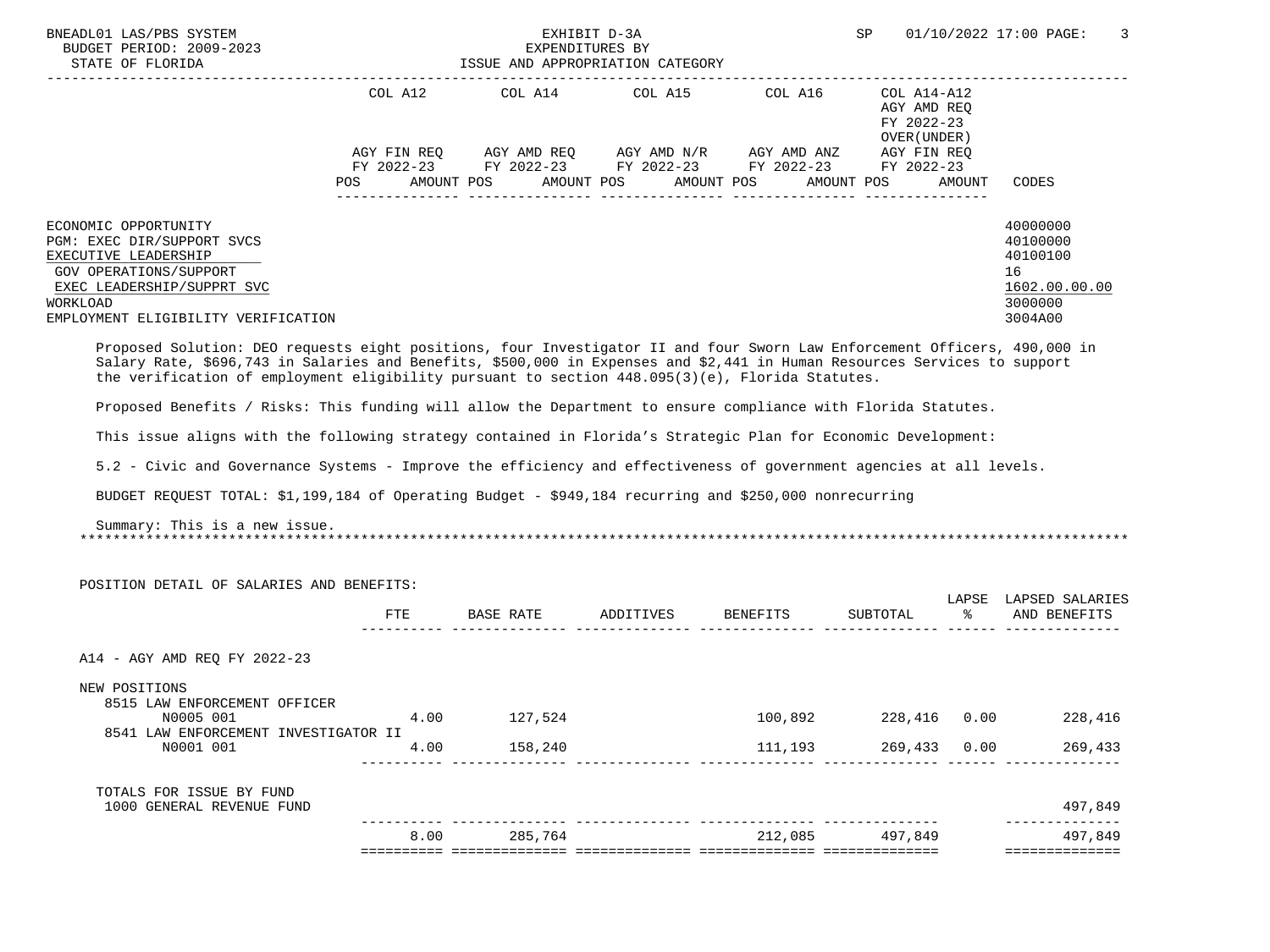| COL A14 COL A15 COL A16 COL A14-A12<br>COL A12<br>AGY AMD REQ<br>FY 2022-23<br>OVER (UNDER)<br>AGY FIN REQ AGY AMD REQ AGY AMD N/R AGY AMD ANZ AGY FIN REQ<br>FY 2022-23 FY 2022-23 FY 2022-23 FY 2022-23 FY 2022-23<br>AMOUNT POS<br>AMOUNT POS AMOUNT POS<br>POS<br>AMOUNT POS<br>AMOUNT<br>CODES<br>40000000<br>ECONOMIC OPPORTUNITY<br>PGM: EXEC DIR/SUPPORT SVCS<br>40100000<br>40100100<br>EXECUTIVE LEADERSHIP<br>GOV OPERATIONS/SUPPORT<br>16<br>EXEC LEADERSHIP/SUPPRT SVC<br>1602.00.00.00<br>WORKLOAD<br>3000000<br>EMPLOYMENT ELIGIBILITY VERIFICATION<br>3004A00<br>Proposed Solution: DEO requests eight positions, four Investigator II and four Sworn Law Enforcement Officers, 490,000 in<br>Salary Rate, \$696,743 in Salaries and Benefits, \$500,000 in Expenses and \$2,441 in Human Resources Services to support<br>the verification of employment eligibility pursuant to section $448.095(3)(e)$ , Florida Statutes.<br>Proposed Benefits / Risks: This funding will allow the Department to ensure compliance with Florida Statutes.<br>This issue aligns with the following strategy contained in Florida's Strategic Plan for Economic Development:<br>5.2 - Civic and Governance Systems - Improve the efficiency and effectiveness of government agencies at all levels.<br>BUDGET REQUEST TOTAL: \$1,199,184 of Operating Budget - \$949,184 recurring and \$250,000 nonrecurring<br>Summary: This is a new issue.<br>POSITION DETAIL OF SALARIES AND BENEFITS:<br>LAPSE LAPSED SALARIES<br>ETE<br>BASE RATE ADDITIVES BENEFITS<br>SUBTOTAL<br>ော ေ<br>AND BENEFITS<br>A14 - AGY AMD REO FY 2022-23<br>NEW POSITIONS<br>8515 LAW ENFORCEMENT OFFICER<br>100,892 228,416 0.00<br>N0005 001<br>4.00<br>127,524<br>228,416<br>8541 LAW ENFORCEMENT INVESTIGATOR II<br>4.00<br>158,240<br>269,433 0.00<br>N0001 001<br>111,193<br>269,433<br>_____________ _______<br>TOTALS FOR ISSUE BY FUND<br>497,849<br>1000 GENERAL REVENUE FUND<br>-------------- -----<br>285,764<br>497,849<br>212,085<br>497,849<br>8.00 | BNEADL01 LAS/PBS SYSTEM<br>BUDGET PERIOD: 2009-2023<br>STATE OF FLORIDA |  | EXHIBIT D-3A<br>EXPENDITURES BY<br>ISSUE AND APPROPRIATION CATEGORY | SP | 01/10/2022 17:00 PAGE:<br>3 |                |
|-----------------------------------------------------------------------------------------------------------------------------------------------------------------------------------------------------------------------------------------------------------------------------------------------------------------------------------------------------------------------------------------------------------------------------------------------------------------------------------------------------------------------------------------------------------------------------------------------------------------------------------------------------------------------------------------------------------------------------------------------------------------------------------------------------------------------------------------------------------------------------------------------------------------------------------------------------------------------------------------------------------------------------------------------------------------------------------------------------------------------------------------------------------------------------------------------------------------------------------------------------------------------------------------------------------------------------------------------------------------------------------------------------------------------------------------------------------------------------------------------------------------------------------------------------------------------------------------------------------------------------------------------------------------------------------------------------------------------------------------------------------------------------------------------------------------------------------------------------------------------------------------------------------------------------------------------------------------------------------------------------------------------------------------------|-------------------------------------------------------------------------|--|---------------------------------------------------------------------|----|-----------------------------|----------------|
|                                                                                                                                                                                                                                                                                                                                                                                                                                                                                                                                                                                                                                                                                                                                                                                                                                                                                                                                                                                                                                                                                                                                                                                                                                                                                                                                                                                                                                                                                                                                                                                                                                                                                                                                                                                                                                                                                                                                                                                                                                               |                                                                         |  |                                                                     |    |                             |                |
|                                                                                                                                                                                                                                                                                                                                                                                                                                                                                                                                                                                                                                                                                                                                                                                                                                                                                                                                                                                                                                                                                                                                                                                                                                                                                                                                                                                                                                                                                                                                                                                                                                                                                                                                                                                                                                                                                                                                                                                                                                               |                                                                         |  |                                                                     |    |                             |                |
|                                                                                                                                                                                                                                                                                                                                                                                                                                                                                                                                                                                                                                                                                                                                                                                                                                                                                                                                                                                                                                                                                                                                                                                                                                                                                                                                                                                                                                                                                                                                                                                                                                                                                                                                                                                                                                                                                                                                                                                                                                               |                                                                         |  |                                                                     |    |                             |                |
|                                                                                                                                                                                                                                                                                                                                                                                                                                                                                                                                                                                                                                                                                                                                                                                                                                                                                                                                                                                                                                                                                                                                                                                                                                                                                                                                                                                                                                                                                                                                                                                                                                                                                                                                                                                                                                                                                                                                                                                                                                               |                                                                         |  |                                                                     |    |                             |                |
|                                                                                                                                                                                                                                                                                                                                                                                                                                                                                                                                                                                                                                                                                                                                                                                                                                                                                                                                                                                                                                                                                                                                                                                                                                                                                                                                                                                                                                                                                                                                                                                                                                                                                                                                                                                                                                                                                                                                                                                                                                               |                                                                         |  |                                                                     |    |                             |                |
|                                                                                                                                                                                                                                                                                                                                                                                                                                                                                                                                                                                                                                                                                                                                                                                                                                                                                                                                                                                                                                                                                                                                                                                                                                                                                                                                                                                                                                                                                                                                                                                                                                                                                                                                                                                                                                                                                                                                                                                                                                               |                                                                         |  |                                                                     |    |                             |                |
|                                                                                                                                                                                                                                                                                                                                                                                                                                                                                                                                                                                                                                                                                                                                                                                                                                                                                                                                                                                                                                                                                                                                                                                                                                                                                                                                                                                                                                                                                                                                                                                                                                                                                                                                                                                                                                                                                                                                                                                                                                               |                                                                         |  |                                                                     |    |                             |                |
|                                                                                                                                                                                                                                                                                                                                                                                                                                                                                                                                                                                                                                                                                                                                                                                                                                                                                                                                                                                                                                                                                                                                                                                                                                                                                                                                                                                                                                                                                                                                                                                                                                                                                                                                                                                                                                                                                                                                                                                                                                               |                                                                         |  |                                                                     |    |                             |                |
|                                                                                                                                                                                                                                                                                                                                                                                                                                                                                                                                                                                                                                                                                                                                                                                                                                                                                                                                                                                                                                                                                                                                                                                                                                                                                                                                                                                                                                                                                                                                                                                                                                                                                                                                                                                                                                                                                                                                                                                                                                               |                                                                         |  |                                                                     |    |                             |                |
|                                                                                                                                                                                                                                                                                                                                                                                                                                                                                                                                                                                                                                                                                                                                                                                                                                                                                                                                                                                                                                                                                                                                                                                                                                                                                                                                                                                                                                                                                                                                                                                                                                                                                                                                                                                                                                                                                                                                                                                                                                               |                                                                         |  |                                                                     |    |                             |                |
|                                                                                                                                                                                                                                                                                                                                                                                                                                                                                                                                                                                                                                                                                                                                                                                                                                                                                                                                                                                                                                                                                                                                                                                                                                                                                                                                                                                                                                                                                                                                                                                                                                                                                                                                                                                                                                                                                                                                                                                                                                               |                                                                         |  |                                                                     |    |                             |                |
|                                                                                                                                                                                                                                                                                                                                                                                                                                                                                                                                                                                                                                                                                                                                                                                                                                                                                                                                                                                                                                                                                                                                                                                                                                                                                                                                                                                                                                                                                                                                                                                                                                                                                                                                                                                                                                                                                                                                                                                                                                               |                                                                         |  |                                                                     |    |                             |                |
|                                                                                                                                                                                                                                                                                                                                                                                                                                                                                                                                                                                                                                                                                                                                                                                                                                                                                                                                                                                                                                                                                                                                                                                                                                                                                                                                                                                                                                                                                                                                                                                                                                                                                                                                                                                                                                                                                                                                                                                                                                               |                                                                         |  |                                                                     |    |                             |                |
|                                                                                                                                                                                                                                                                                                                                                                                                                                                                                                                                                                                                                                                                                                                                                                                                                                                                                                                                                                                                                                                                                                                                                                                                                                                                                                                                                                                                                                                                                                                                                                                                                                                                                                                                                                                                                                                                                                                                                                                                                                               |                                                                         |  |                                                                     |    |                             |                |
|                                                                                                                                                                                                                                                                                                                                                                                                                                                                                                                                                                                                                                                                                                                                                                                                                                                                                                                                                                                                                                                                                                                                                                                                                                                                                                                                                                                                                                                                                                                                                                                                                                                                                                                                                                                                                                                                                                                                                                                                                                               |                                                                         |  |                                                                     |    |                             |                |
|                                                                                                                                                                                                                                                                                                                                                                                                                                                                                                                                                                                                                                                                                                                                                                                                                                                                                                                                                                                                                                                                                                                                                                                                                                                                                                                                                                                                                                                                                                                                                                                                                                                                                                                                                                                                                                                                                                                                                                                                                                               |                                                                         |  |                                                                     |    |                             |                |
|                                                                                                                                                                                                                                                                                                                                                                                                                                                                                                                                                                                                                                                                                                                                                                                                                                                                                                                                                                                                                                                                                                                                                                                                                                                                                                                                                                                                                                                                                                                                                                                                                                                                                                                                                                                                                                                                                                                                                                                                                                               |                                                                         |  |                                                                     |    |                             | ============== |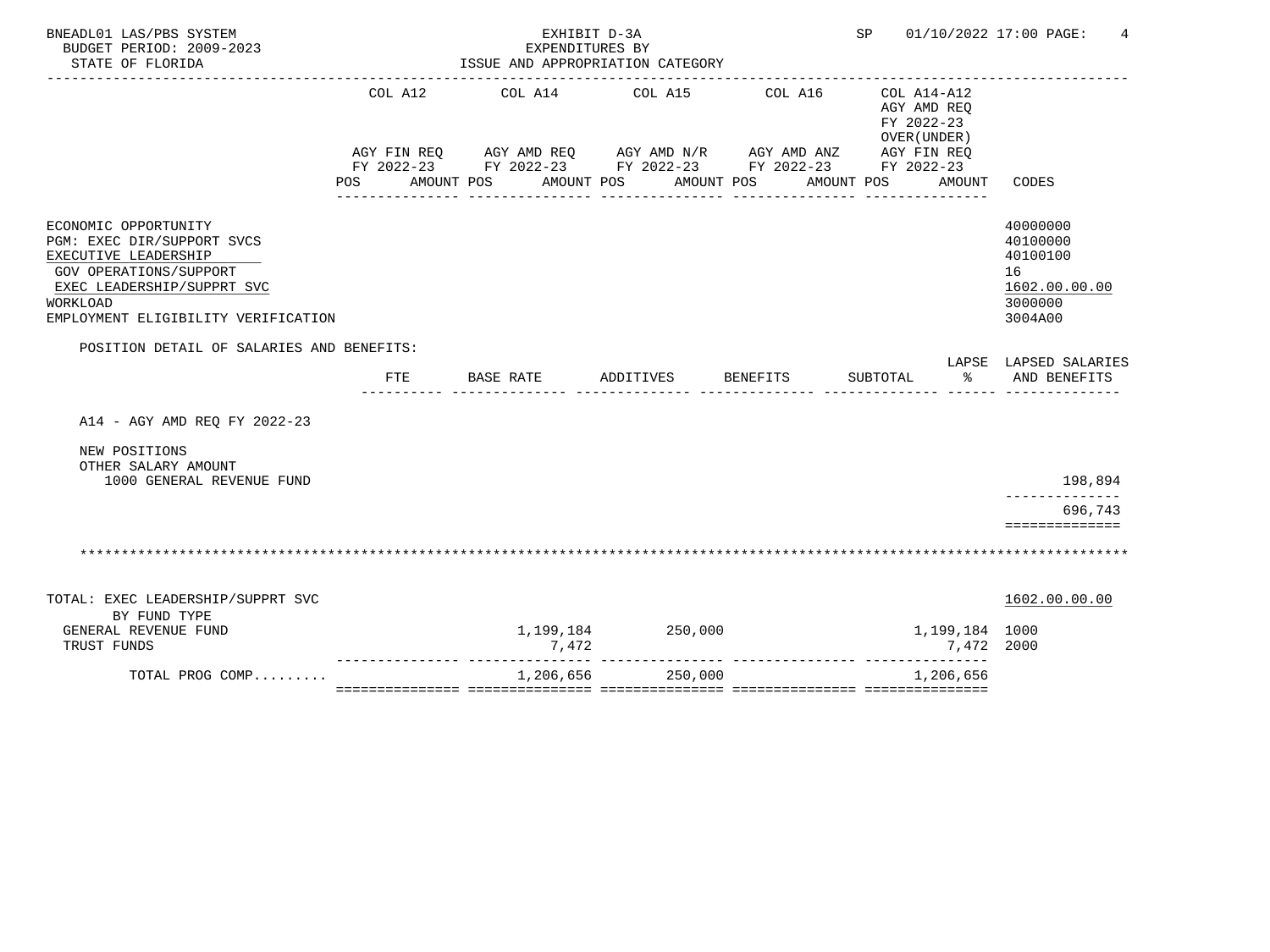| BNEADL01 LAS/PBS SYSTEM<br>BUDGET PERIOD: 2009-2023<br>STATE OF FLORIDA                                                                                                               |         | EXHIBIT D-3A<br>EXPENDITURES BY<br>------------------------------------ | ISSUE AND APPROPRIATION CATEGORY                                                                                                                  |                                  | SP<br>01/10/2022 17:00 PAGE:                                       | 4                                                                             |
|---------------------------------------------------------------------------------------------------------------------------------------------------------------------------------------|---------|-------------------------------------------------------------------------|---------------------------------------------------------------------------------------------------------------------------------------------------|----------------------------------|--------------------------------------------------------------------|-------------------------------------------------------------------------------|
|                                                                                                                                                                                       | COL A12 | COL A14 COL A15<br>POS AMOUNT POS AMOUNT POS                            | AGY FIN REQ AGY AMD REQ AGY AMD N/R AGY AMD ANZ AGY FIN REQ<br>FY 2022-23 FY 2022-23 FY 2022-23 FY 2022-23 FY 2022-23<br><u> Ludwaldudu Ludwa</u> | COL A16<br>AMOUNT POS AMOUNT POS | COL A14-A12<br>AGY AMD REO<br>FY 2022-23<br>OVER (UNDER)<br>AMOUNT | CODES                                                                         |
| ECONOMIC OPPORTUNITY<br>PGM: EXEC DIR/SUPPORT SVCS<br>EXECUTIVE LEADERSHIP<br>GOV OPERATIONS/SUPPORT<br>EXEC LEADERSHIP/SUPPRT SVC<br>WORKLOAD<br>EMPLOYMENT ELIGIBILITY VERIFICATION |         |                                                                         |                                                                                                                                                   |                                  |                                                                    | 40000000<br>40100000<br>40100100<br>16<br>1602.00.00.00<br>3000000<br>3004A00 |
| POSITION DETAIL OF SALARIES AND BENEFITS:                                                                                                                                             | FTE     | BASE RATE                                                               | ADDITIVES BENEFITS                                                                                                                                |                                  | SUBTOTAL<br>$\sim$ $\approx$                                       | LAPSE LAPSED SALARIES<br>AND BENEFITS                                         |
| A14 - AGY AMD REQ FY 2022-23                                                                                                                                                          |         |                                                                         |                                                                                                                                                   |                                  |                                                                    |                                                                               |
| NEW POSITIONS<br>OTHER SALARY AMOUNT<br>1000 GENERAL REVENUE FUND                                                                                                                     |         |                                                                         |                                                                                                                                                   |                                  |                                                                    | 198,894                                                                       |
|                                                                                                                                                                                       |         |                                                                         |                                                                                                                                                   |                                  |                                                                    | ------------<br>696,743<br>==============                                     |
|                                                                                                                                                                                       |         |                                                                         |                                                                                                                                                   |                                  |                                                                    |                                                                               |
| TOTAL: EXEC LEADERSHIP/SUPPRT SVC<br>BY FUND TYPE<br>GENERAL REVENUE FUND<br>TRUST FUNDS                                                                                              |         | 7,472                                                                   | 1,199,184 250,000                                                                                                                                 |                                  | 1,199,184 1000<br>7,472 2000                                       | 1602.00.00.00                                                                 |
| TOTAL PROG COMP                                                                                                                                                                       |         |                                                                         | 1,206,656 250,000                                                                                                                                 |                                  | 1,206,656                                                          |                                                                               |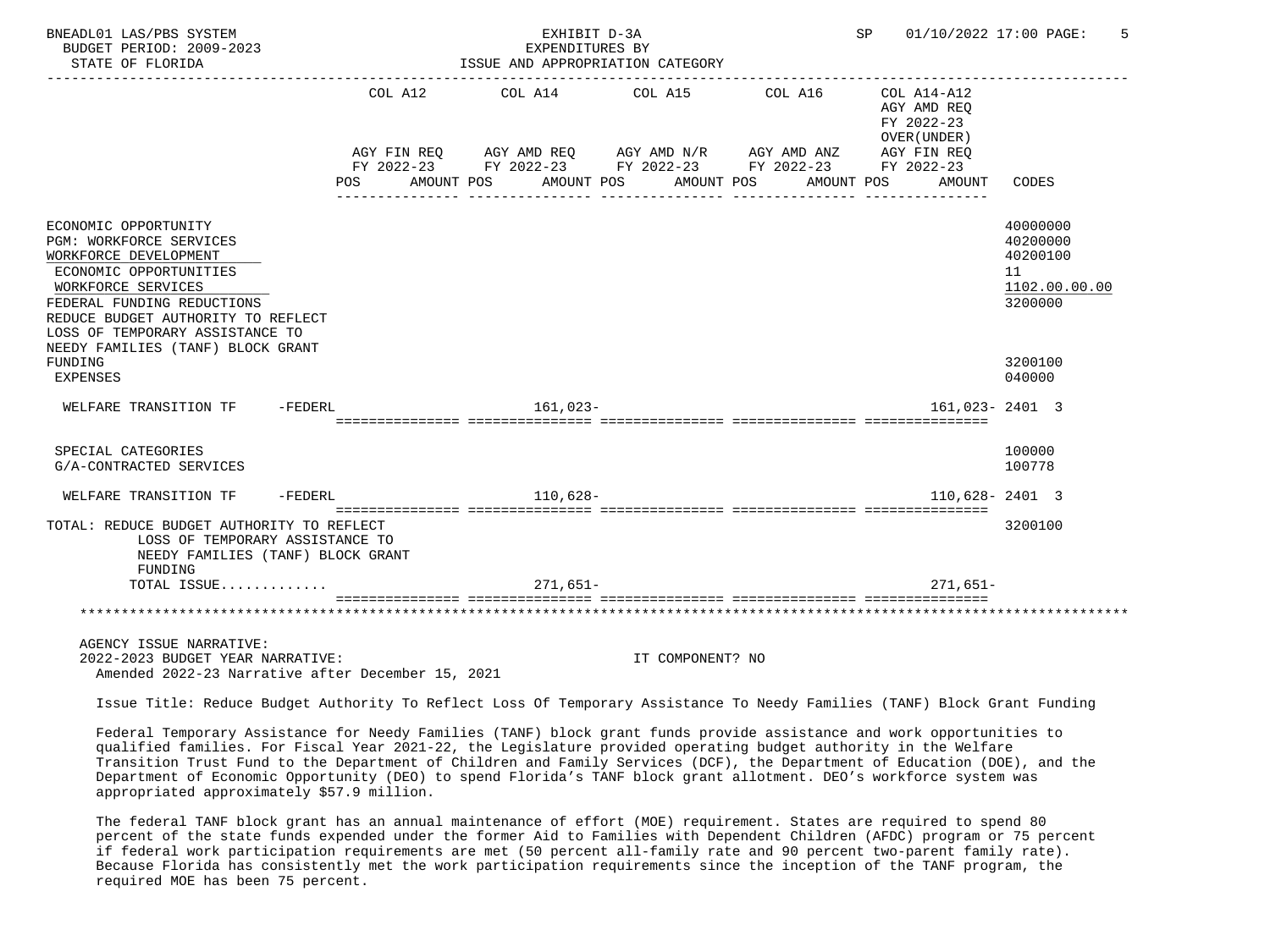| BNEADL01 LAS/PBS SYSTEM<br>BUDGET PERIOD: 2009-2023<br>STATE OF FLORIDA                                                                                                                                                                                              |                    | EXHIBIT D-3A<br>EXPENDITURES BY<br>ISSUE AND APPROPRIATION CATEGORY                                                                                                                                                                                                                                                                                                             |         |                  |         |            |                                                          | SP 01/10/2022 17:00 PAGE:                                          |
|----------------------------------------------------------------------------------------------------------------------------------------------------------------------------------------------------------------------------------------------------------------------|--------------------|---------------------------------------------------------------------------------------------------------------------------------------------------------------------------------------------------------------------------------------------------------------------------------------------------------------------------------------------------------------------------------|---------|------------------|---------|------------|----------------------------------------------------------|--------------------------------------------------------------------|
|                                                                                                                                                                                                                                                                      | COL A12<br>POS FOR | COL A14<br>$\begin{array}{lllllll} \textsc{AGY} & \textsc{FIN} & \textsc{REG} & \textsc{AGY} & \textsc{AND} & \textsc{NN} \textsc{N} \textsc{N} & \textsc{AGY} & \textsc{AND} & \textsc{ANZ} & \textsc{AGY} & \textsc{FIN} & \textsc{REG} \\ \textsc{FY} & 2022-23 & \textsc{FY} & 2022-23 & \textsc{FY} & 2022-23 & \textsc{FY} & 2022-23 & \textsc{FY} & 2022-23 \end{array}$ | COL A15 |                  | COL A16 |            | COL A14-A12<br>AGY AMD REO<br>FY 2022-23<br>OVER (UNDER) |                                                                    |
|                                                                                                                                                                                                                                                                      |                    | AMOUNT POS AMOUNT POS AMOUNT POS                                                                                                                                                                                                                                                                                                                                                |         |                  |         | AMOUNT POS | AMOUNT                                                   | CODES                                                              |
| ECONOMIC OPPORTUNITY<br>PGM: WORKFORCE SERVICES<br>WORKFORCE DEVELOPMENT<br>ECONOMIC OPPORTUNITIES<br>WORKFORCE SERVICES<br>FEDERAL FUNDING REDUCTIONS<br>REDUCE BUDGET AUTHORITY TO REFLECT<br>LOSS OF TEMPORARY ASSISTANCE TO<br>NEEDY FAMILIES (TANF) BLOCK GRANT |                    |                                                                                                                                                                                                                                                                                                                                                                                 |         |                  |         |            |                                                          | 40000000<br>40200000<br>40200100<br>11<br>1102.00.00.00<br>3200000 |
| FUNDING<br><b>EXPENSES</b>                                                                                                                                                                                                                                           |                    |                                                                                                                                                                                                                                                                                                                                                                                 |         |                  |         |            |                                                          | 3200100<br>040000                                                  |
| WELFARE TRANSITION TF - FEDERL                                                                                                                                                                                                                                       |                    | 161,023-                                                                                                                                                                                                                                                                                                                                                                        |         |                  |         |            | 161,023-2401 3                                           |                                                                    |
| SPECIAL CATEGORIES<br>G/A-CONTRACTED SERVICES                                                                                                                                                                                                                        |                    |                                                                                                                                                                                                                                                                                                                                                                                 |         |                  |         |            |                                                          | 100000<br>100778                                                   |
| WELFARE TRANSITION TF -FEDERL                                                                                                                                                                                                                                        |                    | $110,628-$                                                                                                                                                                                                                                                                                                                                                                      |         |                  |         |            |                                                          | $110,628 - 2401$ 3                                                 |
| TOTAL: REDUCE BUDGET AUTHORITY TO REFLECT<br>LOSS OF TEMPORARY ASSISTANCE TO<br>NEEDY FAMILIES (TANF) BLOCK GRANT<br>FUNDING                                                                                                                                         |                    |                                                                                                                                                                                                                                                                                                                                                                                 |         |                  |         |            |                                                          | 3200100                                                            |
| TOTAL ISSUE                                                                                                                                                                                                                                                          |                    | 271,651-                                                                                                                                                                                                                                                                                                                                                                        |         |                  |         |            | $271,651-$                                               |                                                                    |
|                                                                                                                                                                                                                                                                      |                    |                                                                                                                                                                                                                                                                                                                                                                                 |         |                  |         |            |                                                          |                                                                    |
| AGENCY ISSUE NARRATIVE:<br>2022-2023 BUDGET YEAR NARRATIVE:<br>Amended 2022-23 Narrative after December 15, 2021                                                                                                                                                     |                    |                                                                                                                                                                                                                                                                                                                                                                                 |         | IT COMPONENT? NO |         |            |                                                          |                                                                    |

Issue Title: Reduce Budget Authority To Reflect Loss Of Temporary Assistance To Needy Families (TANF) Block Grant Funding

 Federal Temporary Assistance for Needy Families (TANF) block grant funds provide assistance and work opportunities to qualified families. For Fiscal Year 2021-22, the Legislature provided operating budget authority in the Welfare Transition Trust Fund to the Department of Children and Family Services (DCF), the Department of Education (DOE), and the Department of Economic Opportunity (DEO) to spend Florida's TANF block grant allotment. DEO's workforce system was appropriated approximately \$57.9 million.

 The federal TANF block grant has an annual maintenance of effort (MOE) requirement. States are required to spend 80 percent of the state funds expended under the former Aid to Families with Dependent Children (AFDC) program or 75 percent if federal work participation requirements are met (50 percent all-family rate and 90 percent two-parent family rate). Because Florida has consistently met the work participation requirements since the inception of the TANF program, the required MOE has been 75 percent.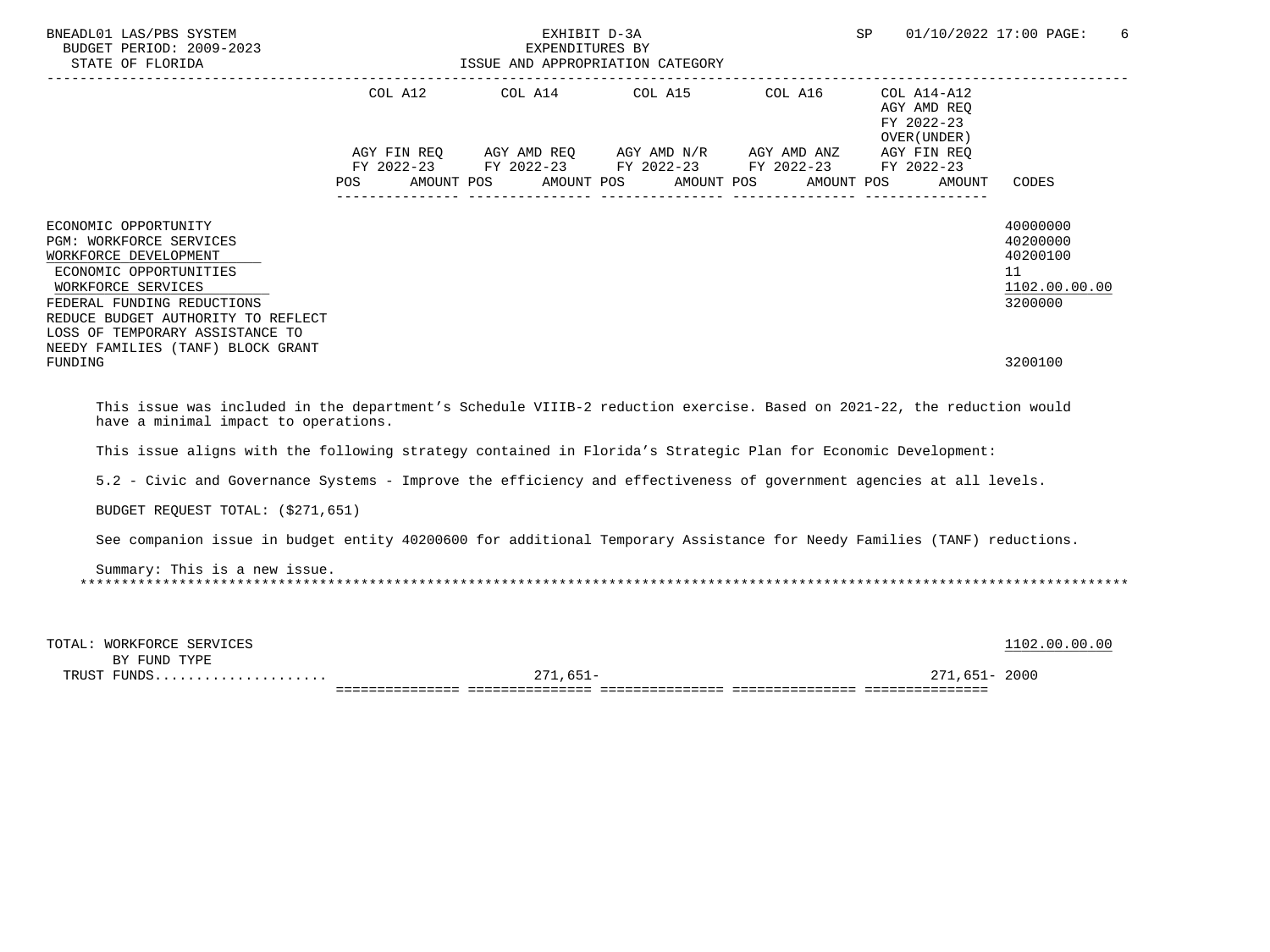| BNEADL01 LAS/PBS SYSTEM<br>BUDGET PERIOD: 2009-2023<br>STATE OF FLORIDA                                                                                                                                                                |     | EXHIBIT D-3A<br>EXPENDITURES BY<br>ISSUE AND APPROPRIATION CATEGORY                                                                                               |            |                                           | SP                                                  | 01/10/2022 17:00 PAGE:<br>6                                        |
|----------------------------------------------------------------------------------------------------------------------------------------------------------------------------------------------------------------------------------------|-----|-------------------------------------------------------------------------------------------------------------------------------------------------------------------|------------|-------------------------------------------|-----------------------------------------------------|--------------------------------------------------------------------|
|                                                                                                                                                                                                                                        | POS | COL A12 COL A14<br>AGY FIN REQ AGY AMD REQ AGY AMD N/R AGY AMD ANZ AGY FIN REQ<br>FY 2022-23 FY 2022-23 FY 2022-23 FY 2022-23 FY 2022-23<br>AMOUNT POS AMOUNT POS | AMOUNT POS | COL A15 COL A16 COL A14-A12<br>AMOUNT POS | AGY AMD REQ<br>FY 2022-23<br>OVER (UNDER)<br>AMOUNT | CODES                                                              |
| ECONOMIC OPPORTUNITY<br><b>PGM: WORKFORCE SERVICES</b><br>WORKFORCE DEVELOPMENT<br>ECONOMIC OPPORTUNITIES<br>WORKFORCE SERVICES<br>FEDERAL FUNDING REDUCTIONS<br>REDUCE BUDGET AUTHORITY TO REFLECT<br>LOSS OF TEMPORARY ASSISTANCE TO |     |                                                                                                                                                                   |            |                                           |                                                     | 40000000<br>40200000<br>40200100<br>11<br>1102.00.00.00<br>3200000 |
| NEEDY FAMILIES (TANF) BLOCK GRANT<br>FUNDING                                                                                                                                                                                           |     |                                                                                                                                                                   |            |                                           |                                                     | 3200100                                                            |
| This issue was included in the department's Schedule VIIIB-2 reduction exercise. Based on 2021-22, the reduction would<br>have a minimal impact to operations.                                                                         |     |                                                                                                                                                                   |            |                                           |                                                     |                                                                    |
| This issue aligns with the following strategy contained in Florida's Strategic Plan for Economic Development:                                                                                                                          |     |                                                                                                                                                                   |            |                                           |                                                     |                                                                    |
| 5.2 - Civic and Governance Systems - Improve the efficiency and effectiveness of government agencies at all levels.                                                                                                                    |     |                                                                                                                                                                   |            |                                           |                                                     |                                                                    |
| BUDGET REQUEST TOTAL: (\$271,651)                                                                                                                                                                                                      |     |                                                                                                                                                                   |            |                                           |                                                     |                                                                    |
| See companion issue in budget entity 40200600 for additional Temporary Assistance for Needy Families (TANF) reductions.                                                                                                                |     |                                                                                                                                                                   |            |                                           |                                                     |                                                                    |
| Summary: This is a new issue.                                                                                                                                                                                                          |     |                                                                                                                                                                   |            |                                           |                                                     |                                                                    |
| TOTAL: WORKFORCE SERVICES<br>BY FUND TYPE                                                                                                                                                                                              |     |                                                                                                                                                                   |            |                                           |                                                     | 1102.00.00.00                                                      |
| TRUST FUNDS                                                                                                                                                                                                                            |     | $271,651-$                                                                                                                                                        |            |                                           | 271,651-2000                                        |                                                                    |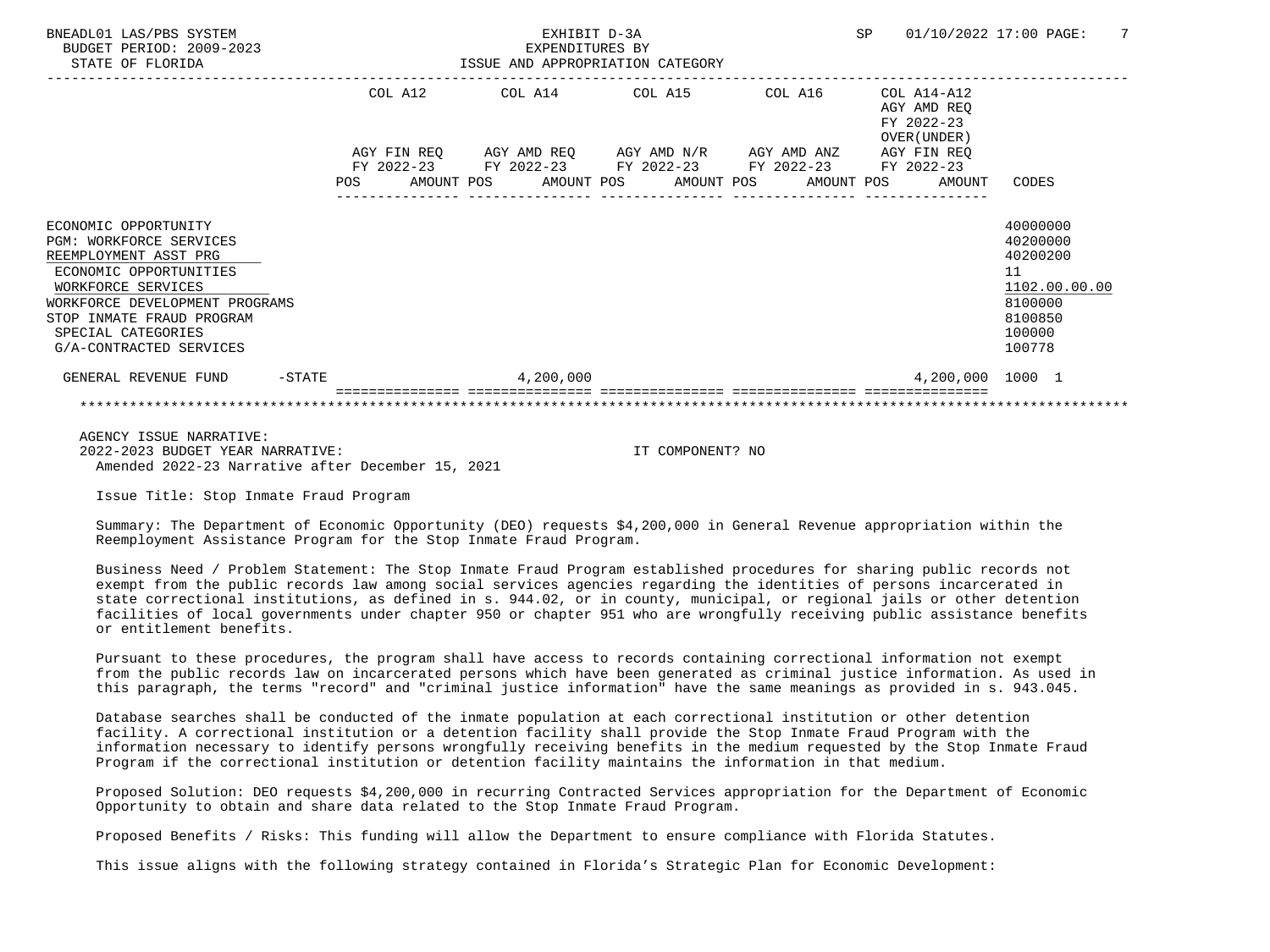| BNEADL01 LAS/PBS SYSTEM<br>BUDGET PERIOD: 2009-2023<br>STATE OF FLORIDA                                                                                                                                                                         |            |             | EXHIBIT D-3A<br>EXPENDITURES BY<br>ISSUE AND APPROPRIATION CATEGORY  |  |            | SP |                                                               | 01/10/2022 17:00 PAGE:                                                                            | 7 |
|-------------------------------------------------------------------------------------------------------------------------------------------------------------------------------------------------------------------------------------------------|------------|-------------|----------------------------------------------------------------------|--|------------|----|---------------------------------------------------------------|---------------------------------------------------------------------------------------------------|---|
|                                                                                                                                                                                                                                                 |            | COL A12     | COL A14 COL A15                                                      |  | COL A16    |    | $COL A14 - A12$<br>AGY AMD REO<br>FY 2022-23<br>OVER (UNDER ) |                                                                                                   |   |
|                                                                                                                                                                                                                                                 |            | AGY FIN REO | AGY AMD REO AGY AMD N/R AGY AMD ANZ                                  |  |            |    | AGY FIN REO                                                   |                                                                                                   |   |
|                                                                                                                                                                                                                                                 | <b>POS</b> | FY 2022-23  | FY 2022-23 FY 2022-23 FY 2022-23<br>AMOUNT POS AMOUNT POS AMOUNT POS |  | AMOUNT POS |    | FY 2022-23<br>AMOUNT                                          | CODES                                                                                             |   |
| ECONOMIC OPPORTUNITY<br><b>PGM: WORKFORCE SERVICES</b><br>REEMPLOYMENT ASST PRG<br>ECONOMIC OPPORTUNITIES<br>WORKFORCE SERVICES<br>WORKFORCE DEVELOPMENT PROGRAMS<br>STOP INMATE FRAUD PROGRAM<br>SPECIAL CATEGORIES<br>G/A-CONTRACTED SERVICES |            |             |                                                                      |  |            |    |                                                               | 40000000<br>40200000<br>40200200<br>11<br>1102.00.00.00<br>8100000<br>8100850<br>100000<br>100778 |   |
| GENERAL REVENUE FUND<br>$-$ STATE                                                                                                                                                                                                               |            |             | 4,200,000                                                            |  |            |    | 4,200,000 1000 1                                              |                                                                                                   |   |
|                                                                                                                                                                                                                                                 |            |             |                                                                      |  |            |    |                                                               |                                                                                                   |   |
| AGENCY ISSUE NARRATIVE:                                                                                                                                                                                                                         |            |             |                                                                      |  |            |    |                                                               |                                                                                                   |   |

 2022-2023 BUDGET YEAR NARRATIVE: IT COMPONENT? NO Amended 2022-23 Narrative after December 15, 2021

Issue Title: Stop Inmate Fraud Program

 Summary: The Department of Economic Opportunity (DEO) requests \$4,200,000 in General Revenue appropriation within the Reemployment Assistance Program for the Stop Inmate Fraud Program.

 Business Need / Problem Statement: The Stop Inmate Fraud Program established procedures for sharing public records not exempt from the public records law among social services agencies regarding the identities of persons incarcerated in state correctional institutions, as defined in s. 944.02, or in county, municipal, or regional jails or other detention facilities of local governments under chapter 950 or chapter 951 who are wrongfully receiving public assistance benefits or entitlement benefits.

 Pursuant to these procedures, the program shall have access to records containing correctional information not exempt from the public records law on incarcerated persons which have been generated as criminal justice information. As used in this paragraph, the terms "record" and "criminal justice information" have the same meanings as provided in s. 943.045.

 Database searches shall be conducted of the inmate population at each correctional institution or other detention facility. A correctional institution or a detention facility shall provide the Stop Inmate Fraud Program with the information necessary to identify persons wrongfully receiving benefits in the medium requested by the Stop Inmate Fraud Program if the correctional institution or detention facility maintains the information in that medium.

 Proposed Solution: DEO requests \$4,200,000 in recurring Contracted Services appropriation for the Department of Economic Opportunity to obtain and share data related to the Stop Inmate Fraud Program.

Proposed Benefits / Risks: This funding will allow the Department to ensure compliance with Florida Statutes.

This issue aligns with the following strategy contained in Florida's Strategic Plan for Economic Development: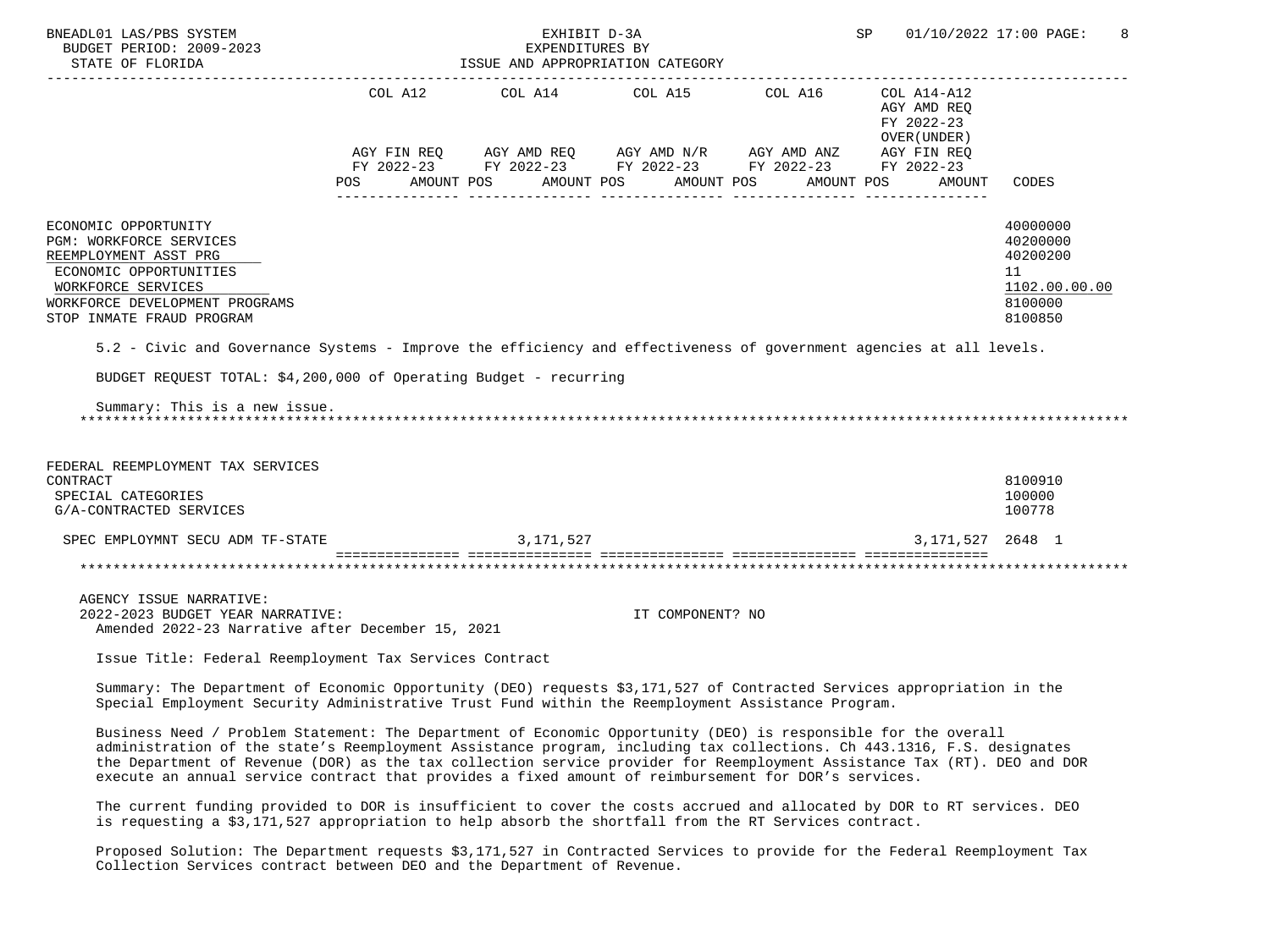| BNEADL01 LAS/PBS SYSTEM<br>BUDGET PERIOD: 2009-2023<br>STATE OF FLORIDA                                                                                                                                                                                                                                                                                                                                                                                                      |                                                                                                                                                                                                                                      | EXHIBIT D-3A<br>EXPENDITURES BY | ISSUE AND APPROPRIATION CATEGORY                                                                                                                                                                                                                                                                                                                                       | SP                                         | 01/10/2022 17:00 PAGE:<br>8                                                   |
|------------------------------------------------------------------------------------------------------------------------------------------------------------------------------------------------------------------------------------------------------------------------------------------------------------------------------------------------------------------------------------------------------------------------------------------------------------------------------|--------------------------------------------------------------------------------------------------------------------------------------------------------------------------------------------------------------------------------------|---------------------------------|------------------------------------------------------------------------------------------------------------------------------------------------------------------------------------------------------------------------------------------------------------------------------------------------------------------------------------------------------------------------|--------------------------------------------|-------------------------------------------------------------------------------|
|                                                                                                                                                                                                                                                                                                                                                                                                                                                                              |                                                                                                                                                                                                                                      |                                 |                                                                                                                                                                                                                                                                                                                                                                        | AGY AMD REQ<br>FY 2022-23<br>OVER (UNDER ) |                                                                               |
|                                                                                                                                                                                                                                                                                                                                                                                                                                                                              | POS AMOUNT POS AMOUNT POS AMOUNT POS                                                                                                                                                                                                 |                                 | $\begin{array}{lllllll} \textsc{AGY} & \textsc{FIN} & \textsc{REG} & \textsc{AGY} & \textsc{AND} & \textsc{NN} \textsc{N} / \textsc{R} & \textsc{AGY} & \textsc{AND} & \textsc{ANZ} & \textsc{AGY} & \textsc{FIN} & \textsc{REG} \\ \textsc{FY} & 2022-23 & \textsc{FY} & 2022-23 & \textsc{FY} & 2022-23 & \textsc{FY} & 2022-23 & \textsc{FY} & 2022-23 \end{array}$ | AMOUNT POS AMOUNT                          | CODES                                                                         |
| ECONOMIC OPPORTUNITY<br>PGM: WORKFORCE SERVICES<br>REEMPLOYMENT ASST PRG<br>ECONOMIC OPPORTUNITIES<br>WORKFORCE SERVICES<br>WORKFORCE DEVELOPMENT PROGRAMS<br>STOP INMATE FRAUD PROGRAM                                                                                                                                                                                                                                                                                      |                                                                                                                                                                                                                                      |                                 |                                                                                                                                                                                                                                                                                                                                                                        |                                            | 40000000<br>40200000<br>40200200<br>11<br>1102.00.00.00<br>8100000<br>8100850 |
| 5.2 - Civic and Governance Systems - Improve the efficiency and effectiveness of government agencies at all levels.                                                                                                                                                                                                                                                                                                                                                          |                                                                                                                                                                                                                                      |                                 |                                                                                                                                                                                                                                                                                                                                                                        |                                            |                                                                               |
| BUDGET REQUEST TOTAL: \$4,200,000 of Operating Budget - recurring                                                                                                                                                                                                                                                                                                                                                                                                            |                                                                                                                                                                                                                                      |                                 |                                                                                                                                                                                                                                                                                                                                                                        |                                            |                                                                               |
| Summary: This is a new issue.                                                                                                                                                                                                                                                                                                                                                                                                                                                |                                                                                                                                                                                                                                      |                                 |                                                                                                                                                                                                                                                                                                                                                                        |                                            |                                                                               |
| FEDERAL REEMPLOYMENT TAX SERVICES<br>CONTRACT<br>SPECIAL CATEGORIES<br>G/A-CONTRACTED SERVICES                                                                                                                                                                                                                                                                                                                                                                               |                                                                                                                                                                                                                                      |                                 |                                                                                                                                                                                                                                                                                                                                                                        |                                            | 8100910<br>100000<br>100778                                                   |
| SPEC EMPLOYMNT SECU ADM TF-STATE                                                                                                                                                                                                                                                                                                                                                                                                                                             |                                                                                                                                                                                                                                      | 3, 171, 527                     |                                                                                                                                                                                                                                                                                                                                                                        | 3, 171, 527 2648 1                         |                                                                               |
|                                                                                                                                                                                                                                                                                                                                                                                                                                                                              |                                                                                                                                                                                                                                      |                                 |                                                                                                                                                                                                                                                                                                                                                                        |                                            |                                                                               |
| AGENCY ISSUE NARRATIVE:<br>2022-2023 BUDGET YEAR NARRATIVE:<br>Amended 2022-23 Narrative after December 15, 2021                                                                                                                                                                                                                                                                                                                                                             |                                                                                                                                                                                                                                      |                                 | IT COMPONENT? NO                                                                                                                                                                                                                                                                                                                                                       |                                            |                                                                               |
| Issue Title: Federal Reemployment Tax Services Contract                                                                                                                                                                                                                                                                                                                                                                                                                      |                                                                                                                                                                                                                                      |                                 |                                                                                                                                                                                                                                                                                                                                                                        |                                            |                                                                               |
| Summary: The Department of Economic Opportunity (DEO) requests \$3,171,527 of Contracted Services appropriation in the<br>Special Employment Security Administrative Trust Fund within the Reemployment Assistance Program.                                                                                                                                                                                                                                                  |                                                                                                                                                                                                                                      |                                 |                                                                                                                                                                                                                                                                                                                                                                        |                                            |                                                                               |
| Business Need / Problem Statement: The Department of Economic Opportunity (DEO) is responsible for the overall<br>administration of the state's Reemployment Assistance program, including tax collections. Ch 443.1316, F.S. designates<br>the Department of Revenue (DOR) as the tax collection service provider for Reemployment Assistance Tax (RT). DEO and DOR<br>execute an annual service contract that provides a fixed amount of reimbursement for DOR's services. |                                                                                                                                                                                                                                      |                                 |                                                                                                                                                                                                                                                                                                                                                                        |                                            |                                                                               |
|                                                                                                                                                                                                                                                                                                                                                                                                                                                                              | $\mathbf{r}$ and $\mathbf{r}$ are the set of the set of the set of the set of the set of the set of the set of the set of the set of the set of the set of the set of the set of the set of the set of the set of the set of the set |                                 | and the state of the state of                                                                                                                                                                                                                                                                                                                                          |                                            |                                                                               |

 The current funding provided to DOR is insufficient to cover the costs accrued and allocated by DOR to RT services. DEO is requesting a \$3,171,527 appropriation to help absorb the shortfall from the RT Services contract.

 Proposed Solution: The Department requests \$3,171,527 in Contracted Services to provide for the Federal Reemployment Tax Collection Services contract between DEO and the Department of Revenue.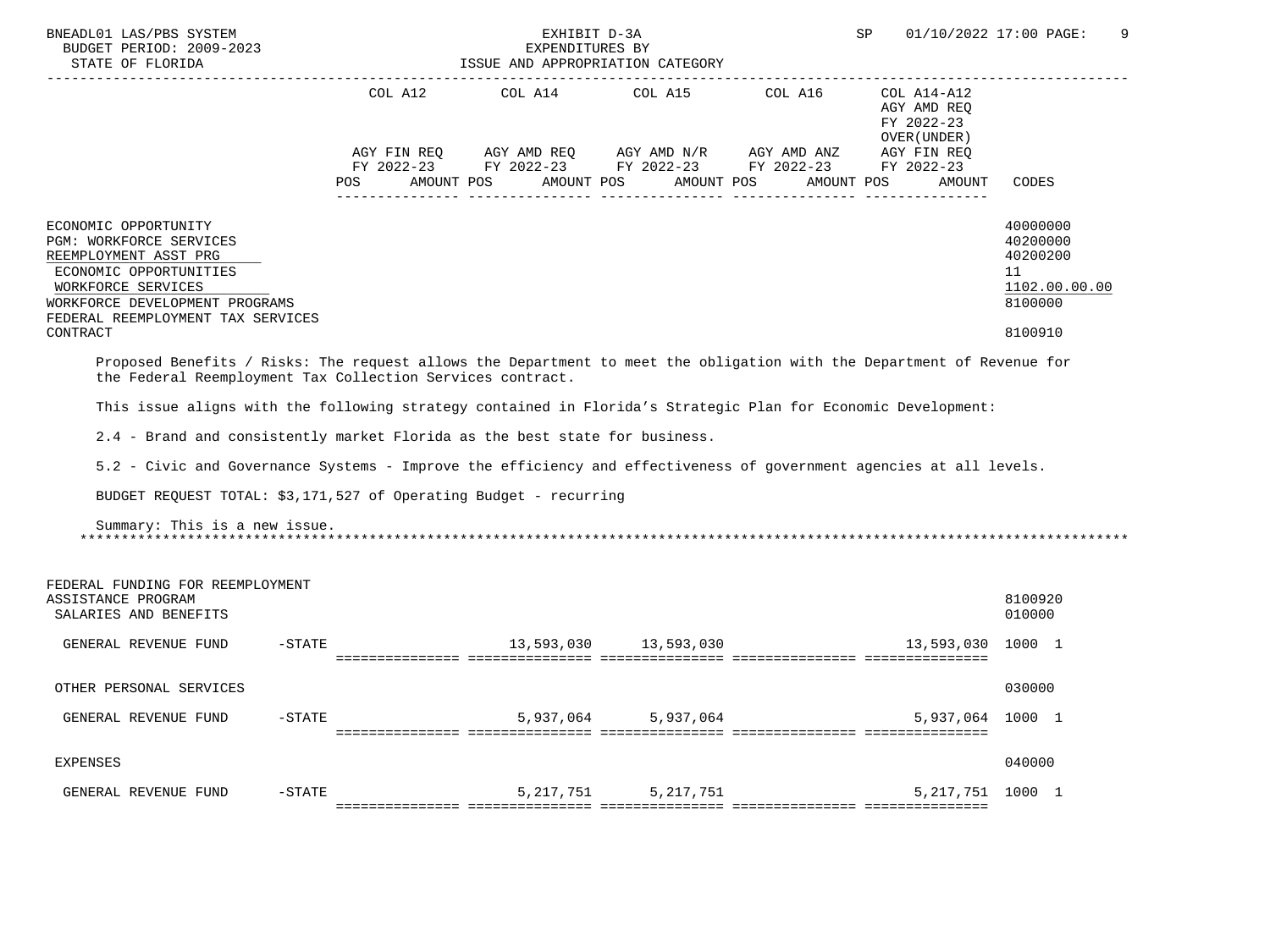| BNEADL01 LAS/PBS SYSTEM<br>BUDGET PERIOD: 2009-2023<br>STATE OF FLORIDA                                                                                                                                                                                                                               |                | EXHIBIT D-3A<br>EXPENDITURES BY<br>ISSUE AND APPROPRIATION CATEGORY                                                      |            |                                                     | SP                                                                               | 01/10/2022 17:00 PAGE:<br>9                                                   |
|-------------------------------------------------------------------------------------------------------------------------------------------------------------------------------------------------------------------------------------------------------------------------------------------------------|----------------|--------------------------------------------------------------------------------------------------------------------------|------------|-----------------------------------------------------|----------------------------------------------------------------------------------|-------------------------------------------------------------------------------|
|                                                                                                                                                                                                                                                                                                       | COL A12<br>POS | AGY FIN REQ AGY AMD REQ AGY AMD N/R AGY AMD ANZ AGY FIN REQ<br>FY 2022-23 FY 2022-23 FY 2022-23 FY 2022-23<br>AMOUNT POS | AMOUNT POS | COL A14 COL A15 COL A16<br>AMOUNT POS<br>AMOUNT POS | COL A14-A12<br>AGY AMD REO<br>FY 2022-23<br>OVER (UNDER)<br>FY 2022-23<br>AMOUNT | CODES                                                                         |
| ECONOMIC OPPORTUNITY<br>PGM: WORKFORCE SERVICES<br>REEMPLOYMENT ASST PRG<br>ECONOMIC OPPORTUNITIES<br>WORKFORCE SERVICES<br>WORKFORCE DEVELOPMENT PROGRAMS<br>FEDERAL REEMPLOYMENT TAX SERVICES<br>CONTRACT                                                                                           |                |                                                                                                                          |            |                                                     |                                                                                  | 40000000<br>40200000<br>40200200<br>11<br>1102.00.00.00<br>8100000<br>8100910 |
| Proposed Benefits / Risks: The request allows the Department to meet the obligation with the Department of Revenue for<br>the Federal Reemployment Tax Collection Services contract.<br>This issue aligns with the following strategy contained in Florida's Strategic Plan for Economic Development: |                |                                                                                                                          |            |                                                     |                                                                                  |                                                                               |
| 2.4 - Brand and consistently market Florida as the best state for business.                                                                                                                                                                                                                           |                |                                                                                                                          |            |                                                     |                                                                                  |                                                                               |
| 5.2 - Civic and Governance Systems - Improve the efficiency and effectiveness of government agencies at all levels.<br>BUDGET REQUEST TOTAL: \$3,171,527 of Operating Budget - recurring                                                                                                              |                |                                                                                                                          |            |                                                     |                                                                                  |                                                                               |
| Summary: This is a new issue.                                                                                                                                                                                                                                                                         |                |                                                                                                                          |            |                                                     |                                                                                  |                                                                               |
| FEDERAL FUNDING FOR REEMPLOYMENT<br>ASSISTANCE PROGRAM<br>SALARIES AND BENEFITS                                                                                                                                                                                                                       |                |                                                                                                                          |            |                                                     |                                                                                  | 8100920<br>010000                                                             |
| GENERAL REVENUE FUND<br>$-$ STATE                                                                                                                                                                                                                                                                     |                |                                                                                                                          |            |                                                     | 13,593,030                                                                       | 1000 1                                                                        |
| OTHER PERSONAL SERVICES                                                                                                                                                                                                                                                                               |                |                                                                                                                          |            |                                                     |                                                                                  | 030000                                                                        |
| GENERAL REVENUE FUND<br>$-STATE$                                                                                                                                                                                                                                                                      |                | 5,937,064                                                                                                                | 5,937,064  |                                                     | 5,937,064 1000 1                                                                 |                                                                               |
| <b>EXPENSES</b>                                                                                                                                                                                                                                                                                       |                |                                                                                                                          |            |                                                     |                                                                                  | 040000                                                                        |
| $-$ STATE<br>GENERAL REVENUE FUND                                                                                                                                                                                                                                                                     |                | 5,217,751                                                                                                                | 5,217,751  |                                                     | 5, 217, 751 1000 1                                                               |                                                                               |
|                                                                                                                                                                                                                                                                                                       |                |                                                                                                                          |            |                                                     |                                                                                  |                                                                               |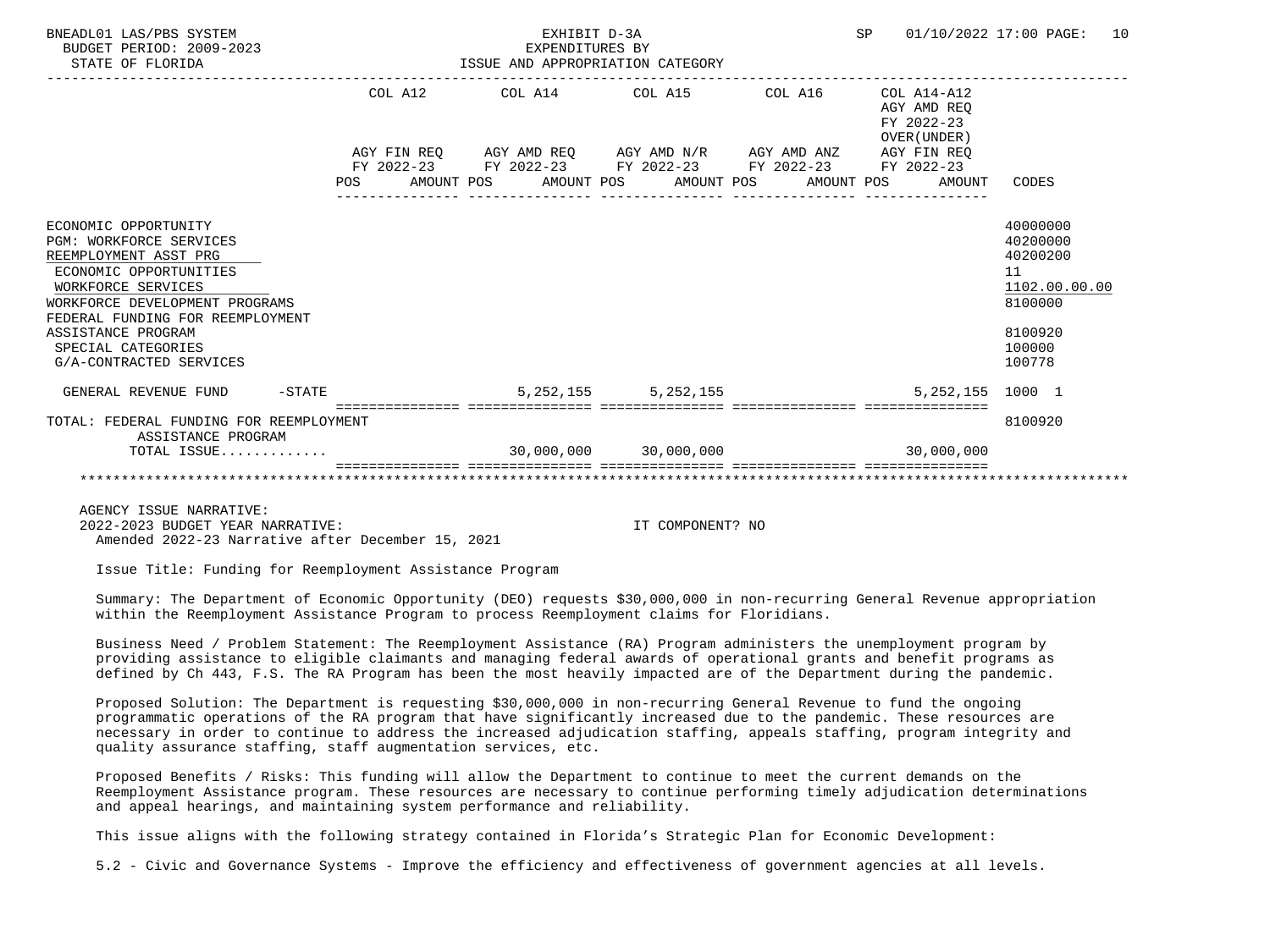| BNEADL01 LAS/PBS SYSTEM<br>BUDGET PERIOD: 2009-2023<br>STATE OF FLORIDA | EXHIBIT D-3A<br>EXPENDITURES BY<br>ISSUE AND APPROPRIATION CATEGORY |                         |                  | SP                                                           | 01/10/2022 17:00 PAGE:<br>10 |
|-------------------------------------------------------------------------|---------------------------------------------------------------------|-------------------------|------------------|--------------------------------------------------------------|------------------------------|
|                                                                         | COL A12 COL A14 COL A15 COL A16                                     |                         |                  | COL A14-A12<br>AGY AMD REO<br>FY 2022-23<br>OVER (UNDER)     |                              |
|                                                                         | AGY FIN REQ AGY AMD REQ AGY AMD N/R AGY AMD ANZ AGY FIN REQ         |                         |                  |                                                              |                              |
|                                                                         | FY 2022-23 FY 2022-23 FY 2022-23 FY 2022-23 FY 2022-23              |                         |                  |                                                              |                              |
|                                                                         |                                                                     |                         | ________________ | POS AMOUNT POS AMOUNT POS AMOUNT POS AMOUNT POS AMOUNT CODES |                              |
| ECONOMIC OPPORTUNITY                                                    |                                                                     |                         |                  |                                                              | 40000000                     |
| <b>PGM: WORKFORCE SERVICES</b>                                          |                                                                     |                         |                  |                                                              | 40200000                     |
| REEMPLOYMENT ASST PRG                                                   |                                                                     |                         |                  |                                                              | 40200200                     |
| ECONOMIC OPPORTUNITIES                                                  |                                                                     |                         |                  |                                                              | 11                           |
| WORKFORCE SERVICES                                                      |                                                                     |                         |                  |                                                              | 1102.00.00.00                |
| WORKFORCE DEVELOPMENT PROGRAMS                                          |                                                                     |                         |                  |                                                              | 8100000                      |
| FEDERAL FUNDING FOR REEMPLOYMENT<br>ASSISTANCE PROGRAM                  |                                                                     |                         |                  |                                                              | 8100920                      |
| SPECIAL CATEGORIES                                                      |                                                                     |                         |                  |                                                              | 100000                       |
| G/A-CONTRACTED SERVICES                                                 |                                                                     |                         |                  |                                                              | 100778                       |
| GENERAL REVENUE FUND -STATE                                             |                                                                     | 5, 252, 155 5, 252, 155 |                  | 5, 252, 155 1000 1                                           |                              |
|                                                                         |                                                                     |                         |                  |                                                              |                              |
| TOTAL: FEDERAL FUNDING FOR REEMPLOYMENT<br>ASSISTANCE PROGRAM           |                                                                     |                         |                  |                                                              | 8100920                      |
| TOTAL ISSUE                                                             |                                                                     | 30,000,000 30,000,000   |                  | 30.000.000                                                   |                              |
|                                                                         |                                                                     |                         |                  |                                                              |                              |

AGENCY ISSUE NARRATIVE:

 2022-2023 BUDGET YEAR NARRATIVE: IT COMPONENT? NO Amended 2022-23 Narrative after December 15, 2021

Issue Title: Funding for Reemployment Assistance Program

 Summary: The Department of Economic Opportunity (DEO) requests \$30,000,000 in non-recurring General Revenue appropriation within the Reemployment Assistance Program to process Reemployment claims for Floridians.

 Business Need / Problem Statement: The Reemployment Assistance (RA) Program administers the unemployment program by providing assistance to eligible claimants and managing federal awards of operational grants and benefit programs as defined by Ch 443, F.S. The RA Program has been the most heavily impacted are of the Department during the pandemic.

 Proposed Solution: The Department is requesting \$30,000,000 in non-recurring General Revenue to fund the ongoing programmatic operations of the RA program that have significantly increased due to the pandemic. These resources are necessary in order to continue to address the increased adjudication staffing, appeals staffing, program integrity and quality assurance staffing, staff augmentation services, etc.

 Proposed Benefits / Risks: This funding will allow the Department to continue to meet the current demands on the Reemployment Assistance program. These resources are necessary to continue performing timely adjudication determinations and appeal hearings, and maintaining system performance and reliability.

This issue aligns with the following strategy contained in Florida's Strategic Plan for Economic Development:

5.2 - Civic and Governance Systems - Improve the efficiency and effectiveness of government agencies at all levels.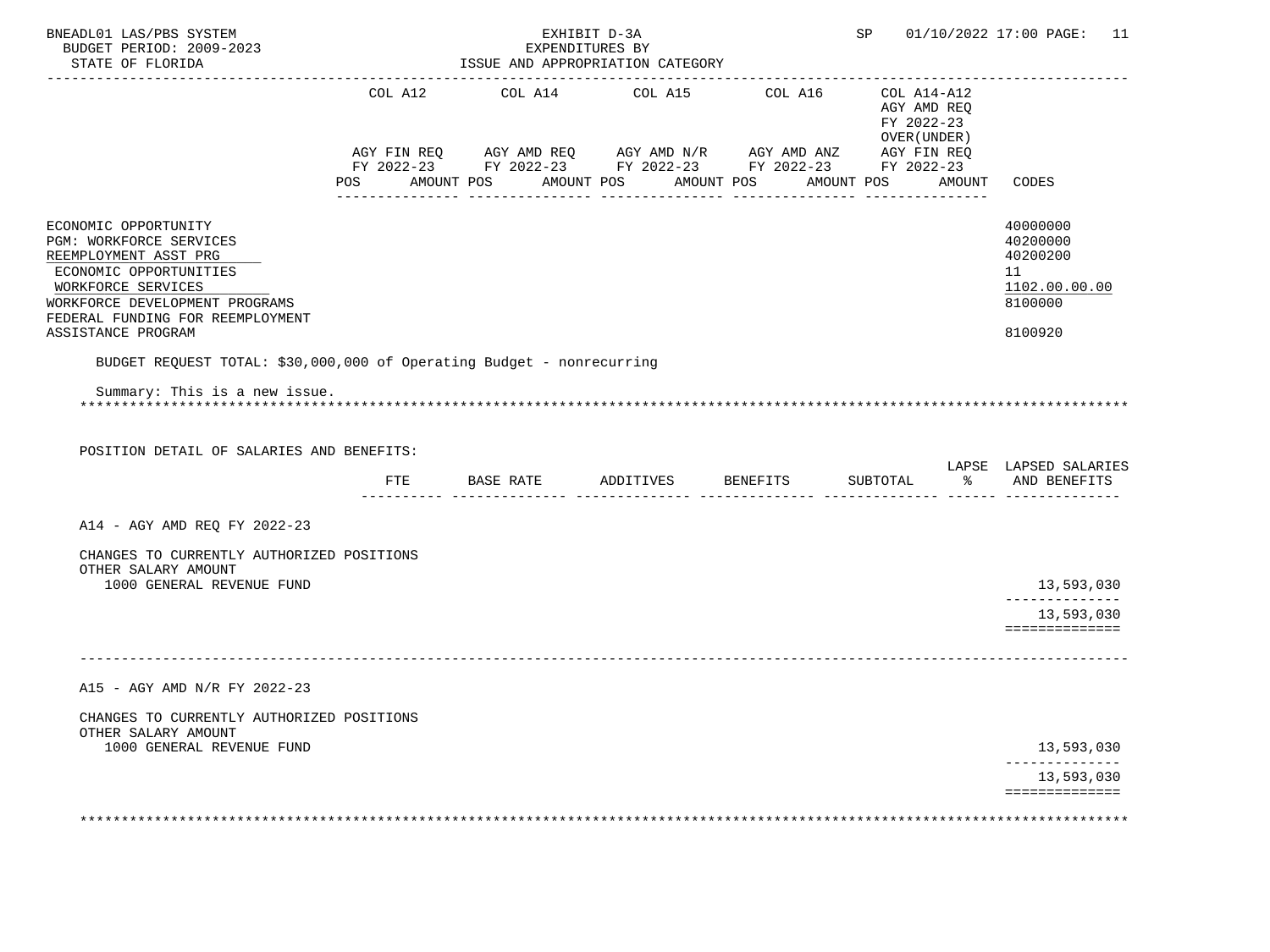| BNEADL01 LAS/PBS SYSTEM<br>BUDGET PERIOD: 2009-2023<br>STATE OF FLORIDA                                                                                                                                              |                | EXHIBIT D-3A<br>EXPENDITURES BY<br>ISSUE AND APPROPRIATION CATEGORY<br>--------------------------------------                                                                     |                       |                                                          |        | SP 01/10/2022 17:00 PAGE: 11                                                  |
|----------------------------------------------------------------------------------------------------------------------------------------------------------------------------------------------------------------------|----------------|-----------------------------------------------------------------------------------------------------------------------------------------------------------------------------------|-----------------------|----------------------------------------------------------|--------|-------------------------------------------------------------------------------|
|                                                                                                                                                                                                                      | COL A12        | COL A14 COL A15 COL A16                                                                                                                                                           |                       | COL A14-A12<br>AGY AMD REQ<br>FY 2022-23<br>OVER (UNDER) |        |                                                                               |
|                                                                                                                                                                                                                      | POS AMOUNT POS | AGY FIN REQ        AGY AMD REQ        AGY AMD N/R        AGY AMD ANZ         AGY FIN REQ<br>FY 2022-23         FY 2022-23         FY 2022-23         FY 2022-23        FY 2022-23 | AMOUNT POS AMOUNT POS | AMOUNT POS                                               | AMOUNT | CODES                                                                         |
| ECONOMIC OPPORTUNITY<br>PGM: WORKFORCE SERVICES<br>REEMPLOYMENT ASST PRG<br>ECONOMIC OPPORTUNITIES<br>WORKFORCE SERVICES<br>WORKFORCE DEVELOPMENT PROGRAMS<br>FEDERAL FUNDING FOR REEMPLOYMENT<br>ASSISTANCE PROGRAM |                |                                                                                                                                                                                   |                       |                                                          |        | 40000000<br>40200000<br>40200200<br>11<br>1102.00.00.00<br>8100000<br>8100920 |
| BUDGET REQUEST TOTAL: \$30,000,000 of Operating Budget - nonrecurring                                                                                                                                                |                |                                                                                                                                                                                   |                       |                                                          |        |                                                                               |
| Summary: This is a new issue.                                                                                                                                                                                        |                |                                                                                                                                                                                   |                       |                                                          |        |                                                                               |
| POSITION DETAIL OF SALARIES AND BENEFITS:                                                                                                                                                                            |                | FTE BASE RATE ADDITIVES BENEFITS                                                                                                                                                  |                       | SUBTOTAL                                                 |        | LAPSE LAPSED SALARIES<br>% AND BENEFITS                                       |
| A14 - AGY AMD REQ FY 2022-23                                                                                                                                                                                         |                |                                                                                                                                                                                   |                       |                                                          |        |                                                                               |
| CHANGES TO CURRENTLY AUTHORIZED POSITIONS                                                                                                                                                                            |                |                                                                                                                                                                                   |                       |                                                          |        |                                                                               |
| OTHER SALARY AMOUNT                                                                                                                                                                                                  |                |                                                                                                                                                                                   |                       |                                                          |        |                                                                               |
| 1000 GENERAL REVENUE FUND                                                                                                                                                                                            |                |                                                                                                                                                                                   |                       |                                                          |        | 13,593,030<br>--------------<br>13,593,030                                    |
|                                                                                                                                                                                                                      |                |                                                                                                                                                                                   |                       |                                                          |        | ==============                                                                |
| A15 - AGY AMD N/R FY 2022-23                                                                                                                                                                                         |                |                                                                                                                                                                                   |                       |                                                          |        |                                                                               |
| CHANGES TO CURRENTLY AUTHORIZED POSITIONS<br>OTHER SALARY AMOUNT                                                                                                                                                     |                |                                                                                                                                                                                   |                       |                                                          |        |                                                                               |
| 1000 GENERAL REVENUE FUND                                                                                                                                                                                            |                |                                                                                                                                                                                   |                       |                                                          |        | 13,593,030<br>13,593,030                                                      |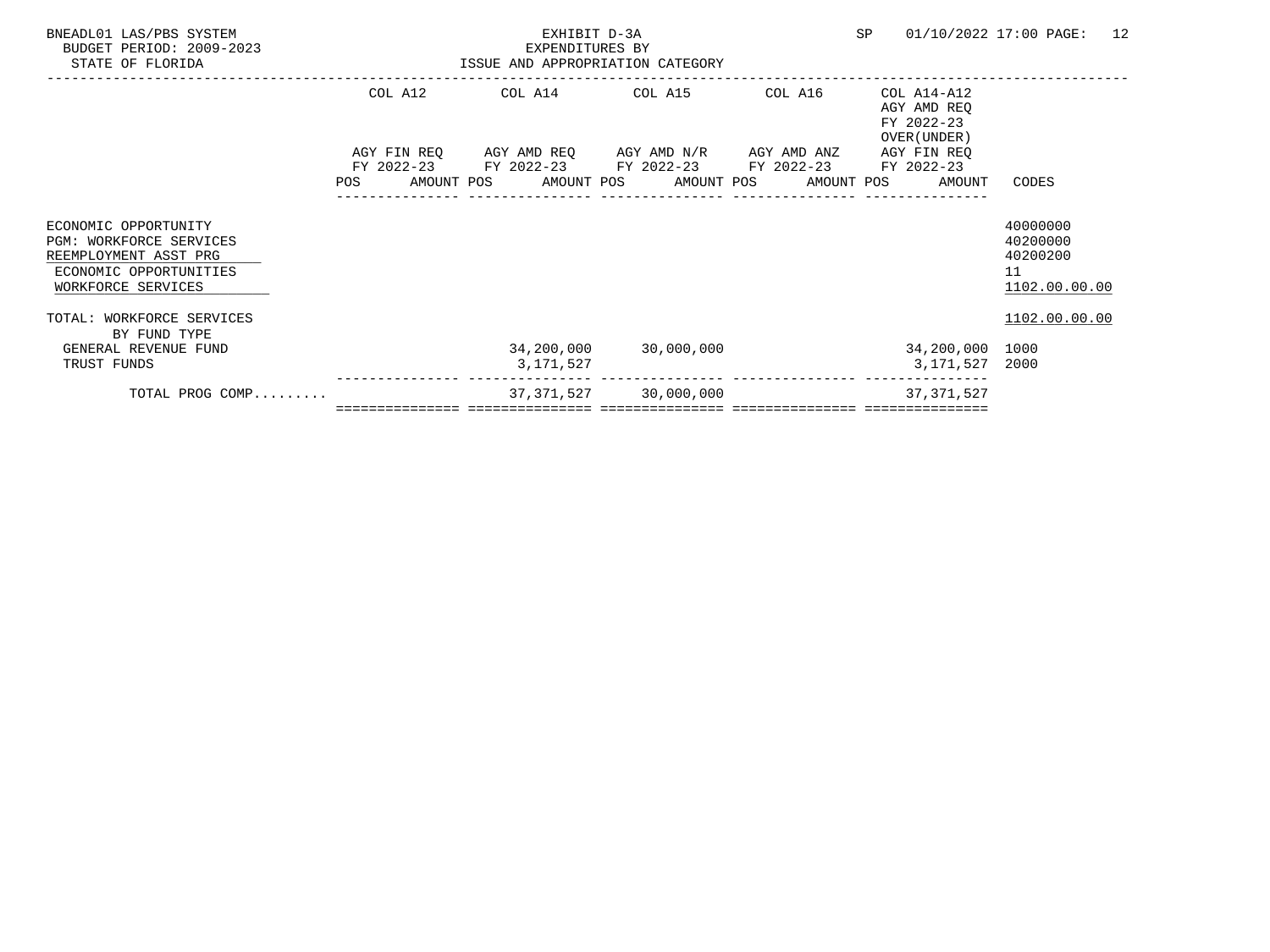| BNEADL01 LAS/PBS SYSTEM<br>BUDGET PERIOD: 2009-2023<br>STATE OF FLORIDA                                                  |            | EXHIBIT D-3A<br>EXPENDITURES BY<br>ISSUE AND APPROPRIATION CATEGORY                                                                           | SP                    | 01/10/2022 17:00 PAGE:<br>12 |                                                          |                                                         |
|--------------------------------------------------------------------------------------------------------------------------|------------|-----------------------------------------------------------------------------------------------------------------------------------------------|-----------------------|------------------------------|----------------------------------------------------------|---------------------------------------------------------|
|                                                                                                                          | COL A12    | COL A14 COL A15                                                                                                                               |                       | COL A16                      | COL A14-A12<br>AGY AMD REQ<br>FY 2022-23<br>OVER (UNDER) |                                                         |
|                                                                                                                          | <b>POS</b> | AGY FIN REQ AGY AMD REQ AGY AMD N/R AGY AMD ANZ<br>FY 2022-23 FY 2022-23 FY 2022-23 FY 2022-23<br>AMOUNT POS AMOUNT POS AMOUNT POS AMOUNT POS |                       |                              | AGY FIN REQ<br>FY 2022-23<br>AMOUNT                      | CODES                                                   |
| ECONOMIC OPPORTUNITY<br>PGM: WORKFORCE SERVICES<br>REEMPLOYMENT ASST PRG<br>ECONOMIC OPPORTUNITIES<br>WORKFORCE SERVICES |            |                                                                                                                                               |                       |                              |                                                          | 40000000<br>40200000<br>40200200<br>11<br>1102.00.00.00 |
| TOTAL: WORKFORCE SERVICES<br>BY FUND TYPE<br>GENERAL REVENUE FUND                                                        |            |                                                                                                                                               | 34,200,000 30,000,000 |                              | 34,200,000 1000                                          | 1102.00.00.00                                           |
| TRUST FUNDS<br>TOTAL PROG COMP                                                                                           |            | 3,171,527                                                                                                                                     | 37,371,527 30,000,000 |                              | 3,171,527 2000<br>37, 371, 527                           |                                                         |
|                                                                                                                          |            |                                                                                                                                               |                       |                              |                                                          |                                                         |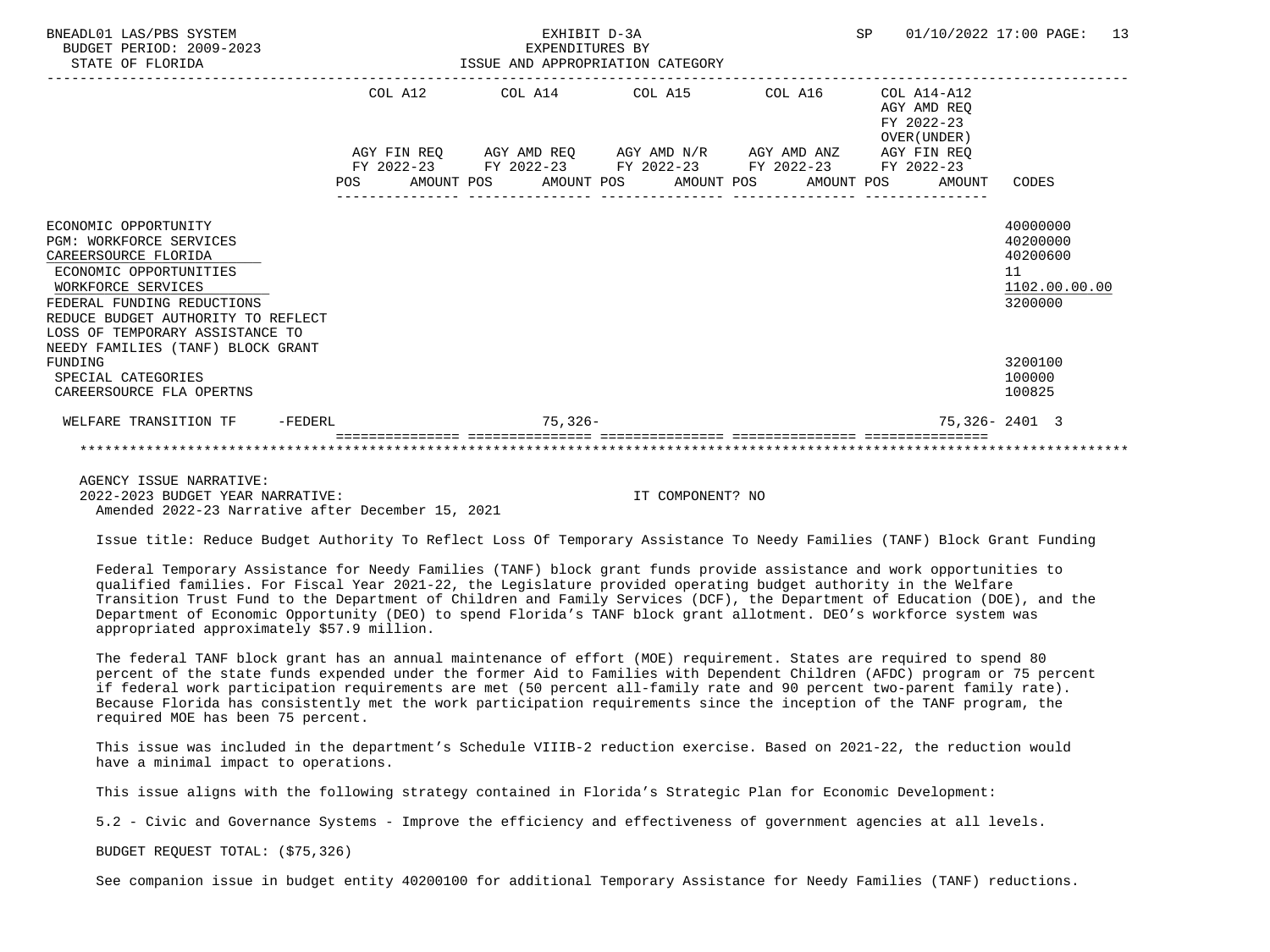| BNEADL01 LAS/PBS SYSTEM<br>BUDGET PERIOD: 2009-2023<br>STATE OF FLORIDA                                                                                                                                                               |         |         | EXHIBIT D-3A<br>EXPENDITURES BY<br>ISSUE AND APPROPRIATION CATEGORY | <b>SP</b>                                                                                                                                                            |  | 01/10/2022 17:00 PAGE: 13 |                                                          |                                                                    |  |
|---------------------------------------------------------------------------------------------------------------------------------------------------------------------------------------------------------------------------------------|---------|---------|---------------------------------------------------------------------|----------------------------------------------------------------------------------------------------------------------------------------------------------------------|--|---------------------------|----------------------------------------------------------|--------------------------------------------------------------------|--|
|                                                                                                                                                                                                                                       |         | COL A12 |                                                                     | COL A14 COL A15 COL A16                                                                                                                                              |  |                           | COL A14-A12<br>AGY AMD REO<br>FY 2022-23<br>OVER (UNDER) |                                                                    |  |
|                                                                                                                                                                                                                                       |         |         |                                                                     | $\begin{tabular}{lllllllllll} \bf AGY & \tt FIN & \tt REG & \tt AGY & \tt AMD & \tt REG & \tt AGY & \tt AMD & \tt NY & \tt AGY & \tt AMD & \tt ANZ \\ \end{tabular}$ |  |                           | AGY FIN REO                                              |                                                                    |  |
|                                                                                                                                                                                                                                       |         |         |                                                                     | FY 2022-23 FY 2022-23 FY 2022-23 FY 2022-23 FY 2022-23<br>POS AMOUNT POS AMOUNT POS AMOUNT POS AMOUNT POS AMOUNT CODES                                               |  |                           |                                                          |                                                                    |  |
| ECONOMIC OPPORTUNITY<br><b>PGM: WORKFORCE SERVICES</b><br>CAREERSOURCE FLORIDA<br>ECONOMIC OPPORTUNITIES<br>WORKFORCE SERVICES<br>FEDERAL FUNDING REDUCTIONS<br>REDUCE BUDGET AUTHORITY TO REFLECT<br>LOSS OF TEMPORARY ASSISTANCE TO |         |         |                                                                     |                                                                                                                                                                      |  |                           |                                                          | 40000000<br>40200000<br>40200600<br>11<br>1102.00.00.00<br>3200000 |  |
| NEEDY FAMILIES (TANF) BLOCK GRANT<br>FUNDING<br>SPECIAL CATEGORIES<br>CAREERSOURCE FLA OPERTNS                                                                                                                                        |         |         |                                                                     |                                                                                                                                                                      |  |                           |                                                          | 3200100<br>100000<br>100825                                        |  |
| WELFARE TRANSITION TF                                                                                                                                                                                                                 | -FEDERL |         | $75.326 -$                                                          |                                                                                                                                                                      |  |                           |                                                          | $75.326 - 2401$ 3                                                  |  |
|                                                                                                                                                                                                                                       |         |         |                                                                     |                                                                                                                                                                      |  |                           |                                                          |                                                                    |  |

 AGENCY ISSUE NARRATIVE: 2022-2023 BUDGET YEAR NARRATIVE: IT COMPONENT? NO Amended 2022-23 Narrative after December 15, 2021

Issue title: Reduce Budget Authority To Reflect Loss Of Temporary Assistance To Needy Families (TANF) Block Grant Funding

 Federal Temporary Assistance for Needy Families (TANF) block grant funds provide assistance and work opportunities to qualified families. For Fiscal Year 2021-22, the Legislature provided operating budget authority in the Welfare Transition Trust Fund to the Department of Children and Family Services (DCF), the Department of Education (DOE), and the Department of Economic Opportunity (DEO) to spend Florida's TANF block grant allotment. DEO's workforce system was appropriated approximately \$57.9 million.

 The federal TANF block grant has an annual maintenance of effort (MOE) requirement. States are required to spend 80 percent of the state funds expended under the former Aid to Families with Dependent Children (AFDC) program or 75 percent if federal work participation requirements are met (50 percent all-family rate and 90 percent two-parent family rate). Because Florida has consistently met the work participation requirements since the inception of the TANF program, the required MOE has been 75 percent.

 This issue was included in the department's Schedule VIIIB-2 reduction exercise. Based on 2021-22, the reduction would have a minimal impact to operations.

This issue aligns with the following strategy contained in Florida's Strategic Plan for Economic Development:

5.2 - Civic and Governance Systems - Improve the efficiency and effectiveness of government agencies at all levels.

BUDGET REQUEST TOTAL: (\$75,326)

See companion issue in budget entity 40200100 for additional Temporary Assistance for Needy Families (TANF) reductions.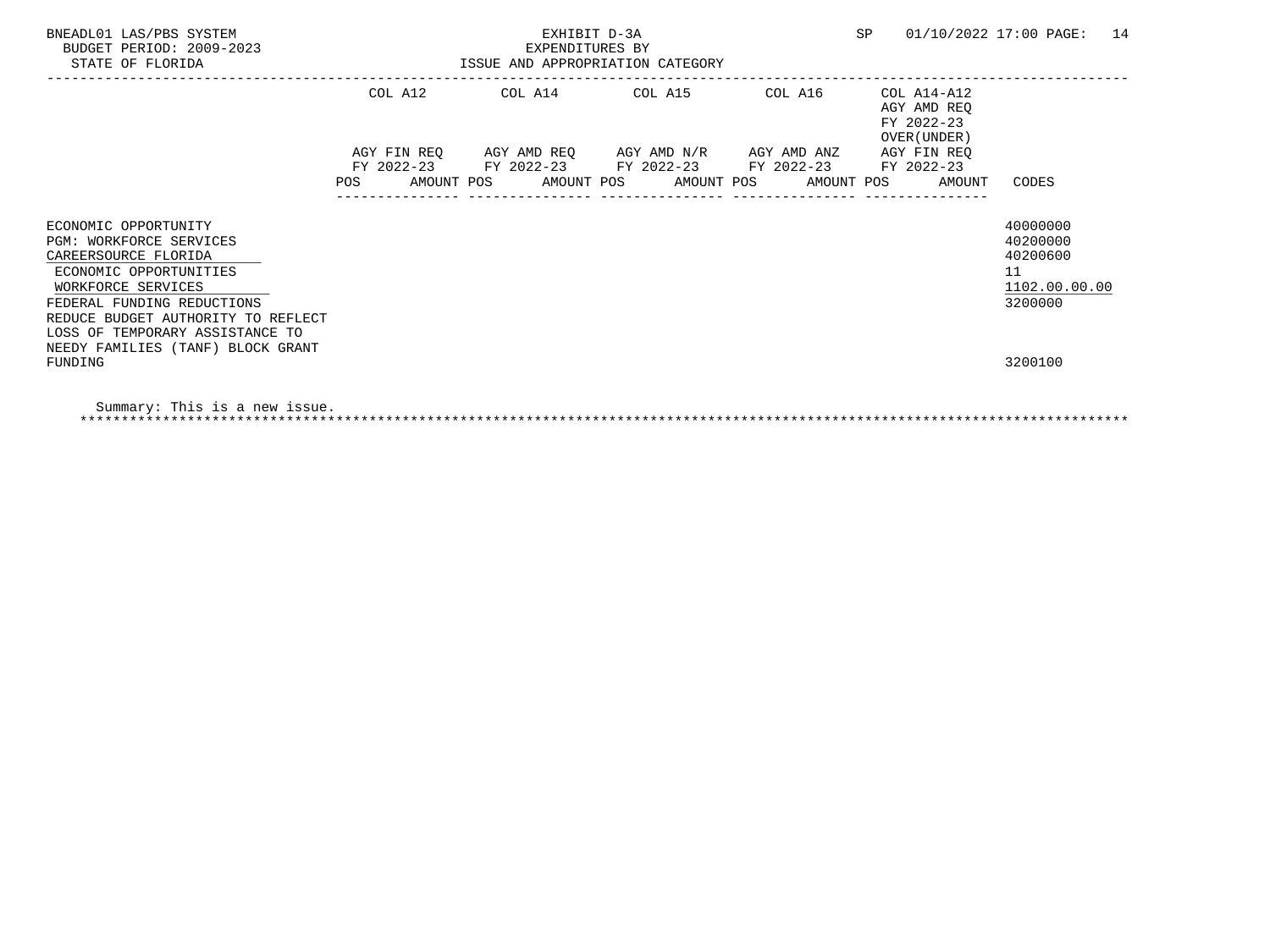| BNEADL01 LAS/PBS SYSTEM<br>BUDGET PERIOD: 2009-2023<br>STATE OF FLORIDA                                                                                                                                                        | EXHIBIT D-3A<br>EXPENDITURES BY<br>ISSUE AND APPROPRIATION CATEGORY |  |  |  |                                                                                                                        |  |  |  |                                                           | 01/10/2022 17:00 PAGE: 14                                          |  |
|--------------------------------------------------------------------------------------------------------------------------------------------------------------------------------------------------------------------------------|---------------------------------------------------------------------|--|--|--|------------------------------------------------------------------------------------------------------------------------|--|--|--|-----------------------------------------------------------|--------------------------------------------------------------------|--|
|                                                                                                                                                                                                                                |                                                                     |  |  |  | COL A12 COL A14 COL A15 COL A16                                                                                        |  |  |  | COL A14-A12<br>AGY AMD REO<br>FY 2022-23<br>OVER (UNDER ) |                                                                    |  |
|                                                                                                                                                                                                                                |                                                                     |  |  |  | AGY FIN REQ 6 AGY AMD REQ 6 AGY AMD N/R 66 AGY AMD ANZ                                                                 |  |  |  | AGY FIN REQ                                               |                                                                    |  |
|                                                                                                                                                                                                                                |                                                                     |  |  |  | FY 2022-23 FY 2022-23 FY 2022-23 FY 2022-23 FY 2022-23<br>POS AMOUNT POS AMOUNT POS AMOUNT POS AMOUNT POS AMOUNT CODES |  |  |  |                                                           |                                                                    |  |
| ECONOMIC OPPORTUNITY<br>PGM: WORKFORCE SERVICES<br>CAREERSOURCE FLORIDA<br>ECONOMIC OPPORTUNITIES<br>WORKFORCE SERVICES<br>FEDERAL FUNDING REDUCTIONS<br>REDUCE BUDGET AUTHORITY TO REFLECT<br>LOSS OF TEMPORARY ASSISTANCE TO |                                                                     |  |  |  |                                                                                                                        |  |  |  |                                                           | 40000000<br>40200000<br>40200600<br>11<br>1102.00.00.00<br>3200000 |  |
| NEEDY FAMILIES (TANF) BLOCK GRANT<br>FUNDING                                                                                                                                                                                   |                                                                     |  |  |  |                                                                                                                        |  |  |  |                                                           | 3200100                                                            |  |

 Summary: This is a new issue. \*\*\*\*\*\*\*\*\*\*\*\*\*\*\*\*\*\*\*\*\*\*\*\*\*\*\*\*\*\*\*\*\*\*\*\*\*\*\*\*\*\*\*\*\*\*\*\*\*\*\*\*\*\*\*\*\*\*\*\*\*\*\*\*\*\*\*\*\*\*\*\*\*\*\*\*\*\*\*\*\*\*\*\*\*\*\*\*\*\*\*\*\*\*\*\*\*\*\*\*\*\*\*\*\*\*\*\*\*\*\*\*\*\*\*\*\*\*\*\*\*\*\*\*\*\*\*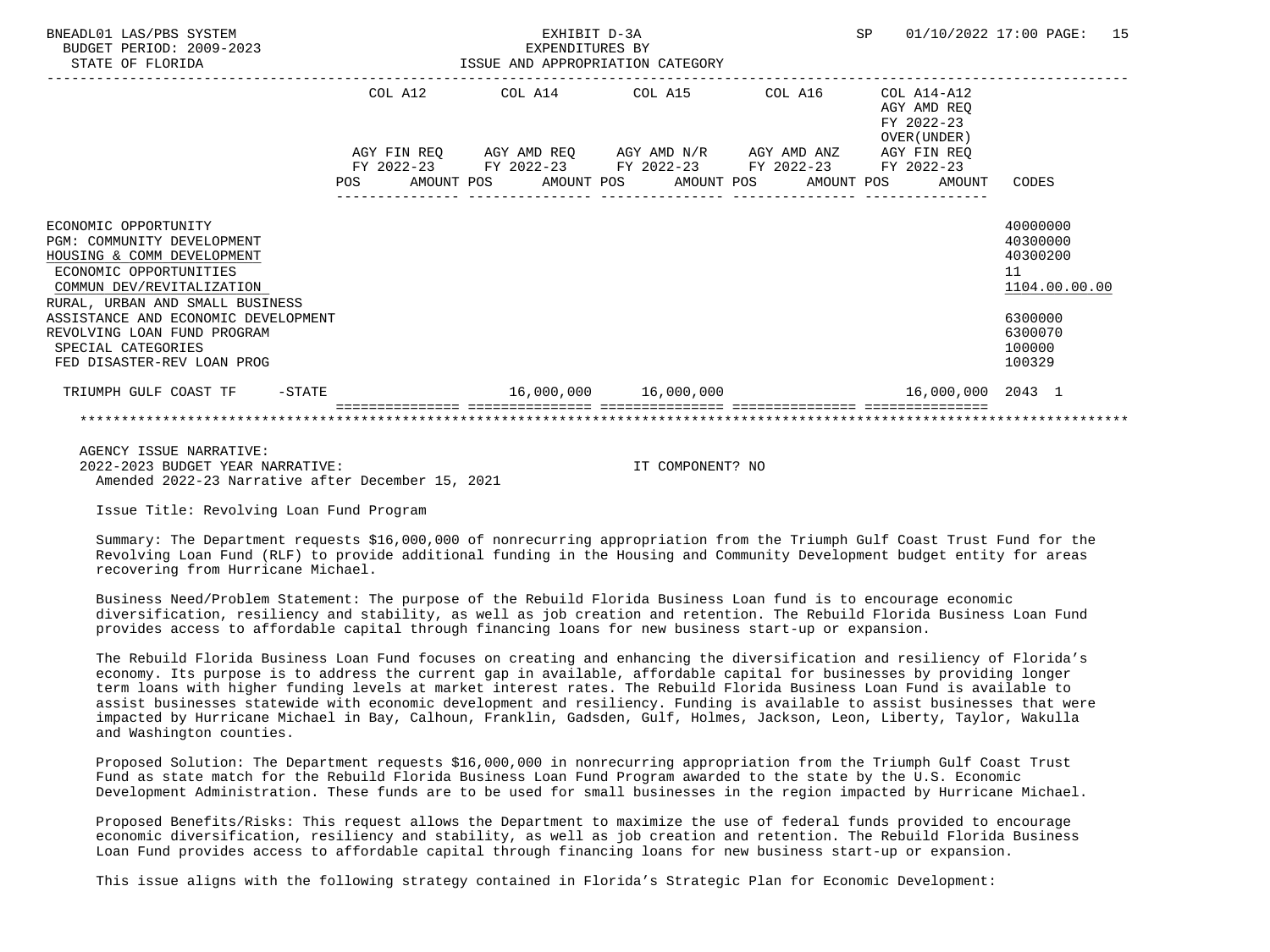| BNEADL01 LAS/PBS SYSTEM<br>BUDGET PERIOD: 2009-2023<br>STATE OF FLORIDA                                                                                                    |            |                           | EXHIBIT D-3A<br>EXPENDITURES BY<br>ISSUE AND APPROPRIATION CATEGORY                              |  |            |  |            | SP |                                                          | 01/10/2022 17:00 PAGE:                                  | 15 |
|----------------------------------------------------------------------------------------------------------------------------------------------------------------------------|------------|---------------------------|--------------------------------------------------------------------------------------------------|--|------------|--|------------|----|----------------------------------------------------------|---------------------------------------------------------|----|
|                                                                                                                                                                            | COL A12    |                           | COL A14 COL A15 COL A16                                                                          |  |            |  |            |    | COL A14-A12<br>AGY AMD REO<br>FY 2022-23<br>OVER (UNDER) |                                                         |    |
|                                                                                                                                                                            | <b>POS</b> | AGY FIN REQ<br>FY 2022-23 | AGY AMD REQ AGY AMD N/R AGY AMD ANZ<br>FY 2022-23 FY 2022-23 FY 2022-23<br>AMOUNT POS AMOUNT POS |  | AMOUNT POS |  | AMOUNT POS |    | AGY FIN REQ<br>FY 2022-23<br>AMOUNT                      | CODES                                                   |    |
| ECONOMIC OPPORTUNITY<br>PGM: COMMUNITY DEVELOPMENT<br>HOUSING & COMM DEVELOPMENT<br>ECONOMIC OPPORTUNITIES<br>COMMUN DEV/REVITALIZATION<br>RURAL, URBAN AND SMALL BUSINESS |            |                           |                                                                                                  |  |            |  |            |    |                                                          | 40000000<br>40300000<br>40300200<br>11<br>1104.00.00.00 |    |
| ASSISTANCE AND ECONOMIC DEVELOPMENT<br>REVOLVING LOAN FUND PROGRAM<br>SPECIAL CATEGORIES<br>FED DISASTER-REV LOAN PROG                                                     |            |                           |                                                                                                  |  |            |  |            |    |                                                          | 6300000<br>6300070<br>100000<br>100329                  |    |
| TRIUMPH GULF COAST TF<br>$-STATE$                                                                                                                                          |            |                           |                                                                                                  |  |            |  |            |    | 16,000,000 2043 1                                        |                                                         |    |
|                                                                                                                                                                            |            |                           |                                                                                                  |  |            |  |            |    |                                                          |                                                         |    |

 AGENCY ISSUE NARRATIVE: 2022-2023 BUDGET YEAR NARRATIVE: IT COMPONENT? NO Amended 2022-23 Narrative after December 15, 2021

Issue Title: Revolving Loan Fund Program

 Summary: The Department requests \$16,000,000 of nonrecurring appropriation from the Triumph Gulf Coast Trust Fund for the Revolving Loan Fund (RLF) to provide additional funding in the Housing and Community Development budget entity for areas recovering from Hurricane Michael.

 Business Need/Problem Statement: The purpose of the Rebuild Florida Business Loan fund is to encourage economic diversification, resiliency and stability, as well as job creation and retention. The Rebuild Florida Business Loan Fund provides access to affordable capital through financing loans for new business start-up or expansion.

 The Rebuild Florida Business Loan Fund focuses on creating and enhancing the diversification and resiliency of Florida's economy. Its purpose is to address the current gap in available, affordable capital for businesses by providing longer term loans with higher funding levels at market interest rates. The Rebuild Florida Business Loan Fund is available to assist businesses statewide with economic development and resiliency. Funding is available to assist businesses that were impacted by Hurricane Michael in Bay, Calhoun, Franklin, Gadsden, Gulf, Holmes, Jackson, Leon, Liberty, Taylor, Wakulla and Washington counties.

 Proposed Solution: The Department requests \$16,000,000 in nonrecurring appropriation from the Triumph Gulf Coast Trust Fund as state match for the Rebuild Florida Business Loan Fund Program awarded to the state by the U.S. Economic Development Administration. These funds are to be used for small businesses in the region impacted by Hurricane Michael.

 Proposed Benefits/Risks: This request allows the Department to maximize the use of federal funds provided to encourage economic diversification, resiliency and stability, as well as job creation and retention. The Rebuild Florida Business Loan Fund provides access to affordable capital through financing loans for new business start-up or expansion.

This issue aligns with the following strategy contained in Florida's Strategic Plan for Economic Development: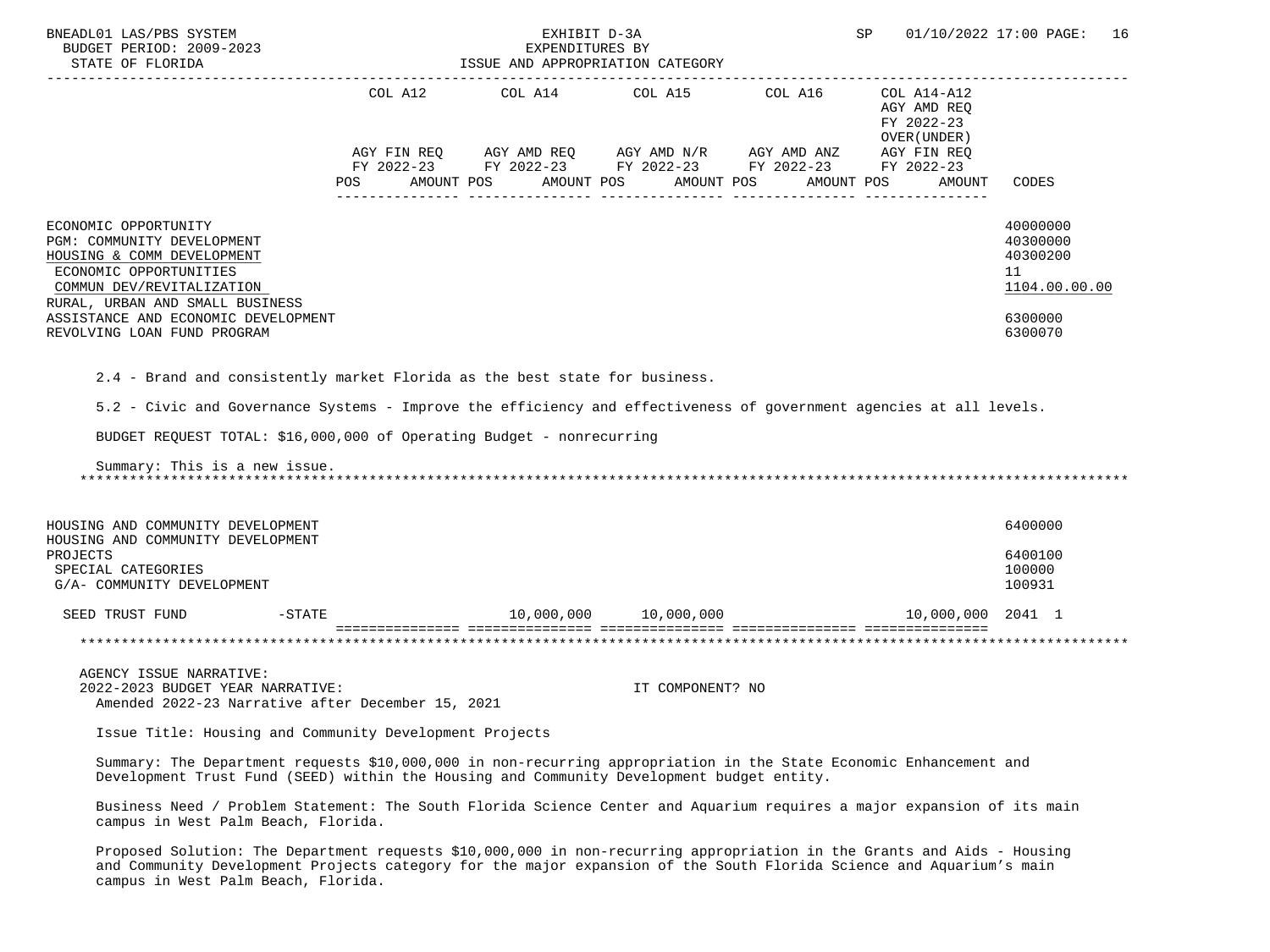| BNEADL01 LAS/PBS SYSTEM<br>BUDGET PERIOD: 2009-2023<br>STATE OF FLORIDA                                                                                                    |                                                                                                                                                                                                                 | EXHIBIT D-3A<br>EXPENDITURES BY<br>ISSUE AND APPROPRIATION CATEGORY                                                                 |                  | SP         | 01/10/2022 17:00 PAGE: 16                  |                                                         |
|----------------------------------------------------------------------------------------------------------------------------------------------------------------------------|-----------------------------------------------------------------------------------------------------------------------------------------------------------------------------------------------------------------|-------------------------------------------------------------------------------------------------------------------------------------|------------------|------------|--------------------------------------------|---------------------------------------------------------|
|                                                                                                                                                                            |                                                                                                                                                                                                                 | COL A12 $COL$ A14 $COL$ A15 $COL$ A16 $COL$ A14-A12                                                                                 |                  |            | AGY AMD REO<br>FY 2022-23<br>OVER (UNDER ) |                                                         |
|                                                                                                                                                                            | POS                                                                                                                                                                                                             | AGY FIN REQ AGY AMD REQ AGY AMD N/R AGY AMD ANZ AGY FIN REQ<br>FY 2022-23 FY 2022-23 FY 2022-23 FY 2022-23 FY 2022-23<br>AMOUNT POS | AMOUNT POS       | AMOUNT POS | AMOUNT POS<br>AMOUNT                       | CODES                                                   |
| ECONOMIC OPPORTUNITY<br>PGM: COMMUNITY DEVELOPMENT<br>HOUSING & COMM DEVELOPMENT<br>ECONOMIC OPPORTUNITIES<br>COMMUN DEV/REVITALIZATION<br>RURAL, URBAN AND SMALL BUSINESS |                                                                                                                                                                                                                 |                                                                                                                                     |                  |            |                                            | 40000000<br>40300000<br>40300200<br>11<br>1104.00.00.00 |
| ASSISTANCE AND ECONOMIC DEVELOPMENT<br>REVOLVING LOAN FUND PROGRAM                                                                                                         |                                                                                                                                                                                                                 |                                                                                                                                     |                  |            |                                            | 6300000<br>6300070                                      |
| Summary: This is a new issue.                                                                                                                                              | BUDGET REQUEST TOTAL: \$16,000,000 of Operating Budget - nonrecurring                                                                                                                                           |                                                                                                                                     |                  |            |                                            |                                                         |
| HOUSING AND COMMUNITY DEVELOPMENT<br>HOUSING AND COMMUNITY DEVELOPMENT                                                                                                     |                                                                                                                                                                                                                 |                                                                                                                                     |                  |            |                                            | 6400000                                                 |
| PROJECTS<br>SPECIAL CATEGORIES<br>G/A- COMMUNITY DEVELOPMENT                                                                                                               |                                                                                                                                                                                                                 |                                                                                                                                     |                  |            |                                            | 6400100<br>100000<br>100931                             |
| SEED TRUST FUND                                                                                                                                                            | $-$ STATE                                                                                                                                                                                                       | $10,000,000$ $10,000,000$ $10,000,000$ $10,000,000$ $2041$ $1$                                                                      |                  |            |                                            |                                                         |
|                                                                                                                                                                            |                                                                                                                                                                                                                 |                                                                                                                                     |                  |            |                                            |                                                         |
| AGENCY ISSUE NARRATIVE:<br>2022-2023 BUDGET YEAR NARRATIVE:                                                                                                                | Amended 2022-23 Narrative after December 15, 2021                                                                                                                                                               |                                                                                                                                     | IT COMPONENT? NO |            |                                            |                                                         |
|                                                                                                                                                                            | Issue Title: Housing and Community Development Projects                                                                                                                                                         |                                                                                                                                     |                  |            |                                            |                                                         |
|                                                                                                                                                                            | Summary: The Department requests \$10,000,000 in non-recurring appropriation in the State Economic Enhancement and<br>Development Trust Fund (SEED) within the Housing and Community Development budget entity. |                                                                                                                                     |                  |            |                                            |                                                         |
| campus in West Palm Beach, Florida.                                                                                                                                        | Business Need / Problem Statement: The South Florida Science Center and Aquarium requires a major expansion of its main                                                                                         |                                                                                                                                     |                  |            |                                            |                                                         |

 Proposed Solution: The Department requests \$10,000,000 in non-recurring appropriation in the Grants and Aids - Housing and Community Development Projects category for the major expansion of the South Florida Science and Aquarium's main campus in West Palm Beach, Florida.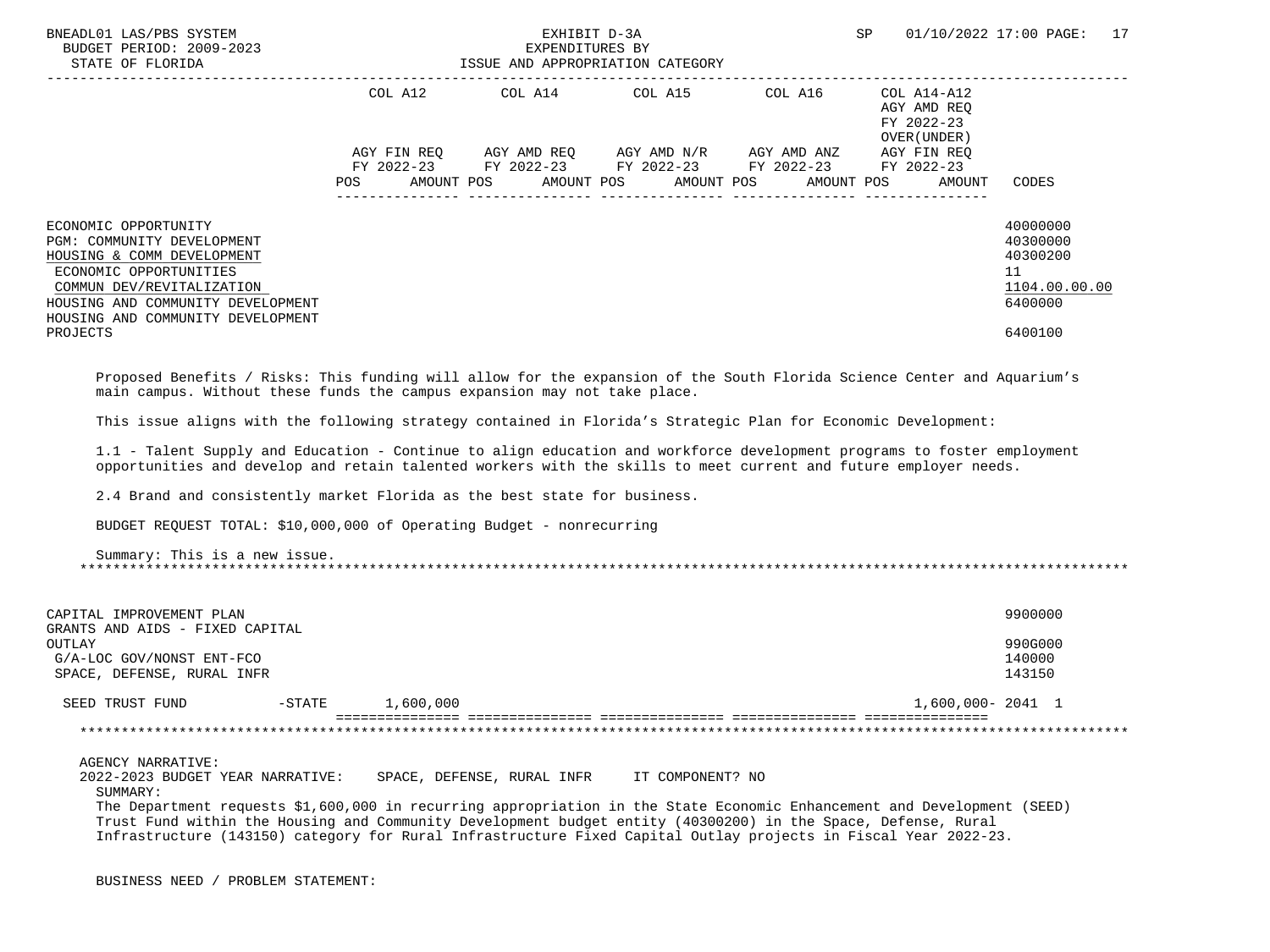| BNEADL01 LAS/PBS SYSTEM<br>BUDGET PERIOD: 2009-2023<br>STATE OF FLORIDA                                                                                                                                           |         | EXHIBIT D-3A<br>EXPENDITURES BY<br>ISSUE AND APPROPRIATION CATEGORY |  |  |  |                                              |  |         | SP |                                                          | 01/10/2022 17:00 PAGE:                                             | 17 |
|-------------------------------------------------------------------------------------------------------------------------------------------------------------------------------------------------------------------|---------|---------------------------------------------------------------------|--|--|--|----------------------------------------------|--|---------|----|----------------------------------------------------------|--------------------------------------------------------------------|----|
|                                                                                                                                                                                                                   | COL A12 |                                                                     |  |  |  | COL A14 COL A15                              |  | COL A16 |    | COL A14-A12<br>AGY AMD REQ<br>FY 2022-23<br>OVER (UNDER) |                                                                    |    |
|                                                                                                                                                                                                                   |         | AGY FIN REO                                                         |  |  |  | AGY AMD REQ      AGY AMD N/R     AGY AMD ANZ |  |         |    | AGY FIN REO                                              |                                                                    |    |
|                                                                                                                                                                                                                   |         | FY 2022-23 FY 2022-23 FY 2022-23 FY 2022-23                         |  |  |  |                                              |  |         |    | FY 2022-23                                               |                                                                    |    |
|                                                                                                                                                                                                                   | POS     |                                                                     |  |  |  | AMOUNT POS AMOUNT POS AMOUNT POS AMOUNT POS  |  |         |    | AMOUNT                                                   | CODES                                                              |    |
| ECONOMIC OPPORTUNITY<br>PGM: COMMUNITY DEVELOPMENT<br>HOUSING & COMM DEVELOPMENT<br>ECONOMIC OPPORTUNITIES<br>COMMUN DEV/REVITALIZATION<br>HOUSING AND COMMUNITY DEVELOPMENT<br>HOUSING AND COMMUNITY DEVELOPMENT |         |                                                                     |  |  |  |                                              |  |         |    |                                                          | 40000000<br>40300000<br>40300200<br>11<br>1104.00.00.00<br>6400000 |    |
| PROJECTS                                                                                                                                                                                                          |         |                                                                     |  |  |  |                                              |  |         |    |                                                          | 6400100                                                            |    |
| Proposed Benefits / Risks: This funding will allow for the expansion of the South Florida Science Center and Aquarium's<br>main campus. Without these funds the campus expansion may not take place.              |         |                                                                     |  |  |  |                                              |  |         |    |                                                          |                                                                    |    |
| This issue aligns with the following strategy contained in Florida's Strategic Plan for Economic Development:                                                                                                     |         |                                                                     |  |  |  |                                              |  |         |    |                                                          |                                                                    |    |

 1.1 - Talent Supply and Education - Continue to align education and workforce development programs to foster employment opportunities and develop and retain talented workers with the skills to meet current and future employer needs.

2.4 Brand and consistently market Florida as the best state for business.

BUDGET REQUEST TOTAL: \$10,000,000 of Operating Budget - nonrecurring

 Summary: This is a new issue. \*\*\*\*\*\*\*\*\*\*\*\*\*\*\*\*\*\*\*\*\*\*\*\*\*\*\*\*\*\*\*\*\*\*\*\*\*\*\*\*\*\*\*\*\*\*\*\*\*\*\*\*\*\*\*\*\*\*\*\*\*\*\*\*\*\*\*\*\*\*\*\*\*\*\*\*\*\*\*\*\*\*\*\*\*\*\*\*\*\*\*\*\*\*\*\*\*\*\*\*\*\*\*\*\*\*\*\*\*\*\*\*\*\*\*\*\*\*\*\*\*\*\*\*\*\*\*

| CAPITAL IMPROVEMENT PLAN<br>GRANTS AND AIDS - FIXED CAPITAL       |          |                            |                  | 9900000                                                                                                                 |
|-------------------------------------------------------------------|----------|----------------------------|------------------|-------------------------------------------------------------------------------------------------------------------------|
| OUTLAY<br>G/A-LOC GOV/NONST ENT-FCO<br>SPACE, DEFENSE, RURAL INFR |          |                            |                  | 990G000<br>140000<br>143150                                                                                             |
| SEED TRUST FUND                                                   | $-STATE$ | 1,600,000                  |                  | 1,600,000-2041 1                                                                                                        |
|                                                                   |          |                            |                  |                                                                                                                         |
| AGENCY NARRATIVE:                                                 |          |                            |                  |                                                                                                                         |
| 2022-2023 BUDGET YEAR NARRATIVE:<br>SUMMARY:                      |          | SPACE, DEFENSE, RURAL INFR | IT COMPONENT? NO |                                                                                                                         |
|                                                                   |          |                            |                  | The Department requests \$1,600,000 in recurring appropriation in the State Economic Enhancement and Development (SEED) |

 Trust Fund within the Housing and Community Development budget entity (40300200) in the Space, Defense, Rural Infrastructure (143150) category for Rural Infrastructure Fixed Capital Outlay projects in Fiscal Year 2022-23.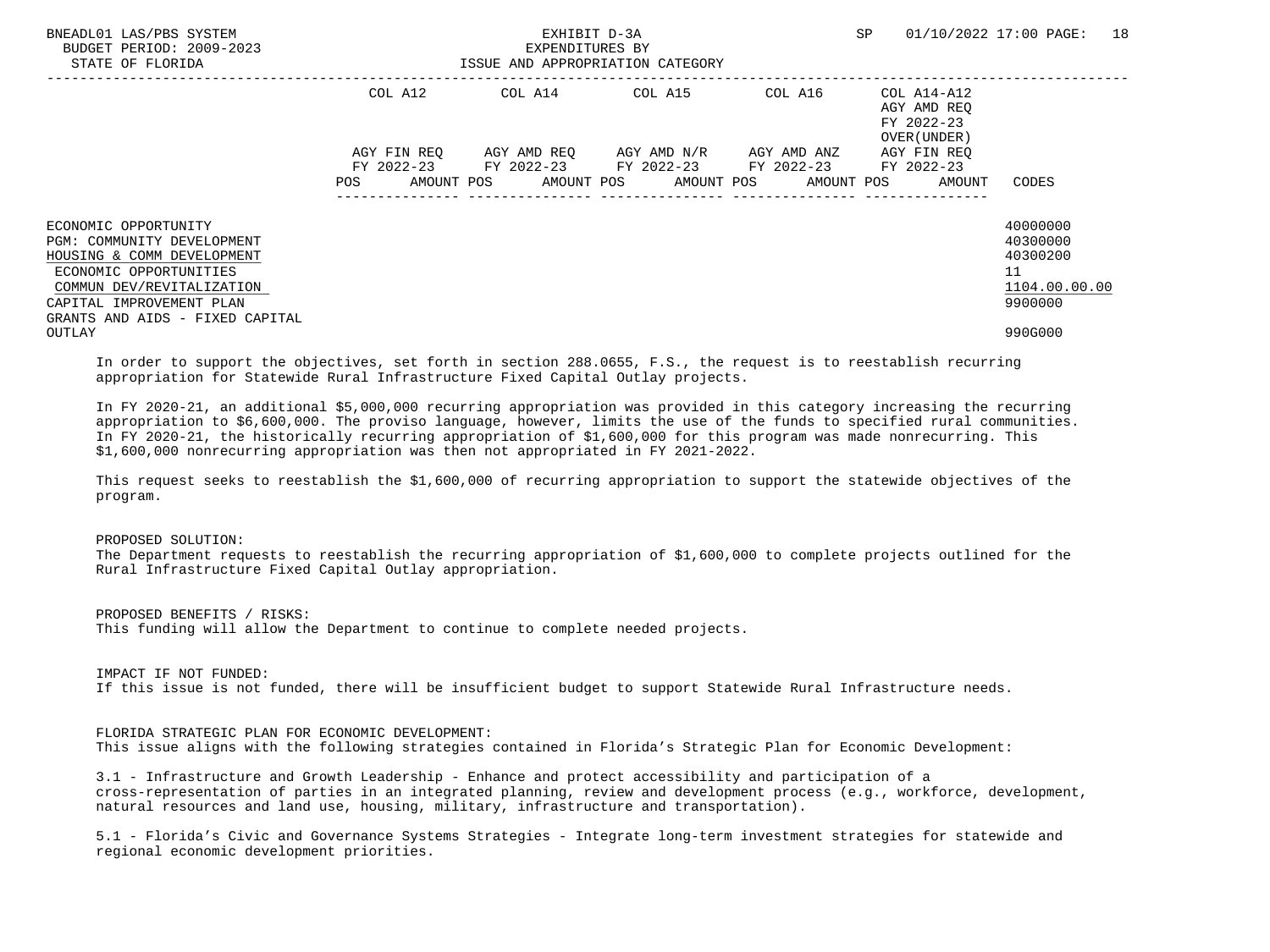| BNEADL01 LAS/PBS SYSTEM<br>BUDGET PERIOD: 2009-2023<br>STATE OF FLORIDA           |             | EXHIBIT D-3A<br>EXPENDITURES BY<br>ISSUE AND APPROPRIATION CATEGORY | SP                                                                                 | 01/10/2022 17:00 PAGE: 18 |                                                          |                                 |
|-----------------------------------------------------------------------------------|-------------|---------------------------------------------------------------------|------------------------------------------------------------------------------------|---------------------------|----------------------------------------------------------|---------------------------------|
|                                                                                   | COL A12     |                                                                     | COL A14 COL A15                                                                    | COL A16                   | COL A14-A12<br>AGY AMD REO<br>FY 2022-23<br>OVER (UNDER) |                                 |
|                                                                                   | AGY FIN REO |                                                                     | AGY AMD REO AGY AMD N/R AGY AMD ANZ<br>FY 2022-23 FY 2022-23 FY 2022-23 FY 2022-23 |                           | AGY FIN REO<br>FY 2022-23                                |                                 |
|                                                                                   | POS         |                                                                     |                                                                                    |                           | AMOUNT POS AMOUNT POS AMOUNT POS AMOUNT POS AMOUNT       | CODES                           |
| ECONOMIC OPPORTUNITY<br>PGM: COMMUNITY DEVELOPMENT                                |             |                                                                     |                                                                                    |                           |                                                          | 40000000<br>40300000            |
| HOUSING & COMM DEVELOPMENT<br>ECONOMIC OPPORTUNITIES<br>COMMUN DEV/REVITALIZATION |             |                                                                     |                                                                                    |                           |                                                          | 40300200<br>11<br>1104.00.00.00 |
| CAPITAL IMPROVEMENT PLAN<br>GRANTS AND AIDS - FIXED CAPITAL                       |             |                                                                     |                                                                                    |                           |                                                          | 9900000                         |
| OUTLAY                                                                            |             |                                                                     |                                                                                    |                           |                                                          | 990G000                         |

 In order to support the objectives, set forth in section 288.0655, F.S., the request is to reestablish recurring appropriation for Statewide Rural Infrastructure Fixed Capital Outlay projects.

 In FY 2020-21, an additional \$5,000,000 recurring appropriation was provided in this category increasing the recurring appropriation to \$6,600,000. The proviso language, however, limits the use of the funds to specified rural communities. In FY 2020-21, the historically recurring appropriation of \$1,600,000 for this program was made nonrecurring. This \$1,600,000 nonrecurring appropriation was then not appropriated in FY 2021-2022.

 This request seeks to reestablish the \$1,600,000 of recurring appropriation to support the statewide objectives of the program.

## PROPOSED SOLUTION:

 The Department requests to reestablish the recurring appropriation of \$1,600,000 to complete projects outlined for the Rural Infrastructure Fixed Capital Outlay appropriation.

PROPOSED BENEFITS / RISKS:

This funding will allow the Department to continue to complete needed projects.

 IMPACT IF NOT FUNDED: If this issue is not funded, there will be insufficient budget to support Statewide Rural Infrastructure needs.

 FLORIDA STRATEGIC PLAN FOR ECONOMIC DEVELOPMENT: This issue aligns with the following strategies contained in Florida's Strategic Plan for Economic Development:

 3.1 - Infrastructure and Growth Leadership - Enhance and protect accessibility and participation of a cross-representation of parties in an integrated planning, review and development process (e.g., workforce, development, natural resources and land use, housing, military, infrastructure and transportation).

 5.1 - Florida's Civic and Governance Systems Strategies - Integrate long-term investment strategies for statewide and regional economic development priorities.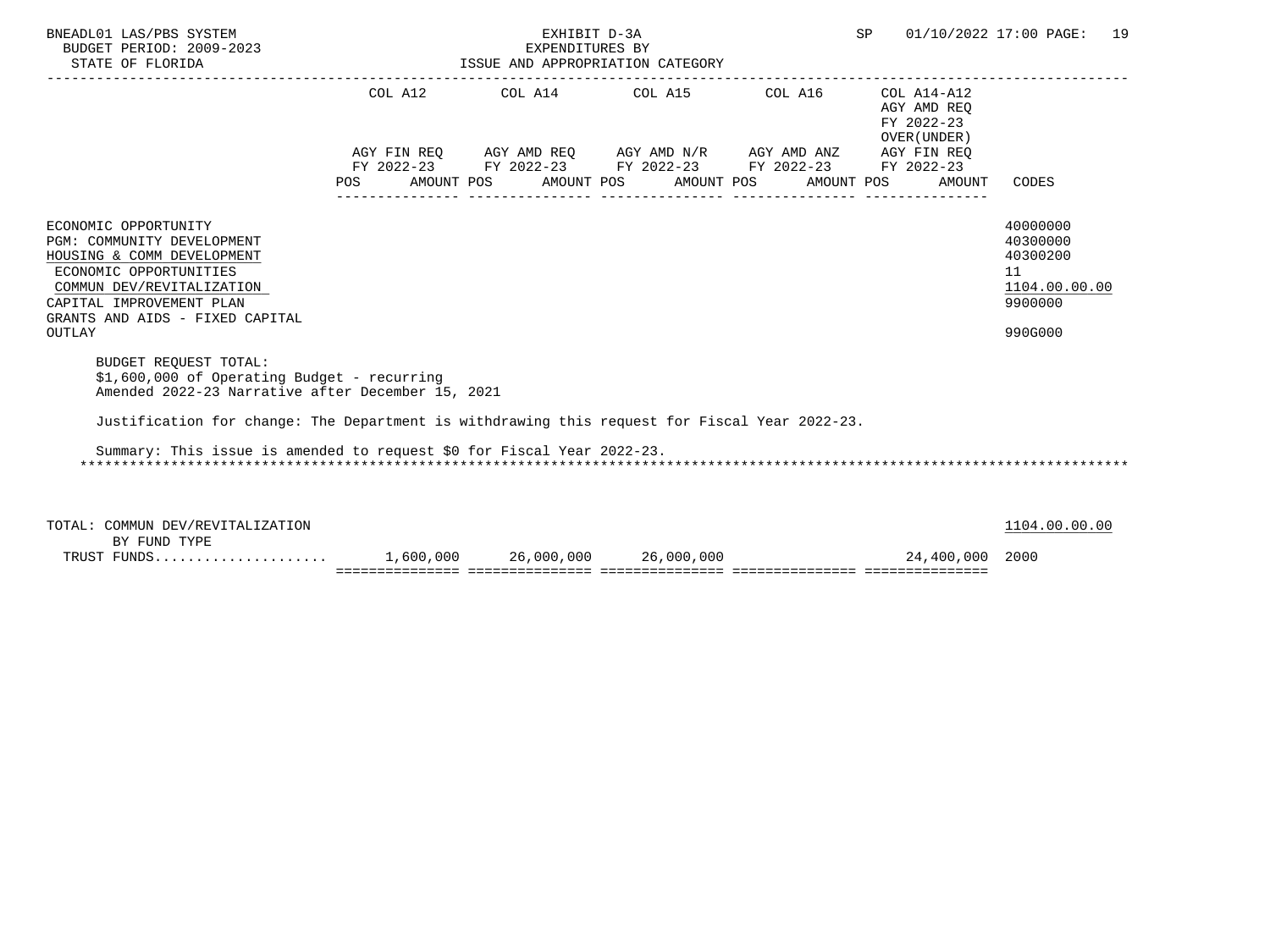| BNEADL01 LAS/PBS SYSTEM<br>BUDGET PERIOD: 2009-2023<br>STATE OF FLORIDA                                                                                                                                          |                    | EXHIBIT D-3A<br>EXPENDITURES BY<br>ISSUE AND APPROPRIATION CATEGORY | SP                                                                                                                                                                                              |  | 01/10/2022 17:00 PAGE: | 19                                                                 |                                                                               |  |
|------------------------------------------------------------------------------------------------------------------------------------------------------------------------------------------------------------------|--------------------|---------------------------------------------------------------------|-------------------------------------------------------------------------------------------------------------------------------------------------------------------------------------------------|--|------------------------|--------------------------------------------------------------------|-------------------------------------------------------------------------------|--|
|                                                                                                                                                                                                                  | COL A12<br>POS FOR |                                                                     | COL A14 COL A15 COL A16<br>AGY FIN REO AGY AMD REO AGY AMD N/R AGY AMD ANZ AGY FIN REO<br>FY 2022-23 FY 2022-23 FY 2022-23 FY 2022-23 FY 2022-23<br>AMOUNT POS AMOUNT POS AMOUNT POS AMOUNT POS |  |                        | COL A14-A12<br>AGY AMD REO<br>FY 2022-23<br>OVER (UNDER)<br>AMOUNT | CODES                                                                         |  |
| ECONOMIC OPPORTUNITY<br>PGM: COMMUNITY DEVELOPMENT<br>HOUSING & COMM DEVELOPMENT<br>ECONOMIC OPPORTUNITIES<br>COMMUN DEV/REVITALIZATION<br>CAPITAL IMPROVEMENT PLAN<br>GRANTS AND AIDS - FIXED CAPITAL<br>OUTLAY |                    |                                                                     |                                                                                                                                                                                                 |  |                        |                                                                    | 40000000<br>40300000<br>40300200<br>11<br>1104.00.00.00<br>9900000<br>990G000 |  |
| <b>BUDGET REQUEST TOTAL:</b><br>$$1,600,000$ of Operating Budget - recurring<br>Amended 2022-23 Narrative after December 15, 2021                                                                                |                    |                                                                     |                                                                                                                                                                                                 |  |                        |                                                                    |                                                                               |  |
| Justification for change: The Department is withdrawing this request for Fiscal Year 2022-23.<br>Summary: This issue is amended to request \$0 for Fiscal Year 2022-23.                                          |                    |                                                                     |                                                                                                                                                                                                 |  |                        |                                                                    |                                                                               |  |
| TOTAL: COMMUN DEV/REVITALIZATION<br>BY FUND TYPE                                                                                                                                                                 |                    |                                                                     |                                                                                                                                                                                                 |  |                        |                                                                    | 1104.00.00.00                                                                 |  |

 TRUST FUNDS..................... 1,600,000 26,000,000 26,000,000 24,400,000 2000 =============== =============== =============== =============== ===============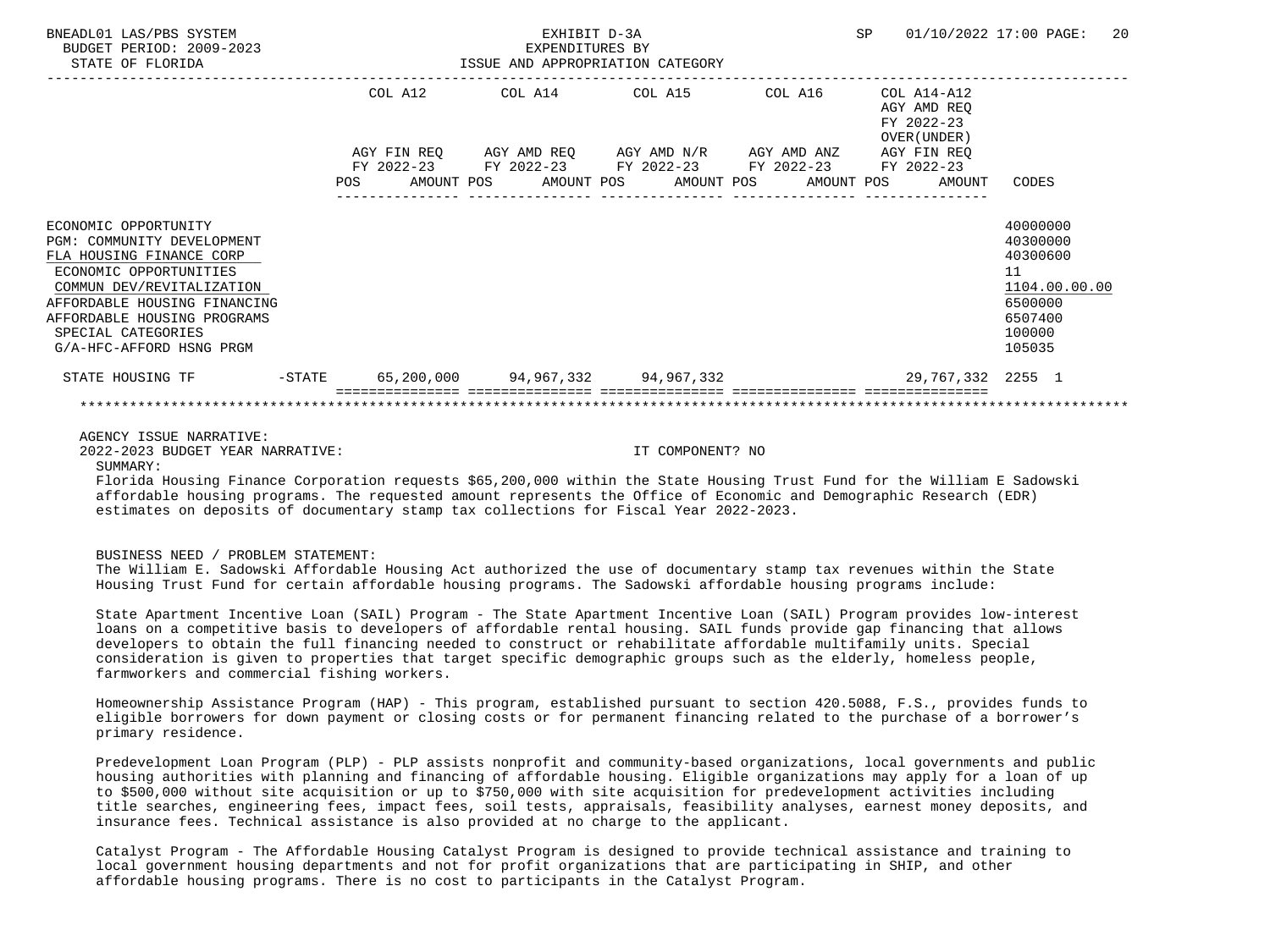| BNEADL01 LAS/PBS SYSTEM<br>BUDGET PERIOD: 2009-2023<br>STATE OF FLORIDA                                                                                                                                                                                |                                                                                                                |         | EXHIBIT D-3A<br>EXPENDITURES BY<br>ISSUE AND APPROPRIATION CATEGORY                                       |  |  |                                                           | SP 01/10/2022 17:00 PAGE:                                                                         | 20 |
|--------------------------------------------------------------------------------------------------------------------------------------------------------------------------------------------------------------------------------------------------------|----------------------------------------------------------------------------------------------------------------|---------|-----------------------------------------------------------------------------------------------------------|--|--|-----------------------------------------------------------|---------------------------------------------------------------------------------------------------|----|
|                                                                                                                                                                                                                                                        |                                                                                                                | COL A12 | AGY FIN REQ AGY AMD REQ AGY AMD N/R AGY AMD ANZ<br>FY 2022-23 FY 2022-23 FY 2022-23 FY 2022-23 FY 2022-23 |  |  | AGY AMD REO<br>FY 2022-23<br>OVER (UNDER )<br>AGY FIN REQ |                                                                                                   |    |
|                                                                                                                                                                                                                                                        | POS FOR THE POST OF THE STATE STATE STATE STATE STATE STATE STATE STATE STATE STATE STATE STATE STATE STATE ST |         | AMOUNT POS      AMOUNT POS     AMOUNT POS     AMOUNT POS                                                  |  |  | AMOUNT                                                    | CODES                                                                                             |    |
| ECONOMIC OPPORTUNITY<br>PGM: COMMUNITY DEVELOPMENT<br>FLA HOUSING FINANCE CORP<br>ECONOMIC OPPORTUNITIES<br>COMMUN DEV/REVITALIZATION<br>AFFORDABLE HOUSING FINANCING<br>AFFORDABLE HOUSING PROGRAMS<br>SPECIAL CATEGORIES<br>G/A-HFC-AFFORD HSNG PRGM |                                                                                                                |         |                                                                                                           |  |  |                                                           | 40000000<br>40300000<br>40300600<br>11<br>1104.00.00.00<br>6500000<br>6507400<br>100000<br>105035 |    |
| STATE HOUSING TF                                                                                                                                                                                                                                       |                                                                                                                |         | -STATE    65 , 200 , 000     94 , 967 , 332     94 , 967 , 332                                            |  |  | 29,767,332 2255 1                                         |                                                                                                   |    |
|                                                                                                                                                                                                                                                        |                                                                                                                |         |                                                                                                           |  |  |                                                           |                                                                                                   |    |

AGENCY ISSUE NARRATIVE:

2022-2023 BUDGET YEAR NARRATIVE: IT COMPONENT? NO

SUMMARY:

 Florida Housing Finance Corporation requests \$65,200,000 within the State Housing Trust Fund for the William E Sadowski affordable housing programs. The requested amount represents the Office of Economic and Demographic Research (EDR) estimates on deposits of documentary stamp tax collections for Fiscal Year 2022-2023.

#### BUSINESS NEED / PROBLEM STATEMENT:

 The William E. Sadowski Affordable Housing Act authorized the use of documentary stamp tax revenues within the State Housing Trust Fund for certain affordable housing programs. The Sadowski affordable housing programs include:

 State Apartment Incentive Loan (SAIL) Program - The State Apartment Incentive Loan (SAIL) Program provides low-interest loans on a competitive basis to developers of affordable rental housing. SAIL funds provide gap financing that allows developers to obtain the full financing needed to construct or rehabilitate affordable multifamily units. Special consideration is given to properties that target specific demographic groups such as the elderly, homeless people, farmworkers and commercial fishing workers.

 Homeownership Assistance Program (HAP) - This program, established pursuant to section 420.5088, F.S., provides funds to eligible borrowers for down payment or closing costs or for permanent financing related to the purchase of a borrower's primary residence.

 Predevelopment Loan Program (PLP) - PLP assists nonprofit and community-based organizations, local governments and public housing authorities with planning and financing of affordable housing. Eligible organizations may apply for a loan of up to \$500,000 without site acquisition or up to \$750,000 with site acquisition for predevelopment activities including title searches, engineering fees, impact fees, soil tests, appraisals, feasibility analyses, earnest money deposits, and insurance fees. Technical assistance is also provided at no charge to the applicant.

 Catalyst Program - The Affordable Housing Catalyst Program is designed to provide technical assistance and training to local government housing departments and not for profit organizations that are participating in SHIP, and other affordable housing programs. There is no cost to participants in the Catalyst Program.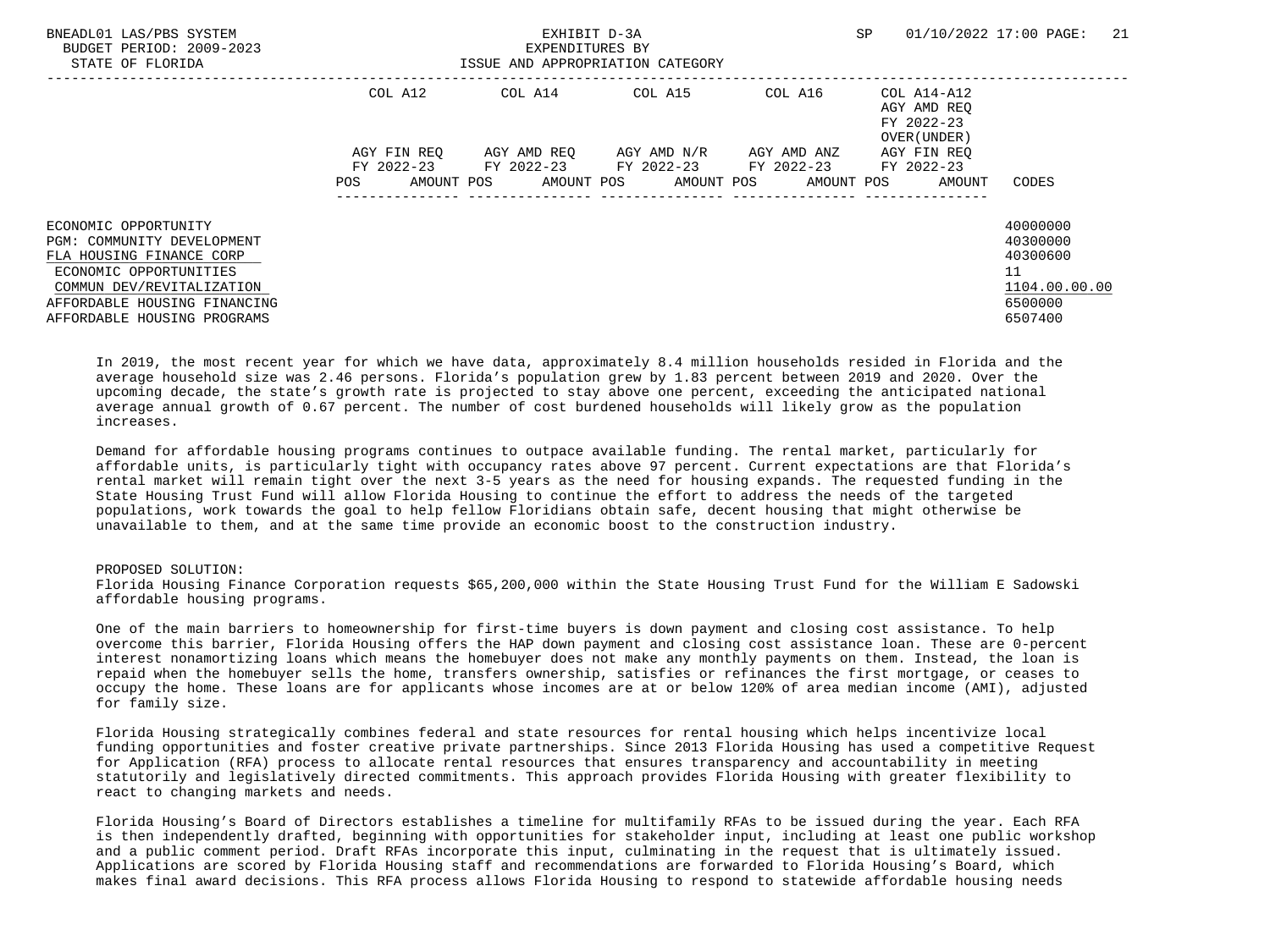| BNEADL01 LAS/PBS SYSTEM<br>BUDGET PERIOD: 2009-2023<br>STATE OF FLORIDA                                                                                               |                                  | EXHIBIT D-3A<br>EXPENDITURES BY<br>ISSUE AND APPROPRIATION CATEGORY |                         | SP                                              | 21<br>01/10/2022 17:00 PAGE:                             |                                                                    |
|-----------------------------------------------------------------------------------------------------------------------------------------------------------------------|----------------------------------|---------------------------------------------------------------------|-------------------------|-------------------------------------------------|----------------------------------------------------------|--------------------------------------------------------------------|
|                                                                                                                                                                       | COL A12                          |                                                                     | COL A14 COL A15         | COL A16                                         | COL A14-A12<br>AGY AMD REO<br>FY 2022-23<br>OVER (UNDER) |                                                                    |
|                                                                                                                                                                       | AGY FIN REO<br>AMOUNT POS<br>POS | FY 2022-23 FY 2022-23 FY 2022-23 FY 2022-23                         | AGY AMD REO AGY AMD N/R | AGY AMD ANZ<br>AMOUNT POS AMOUNT POS AMOUNT POS | AGY FIN REO<br>FY 2022-23<br>AMOUNT                      | CODES                                                              |
| ECONOMIC OPPORTUNITY<br>PGM: COMMUNITY DEVELOPMENT<br>FLA HOUSING FINANCE CORP<br>ECONOMIC OPPORTUNITIES<br>COMMUN DEV/REVITALIZATION<br>AFFORDABLE HOUSING FINANCING |                                  |                                                                     |                         |                                                 |                                                          | 40000000<br>40300000<br>40300600<br>11<br>1104.00.00.00<br>6500000 |
| AFFORDABLE HOUSING PROGRAMS                                                                                                                                           |                                  |                                                                     |                         |                                                 |                                                          | 6507400                                                            |

 In 2019, the most recent year for which we have data, approximately 8.4 million households resided in Florida and the average household size was 2.46 persons. Florida's population grew by 1.83 percent between 2019 and 2020. Over the upcoming decade, the state's growth rate is projected to stay above one percent, exceeding the anticipated national average annual growth of 0.67 percent. The number of cost burdened households will likely grow as the population increases.

 Demand for affordable housing programs continues to outpace available funding. The rental market, particularly for affordable units, is particularly tight with occupancy rates above 97 percent. Current expectations are that Florida's rental market will remain tight over the next 3-5 years as the need for housing expands. The requested funding in the State Housing Trust Fund will allow Florida Housing to continue the effort to address the needs of the targeted populations, work towards the goal to help fellow Floridians obtain safe, decent housing that might otherwise be unavailable to them, and at the same time provide an economic boost to the construction industry.

## PROPOSED SOLUTION:

 Florida Housing Finance Corporation requests \$65,200,000 within the State Housing Trust Fund for the William E Sadowski affordable housing programs.

 One of the main barriers to homeownership for first-time buyers is down payment and closing cost assistance. To help overcome this barrier, Florida Housing offers the HAP down payment and closing cost assistance loan. These are 0-percent interest nonamortizing loans which means the homebuyer does not make any monthly payments on them. Instead, the loan is repaid when the homebuyer sells the home, transfers ownership, satisfies or refinances the first mortgage, or ceases to occupy the home. These loans are for applicants whose incomes are at or below 120% of area median income (AMI), adjusted for family size.

 Florida Housing strategically combines federal and state resources for rental housing which helps incentivize local funding opportunities and foster creative private partnerships. Since 2013 Florida Housing has used a competitive Request for Application (RFA) process to allocate rental resources that ensures transparency and accountability in meeting statutorily and legislatively directed commitments. This approach provides Florida Housing with greater flexibility to react to changing markets and needs.

 Florida Housing's Board of Directors establishes a timeline for multifamily RFAs to be issued during the year. Each RFA is then independently drafted, beginning with opportunities for stakeholder input, including at least one public workshop and a public comment period. Draft RFAs incorporate this input, culminating in the request that is ultimately issued. Applications are scored by Florida Housing staff and recommendations are forwarded to Florida Housing's Board, which makes final award decisions. This RFA process allows Florida Housing to respond to statewide affordable housing needs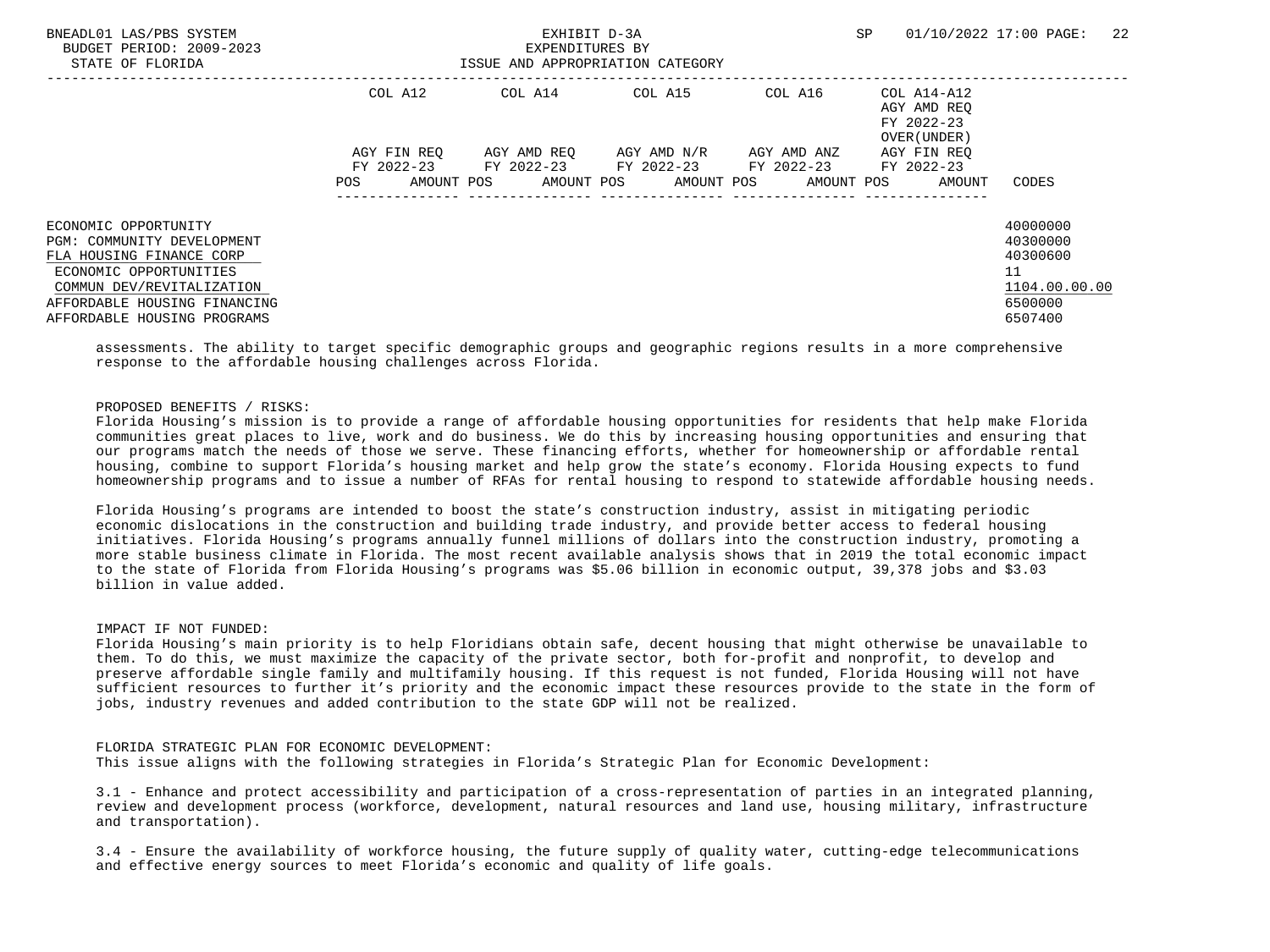| BNEADL01 LAS/PBS SYSTEM<br>BUDGET PERIOD: 2009-2023<br>STATE OF FLORIDA                                                                                                                              |                                  | EXHIBIT D-3A<br>EXPENDITURES BY<br>ISSUE AND APPROPRIATION CATEGORY |                                                              | SP.                                                       | 01/10/2022 17:00 PAGE:<br>22                             |                                                                               |
|------------------------------------------------------------------------------------------------------------------------------------------------------------------------------------------------------|----------------------------------|---------------------------------------------------------------------|--------------------------------------------------------------|-----------------------------------------------------------|----------------------------------------------------------|-------------------------------------------------------------------------------|
|                                                                                                                                                                                                      | COL A12                          | COL A14                                                             | COL A15                                                      | COL A16                                                   | COL A14-A12<br>AGY AMD REO<br>FY 2022-23<br>OVER (UNDER) |                                                                               |
|                                                                                                                                                                                                      | AGY FIN REO<br>AMOUNT POS<br>POS |                                                                     | AGY AMD REO AGY AMD N/R AGY AMD ANZ<br>AMOUNT POS AMOUNT POS | FY 2022-23 FY 2022-23 FY 2022-23 FY 2022-23<br>AMOUNT POS | AGY FIN REO<br>FY 2022-23<br>AMOUNT                      | CODES                                                                         |
| ECONOMIC OPPORTUNITY<br>PGM: COMMUNITY DEVELOPMENT<br>FLA HOUSING FINANCE CORP<br>ECONOMIC OPPORTUNITIES<br>COMMUN DEV/REVITALIZATION<br>AFFORDABLE HOUSING FINANCING<br>AFFORDABLE HOUSING PROGRAMS |                                  |                                                                     |                                                              |                                                           |                                                          | 40000000<br>40300000<br>40300600<br>11<br>1104.00.00.00<br>6500000<br>6507400 |

 assessments. The ability to target specific demographic groups and geographic regions results in a more comprehensive response to the affordable housing challenges across Florida.

## PROPOSED BENEFITS / RISKS:

 Florida Housing's mission is to provide a range of affordable housing opportunities for residents that help make Florida communities great places to live, work and do business. We do this by increasing housing opportunities and ensuring that our programs match the needs of those we serve. These financing efforts, whether for homeownership or affordable rental housing, combine to support Florida's housing market and help grow the state's economy. Florida Housing expects to fund homeownership programs and to issue a number of RFAs for rental housing to respond to statewide affordable housing needs.

 Florida Housing's programs are intended to boost the state's construction industry, assist in mitigating periodic economic dislocations in the construction and building trade industry, and provide better access to federal housing initiatives. Florida Housing's programs annually funnel millions of dollars into the construction industry, promoting a more stable business climate in Florida. The most recent available analysis shows that in 2019 the total economic impact to the state of Florida from Florida Housing's programs was \$5.06 billion in economic output, 39,378 jobs and \$3.03 billion in value added.

## IMPACT IF NOT FUNDED:

 Florida Housing's main priority is to help Floridians obtain safe, decent housing that might otherwise be unavailable to them. To do this, we must maximize the capacity of the private sector, both for-profit and nonprofit, to develop and preserve affordable single family and multifamily housing. If this request is not funded, Florida Housing will not have sufficient resources to further it's priority and the economic impact these resources provide to the state in the form of jobs, industry revenues and added contribution to the state GDP will not be realized.

## FLORIDA STRATEGIC PLAN FOR ECONOMIC DEVELOPMENT:

This issue aligns with the following strategies in Florida's Strategic Plan for Economic Development:

 3.1 - Enhance and protect accessibility and participation of a cross-representation of parties in an integrated planning, review and development process (workforce, development, natural resources and land use, housing military, infrastructure and transportation).

 3.4 - Ensure the availability of workforce housing, the future supply of quality water, cutting-edge telecommunications and effective energy sources to meet Florida's economic and quality of life goals.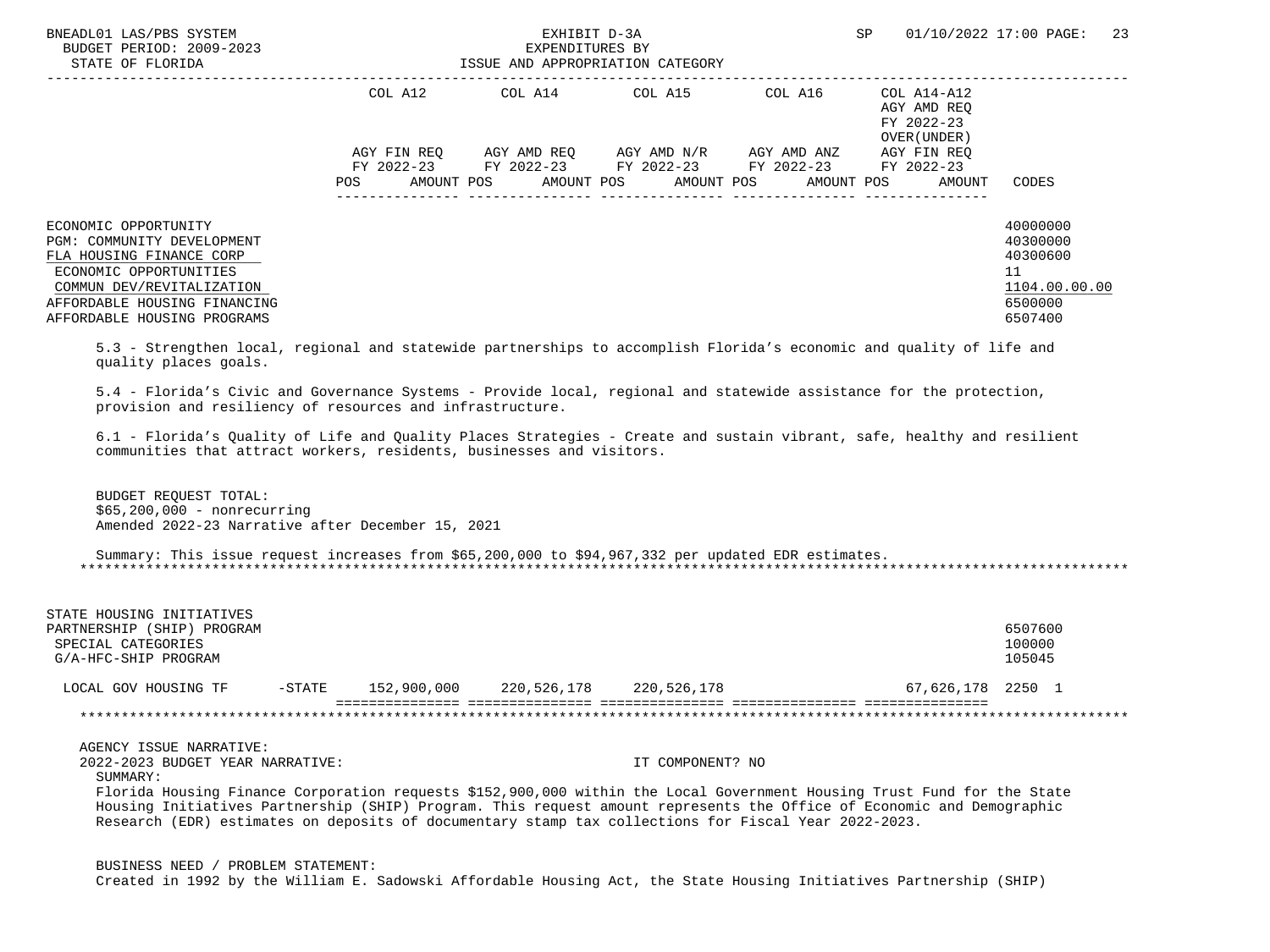| BNEADL01 LAS/PBS SYSTEM<br>BUDGET PERIOD: 2009-2023<br>STATE OF FLORIDA<br>----------------------------                                                                                                                                                                                                                                                                                                                                                                |     | EXHIBIT D-3A<br>EXPENDITURES BY<br>EXPENDITURES BY<br>ISSUE AND APPROPRIATION CATEGORY                                                                                                                                                                          | SP         | 01/10/2022 17:00 PAGE: 23 |                                                     |                                                                               |
|------------------------------------------------------------------------------------------------------------------------------------------------------------------------------------------------------------------------------------------------------------------------------------------------------------------------------------------------------------------------------------------------------------------------------------------------------------------------|-----|-----------------------------------------------------------------------------------------------------------------------------------------------------------------------------------------------------------------------------------------------------------------|------------|---------------------------|-----------------------------------------------------|-------------------------------------------------------------------------------|
|                                                                                                                                                                                                                                                                                                                                                                                                                                                                        | POS | COL A12 COL A14 COL A15 COL A16 COL A14-A12<br>$AGY \text{ FIN REQ} \qquad \text{AGY AMD REQ} \qquad \text{AGY AMD N/R} \qquad \text{AGY AMD ANZ} \qquad \text{AGY FIN REQ}$<br>FY 2022-23 FY 2022-23 FY 2022-23 FY 2022-23 FY 2022-23<br>AMOUNT POS AMOUNT POS | AMOUNT POS | AMOUNT POS                | AGY AMD REO<br>FY 2022-23<br>OVER (UNDER)<br>AMOUNT | CODES                                                                         |
| ECONOMIC OPPORTUNITY<br>PGM: COMMUNITY DEVELOPMENT<br>FLA HOUSING FINANCE CORP<br>ECONOMIC OPPORTUNITIES<br>COMMUN DEV/REVITALIZATION<br>AFFORDABLE HOUSING FINANCING<br>AFFORDABLE HOUSING PROGRAMS<br>5.3 - Strengthen local, regional and statewide partnerships to accomplish Florida's economic and quality of life and                                                                                                                                           |     |                                                                                                                                                                                                                                                                 |            |                           |                                                     | 40000000<br>40300000<br>40300600<br>11<br>1104.00.00.00<br>6500000<br>6507400 |
| quality places goals.<br>5.4 - Florida's Civic and Governance Systems - Provide local, regional and statewide assistance for the protection,<br>provision and resiliency of resources and infrastructure.<br>6.1 - Florida's Quality of Life and Quality Places Strategies - Create and sustain vibrant, safe, healthy and resilient<br>communities that attract workers, residents, businesses and visitors.<br>BUDGET REOUEST TOTAL:<br>$$65,200,000 - nonrecurring$ |     |                                                                                                                                                                                                                                                                 |            |                           |                                                     |                                                                               |
| Amended 2022-23 Narrative after December 15, 2021                                                                                                                                                                                                                                                                                                                                                                                                                      |     |                                                                                                                                                                                                                                                                 |            |                           |                                                     |                                                                               |

 Summary: This issue request increases from \$65,200,000 to \$94,967,332 per updated EDR estimates. \*\*\*\*\*\*\*\*\*\*\*\*\*\*\*\*\*\*\*\*\*\*\*\*\*\*\*\*\*\*\*\*\*\*\*\*\*\*\*\*\*\*\*\*\*\*\*\*\*\*\*\*\*\*\*\*\*\*\*\*\*\*\*\*\*\*\*\*\*\*\*\*\*\*\*\*\*\*\*\*\*\*\*\*\*\*\*\*\*\*\*\*\*\*\*\*\*\*\*\*\*\*\*\*\*\*\*\*\*\*\*\*\*\*\*\*\*\*\*\*\*\*\*\*\*\*\*

| STATE HOUSING INITIATIVES<br>(SHIP)<br>PARTNERSHIP<br>PROGRAM<br>SPECIAL CATEGORIES<br>G/A-HFC-SHIP PROGRAM |           |             |             |             |                   | 6507600<br>100000<br>105045 |
|-------------------------------------------------------------------------------------------------------------|-----------|-------------|-------------|-------------|-------------------|-----------------------------|
| LOCAL GOV HOUSING TF                                                                                        | $-$ STATE | 152,900,000 | 220,526,178 | 220,526,178 | 67,626,178 2250 1 |                             |
|                                                                                                             |           |             |             |             |                   |                             |
| AGENCY ISSUE NARRATIVE:                                                                                     |           |             |             |             |                   |                             |

2022-2023 BUDGET YEAR NARRATIVE: IT COMPONENT? NO

SUMMARY:

 Florida Housing Finance Corporation requests \$152,900,000 within the Local Government Housing Trust Fund for the State Housing Initiatives Partnership (SHIP) Program. This request amount represents the Office of Economic and Demographic Research (EDR) estimates on deposits of documentary stamp tax collections for Fiscal Year 2022-2023.

BUSINESS NEED / PROBLEM STATEMENT:

Created in 1992 by the William E. Sadowski Affordable Housing Act, the State Housing Initiatives Partnership (SHIP)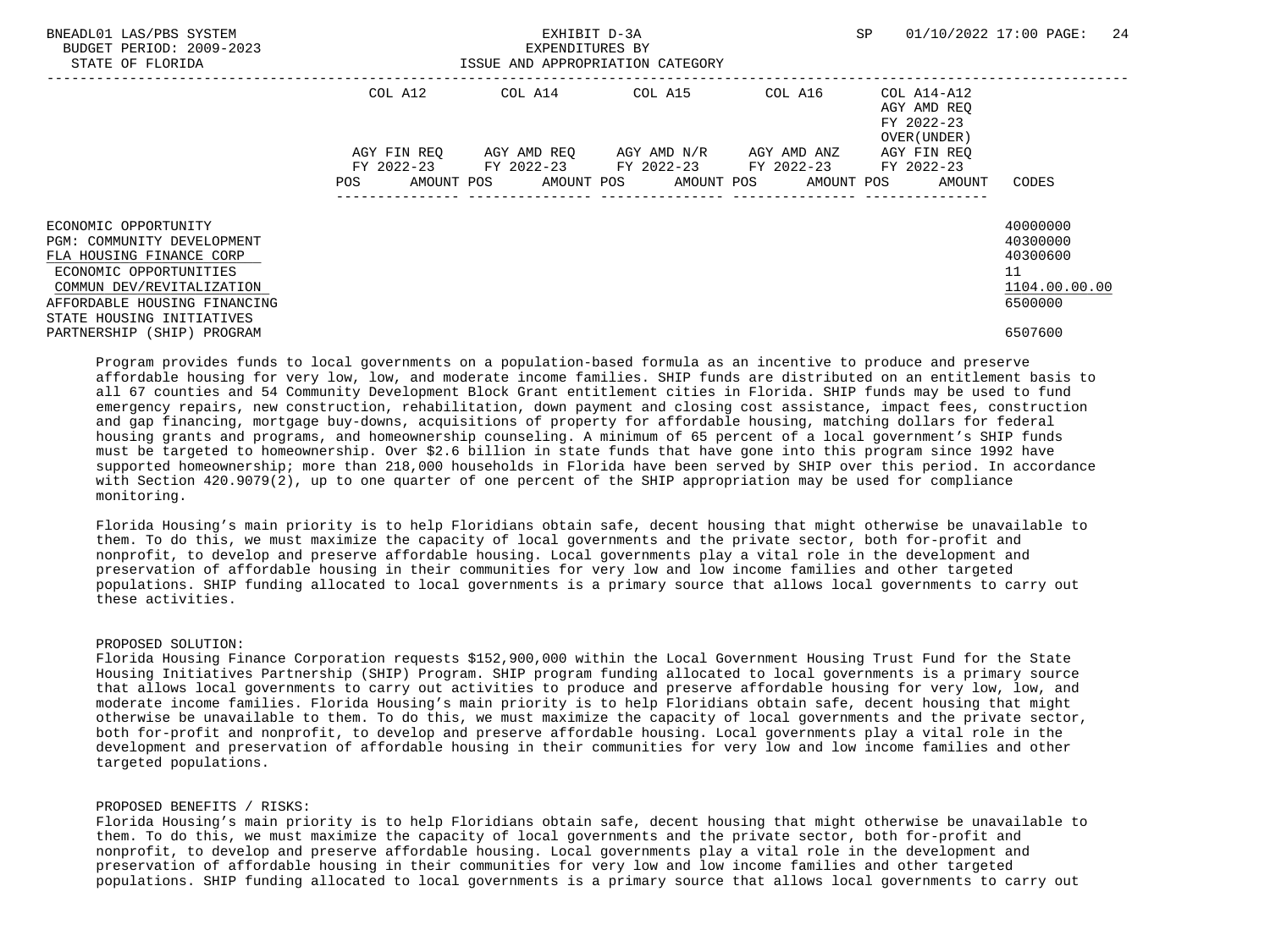| BNEADL01 LAS/PBS SYSTEM<br>BUDGET PERIOD: 2009-2023<br>STATE OF FLORIDA                                  |             | EXPENDITURES BY<br>ISSUE AND APPROPRIATION CATEGORY    | EXHIBIT D-3A                        |         | SP                                                       | 24<br>01/10/2022 17:00 PAGE:           |
|----------------------------------------------------------------------------------------------------------|-------------|--------------------------------------------------------|-------------------------------------|---------|----------------------------------------------------------|----------------------------------------|
|                                                                                                          | COL A12     | COL A14 COL A15                                        |                                     | COL A16 | COL A14-A12<br>AGY AMD REO<br>FY 2022-23<br>OVER (UNDER) |                                        |
|                                                                                                          | AGY FIN REO | FY 2022-23 FY 2022-23 FY 2022-23 FY 2022-23 FY 2022-23 | AGY AMD REO AGY AMD N/R AGY AMD ANZ |         | AGY FIN REO                                              |                                        |
|                                                                                                          | POS         |                                                        |                                     |         | AMOUNT POS AMOUNT POS AMOUNT POS AMOUNT POS AMOUNT       | CODES                                  |
| ECONOMIC OPPORTUNITY<br>PGM: COMMUNITY DEVELOPMENT<br>FLA HOUSING FINANCE CORP<br>ECONOMIC OPPORTUNITIES |             |                                                        |                                     |         |                                                          | 40000000<br>40300000<br>40300600<br>11 |
| COMMUN DEV/REVITALIZATION<br>AFFORDABLE HOUSING FINANCING<br>STATE HOUSING INITIATIVES                   |             |                                                        |                                     |         |                                                          | 1104.00.00.00<br>6500000               |
| PARTNERSHIP (SHIP) PROGRAM                                                                               |             |                                                        |                                     |         |                                                          | 6507600                                |

 Program provides funds to local governments on a population-based formula as an incentive to produce and preserve affordable housing for very low, low, and moderate income families. SHIP funds are distributed on an entitlement basis to all 67 counties and 54 Community Development Block Grant entitlement cities in Florida. SHIP funds may be used to fund emergency repairs, new construction, rehabilitation, down payment and closing cost assistance, impact fees, construction and gap financing, mortgage buy-downs, acquisitions of property for affordable housing, matching dollars for federal housing grants and programs, and homeownership counseling. A minimum of 65 percent of a local government's SHIP funds must be targeted to homeownership. Over \$2.6 billion in state funds that have gone into this program since 1992 have supported homeownership; more than 218,000 households in Florida have been served by SHIP over this period. In accordance with Section 420.9079(2), up to one quarter of one percent of the SHIP appropriation may be used for compliance monitoring.

 Florida Housing's main priority is to help Floridians obtain safe, decent housing that might otherwise be unavailable to them. To do this, we must maximize the capacity of local governments and the private sector, both for-profit and nonprofit, to develop and preserve affordable housing. Local governments play a vital role in the development and preservation of affordable housing in their communities for very low and low income families and other targeted populations. SHIP funding allocated to local governments is a primary source that allows local governments to carry out these activities.

#### PROPOSED SOLUTION:

 Florida Housing Finance Corporation requests \$152,900,000 within the Local Government Housing Trust Fund for the State Housing Initiatives Partnership (SHIP) Program. SHIP program funding allocated to local governments is a primary source that allows local governments to carry out activities to produce and preserve affordable housing for very low, low, and moderate income families. Florida Housing's main priority is to help Floridians obtain safe, decent housing that might otherwise be unavailable to them. To do this, we must maximize the capacity of local governments and the private sector, both for-profit and nonprofit, to develop and preserve affordable housing. Local governments play a vital role in the development and preservation of affordable housing in their communities for very low and low income families and other targeted populations.

## PROPOSED BENEFITS / RISKS:

 Florida Housing's main priority is to help Floridians obtain safe, decent housing that might otherwise be unavailable to them. To do this, we must maximize the capacity of local governments and the private sector, both for-profit and nonprofit, to develop and preserve affordable housing. Local governments play a vital role in the development and preservation of affordable housing in their communities for very low and low income families and other targeted populations. SHIP funding allocated to local governments is a primary source that allows local governments to carry out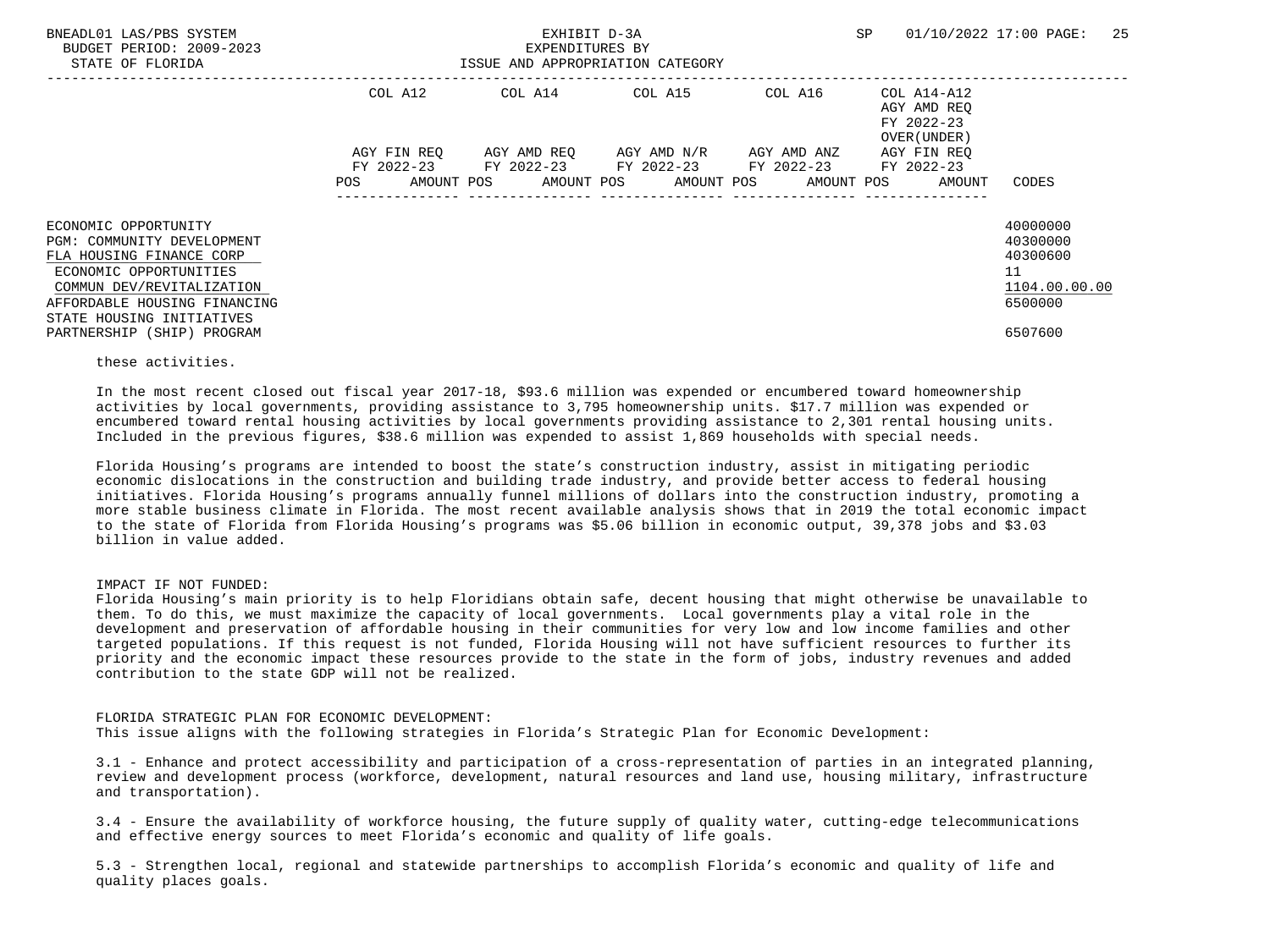| BNEADL01 LAS/PBS SYSTEM<br>BUDGET PERIOD: 2009-2023<br>STATE OF FLORIDA                                                                                                                            |                    | EXHIBIT D-3A<br>EXPENDITURES BY<br>ISSUE AND APPROPRIATION CATEGORY |                                     |         | SP                                                                      | 01/10/2022 17:00 PAGE: 25                                          |
|----------------------------------------------------------------------------------------------------------------------------------------------------------------------------------------------------|--------------------|---------------------------------------------------------------------|-------------------------------------|---------|-------------------------------------------------------------------------|--------------------------------------------------------------------|
|                                                                                                                                                                                                    | COL A12            | COL A14 COL A15                                                     |                                     | COL A16 | COL A14-A12<br>AGY AMD REO<br>FY 2022-23<br>OVER (UNDER)                |                                                                    |
|                                                                                                                                                                                                    | AGY FIN REO<br>POS | FY 2022-23 FY 2022-23 FY 2022-23 FY 2022-23 FY 2022-23              | AGY AMD REO AGY AMD N/R AGY AMD ANZ |         | AGY FIN REO<br>AMOUNT POS AMOUNT POS AMOUNT POS AMOUNT POS AMOUNT CODES |                                                                    |
| ECONOMIC OPPORTUNITY<br>PGM: COMMUNITY DEVELOPMENT<br>FLA HOUSING FINANCE CORP<br>ECONOMIC OPPORTUNITIES<br>COMMUN DEV/REVITALIZATION<br>AFFORDABLE HOUSING FINANCING<br>STATE HOUSING INITIATIVES |                    |                                                                     |                                     |         |                                                                         | 40000000<br>40300000<br>40300600<br>11<br>1104.00.00.00<br>6500000 |
| PARTNERSHIP (SHIP) PROGRAM                                                                                                                                                                         |                    |                                                                     |                                     |         |                                                                         | 6507600                                                            |

these activities.

 In the most recent closed out fiscal year 2017-18, \$93.6 million was expended or encumbered toward homeownership activities by local governments, providing assistance to 3,795 homeownership units. \$17.7 million was expended or encumbered toward rental housing activities by local governments providing assistance to 2,301 rental housing units. Included in the previous figures, \$38.6 million was expended to assist 1,869 households with special needs.

 Florida Housing's programs are intended to boost the state's construction industry, assist in mitigating periodic economic dislocations in the construction and building trade industry, and provide better access to federal housing initiatives. Florida Housing's programs annually funnel millions of dollars into the construction industry, promoting a more stable business climate in Florida. The most recent available analysis shows that in 2019 the total economic impact to the state of Florida from Florida Housing's programs was \$5.06 billion in economic output, 39,378 jobs and \$3.03 billion in value added.

## IMPACT IF NOT FUNDED:

 Florida Housing's main priority is to help Floridians obtain safe, decent housing that might otherwise be unavailable to them. To do this, we must maximize the capacity of local governments. Local governments play a vital role in the development and preservation of affordable housing in their communities for very low and low income families and other targeted populations. If this request is not funded, Florida Housing will not have sufficient resources to further its priority and the economic impact these resources provide to the state in the form of jobs, industry revenues and added contribution to the state GDP will not be realized.

## FLORIDA STRATEGIC PLAN FOR ECONOMIC DEVELOPMENT:

This issue aligns with the following strategies in Florida's Strategic Plan for Economic Development:

 3.1 - Enhance and protect accessibility and participation of a cross-representation of parties in an integrated planning, review and development process (workforce, development, natural resources and land use, housing military, infrastructure and transportation).

 3.4 - Ensure the availability of workforce housing, the future supply of quality water, cutting-edge telecommunications and effective energy sources to meet Florida's economic and quality of life goals.

 5.3 - Strengthen local, regional and statewide partnerships to accomplish Florida's economic and quality of life and quality places goals.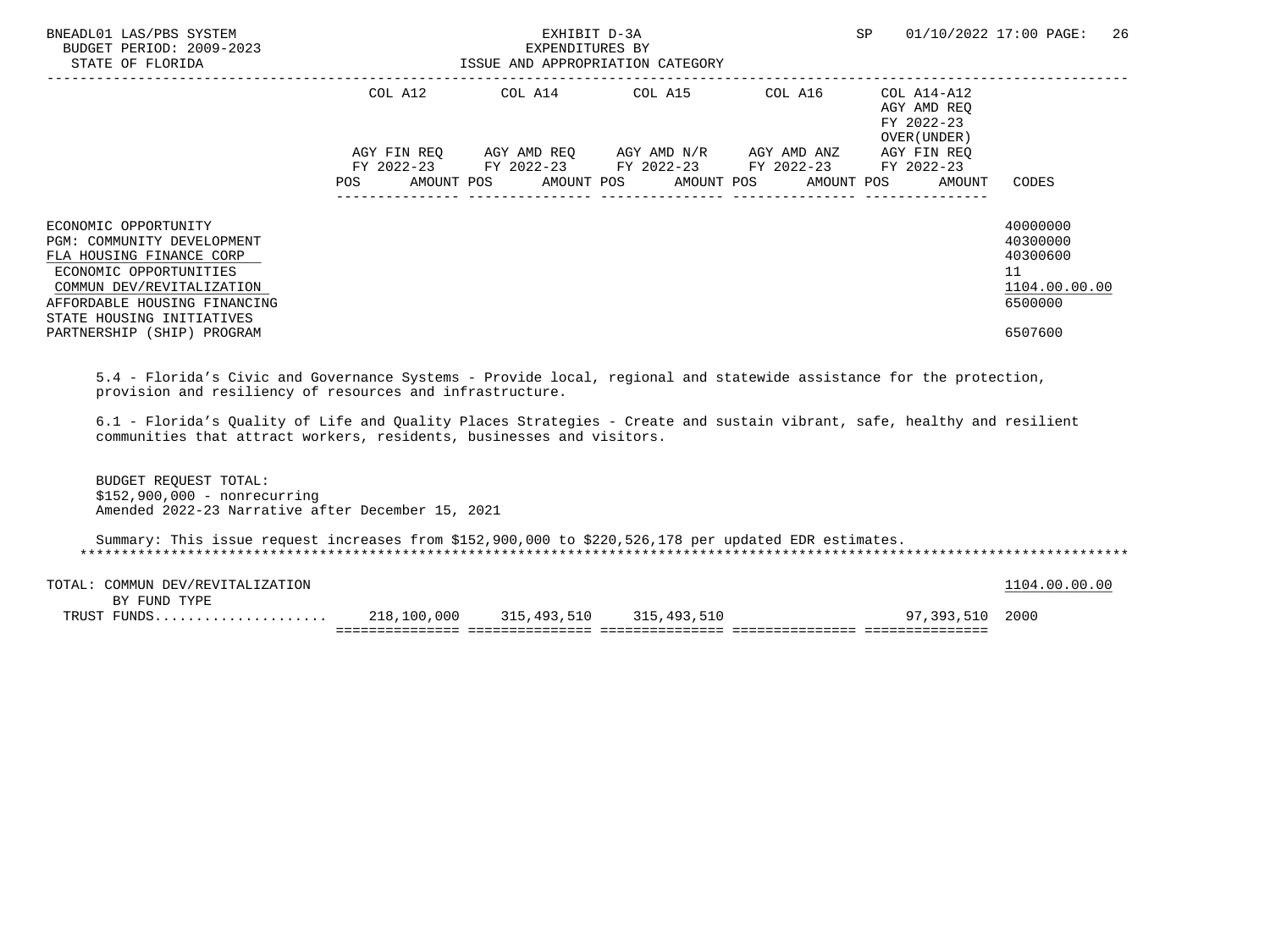| BNEADL01 LAS/PBS SYSTEM<br>BUDGET PERIOD: 2009-2023<br>STATE OF FLORIDA                                                                                                                                                          |                           | EXHIBIT D-3A<br>EXPENDITURES BY<br>ISSUE AND APPROPRIATION CATEGORY                        |                                     |         | SP                                                       | 26<br>01/10/2022 17:00 PAGE:                                                  |
|----------------------------------------------------------------------------------------------------------------------------------------------------------------------------------------------------------------------------------|---------------------------|--------------------------------------------------------------------------------------------|-------------------------------------|---------|----------------------------------------------------------|-------------------------------------------------------------------------------|
|                                                                                                                                                                                                                                  | COL A12                   | COL A14 COL A15                                                                            |                                     | COL A16 | COL A14-A12<br>AGY AMD REO<br>FY 2022-23<br>OVER (UNDER) |                                                                               |
|                                                                                                                                                                                                                                  | AGY FIN REO<br><b>POS</b> | FY 2022-23 FY 2022-23 FY 2022-23 FY 2022-23<br>AMOUNT POS AMOUNT POS AMOUNT POS AMOUNT POS | AGY AMD REO AGY AMD N/R AGY AMD ANZ |         | AGY FIN REQ<br>FY 2022-23<br>AMOUNT                      | CODES                                                                         |
| ECONOMIC OPPORTUNITY<br>PGM: COMMUNITY DEVELOPMENT<br>FLA HOUSING FINANCE CORP<br>ECONOMIC OPPORTUNITIES<br>COMMUN DEV/REVITALIZATION<br>AFFORDABLE HOUSING FINANCING<br>STATE HOUSING INITIATIVES<br>PARTNERSHIP (SHIP) PROGRAM |                           |                                                                                            |                                     |         |                                                          | 40000000<br>40300000<br>40300600<br>11<br>1104.00.00.00<br>6500000<br>6507600 |

 5.4 - Florida's Civic and Governance Systems - Provide local, regional and statewide assistance for the protection, provision and resiliency of resources and infrastructure.

 6.1 - Florida's Quality of Life and Quality Places Strategies - Create and sustain vibrant, safe, healthy and resilient communities that attract workers, residents, businesses and visitors.

 BUDGET REQUEST TOTAL: \$152,900,000 - nonrecurring Amended 2022-23 Narrative after December 15, 2021

 Summary: This issue request increases from \$152,900,000 to \$220,526,178 per updated EDR estimates. \*\*\*\*\*\*\*\*\*\*\*\*\*\*\*\*\*\*\*\*\*\*\*\*\*\*\*\*\*\*\*\*\*\*\*\*\*\*\*\*\*\*\*\*\*\*\*\*\*\*\*\*\*\*\*\*\*\*\*\*\*\*\*\*\*\*\*\*\*\*\*\*\*\*\*\*\*\*\*\*\*\*\*\*\*\*\*\*\*\*\*\*\*\*\*\*\*\*\*\*\*\*\*\*\*\*\*\*\*\*\*\*\*\*\*\*\*\*\*\*\*\*\*\*\*\*\*

| TRIIST |                              | ,100,000<br>218 | 315,493,510 | 315,493,510 | ົ 202<br>0.7 | 2000                 |
|--------|------------------------------|-----------------|-------------|-------------|--------------|----------------------|
|        | FUND TYPE<br><b>RV</b>       |                 |             |             |              |                      |
| TOTAL  | DEV/REVITALIZATION<br>COMMUN |                 |             |             |              | nn nn<br>ററ<br>1 N 4 |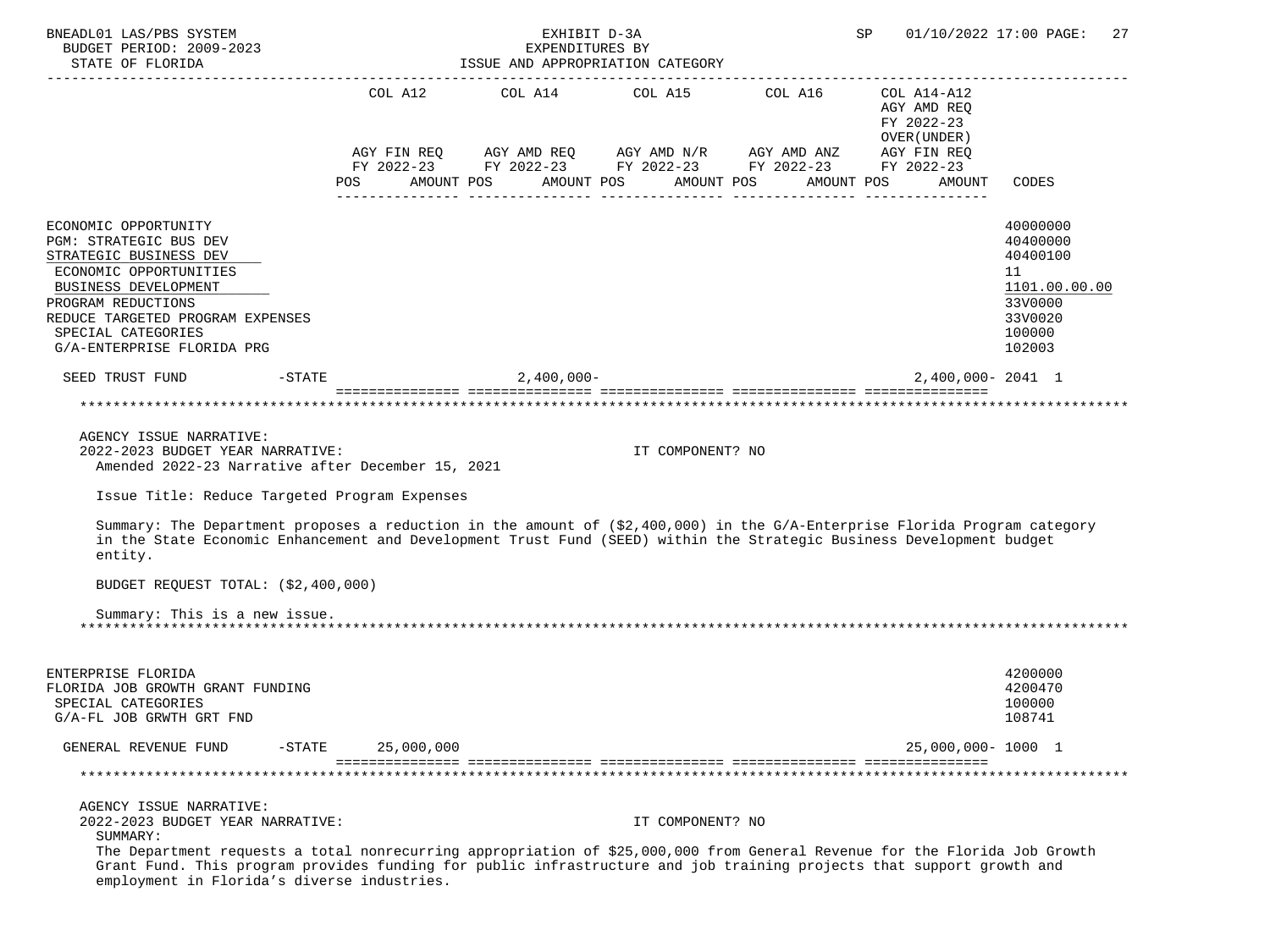| BNEADL01 LAS/PBS SYSTEM<br>BUDGET PERIOD: 2009-2023                                                                                                                                                                                                           |                         | EXHIBIT D-3A<br>EXPENDITURES BY                                           |                       | SP                                         | 01/10/2022 17:00 PAGE:<br>27           |
|---------------------------------------------------------------------------------------------------------------------------------------------------------------------------------------------------------------------------------------------------------------|-------------------------|---------------------------------------------------------------------------|-----------------------|--------------------------------------------|----------------------------------------|
| STATE OF FLORIDA                                                                                                                                                                                                                                              |                         | ISSUE AND APPROPRIATION CATEGORY                                          |                       |                                            |                                        |
|                                                                                                                                                                                                                                                               |                         | COL A12 COL A14 COL A15 COL A16 COL A14-A12                               |                       | AGY AMD REQ<br>FY 2022-23<br>OVER (UNDER ) |                                        |
|                                                                                                                                                                                                                                                               |                         | AGY FIN REQ AGY AMD REQ AGY AMD N/R AGY AMD ANZ AGY FIN REQ               |                       |                                            |                                        |
|                                                                                                                                                                                                                                                               | POS                     | FY 2022-23 FY 2022-23 FY 2022-23 FY 2022-23 FY 2022-23<br>AMOUNT POS      | AMOUNT POS AMOUNT POS | AMOUNT POS<br>AMOUNT                       | CODES                                  |
| ECONOMIC OPPORTUNITY<br>PGM: STRATEGIC BUS DEV<br>STRATEGIC BUSINESS DEV                                                                                                                                                                                      |                         |                                                                           |                       |                                            | 40000000<br>40400000<br>40400100       |
| ECONOMIC OPPORTUNITIES<br>BUSINESS DEVELOPMENT                                                                                                                                                                                                                |                         |                                                                           |                       |                                            | 11<br>1101.00.00.00                    |
| PROGRAM REDUCTIONS<br>REDUCE TARGETED PROGRAM EXPENSES<br>SPECIAL CATEGORIES<br>G/A-ENTERPRISE FLORIDA PRG                                                                                                                                                    |                         |                                                                           |                       |                                            | 33V0000<br>33V0020<br>100000<br>102003 |
| SEED TRUST FUND                                                                                                                                                                                                                                               | -STATE                  | $2,400,000 -$                                                             |                       | 2,400,000-2041 1                           |                                        |
|                                                                                                                                                                                                                                                               |                         | accordinations consultations considerations considerations considerations |                       |                                            |                                        |
| AGENCY ISSUE NARRATIVE:<br>2022-2023 BUDGET YEAR NARRATIVE:<br>Amended 2022-23 Narrative after December 15, 2021                                                                                                                                              |                         |                                                                           | IT COMPONENT? NO      |                                            |                                        |
| Issue Title: Reduce Targeted Program Expenses                                                                                                                                                                                                                 |                         |                                                                           |                       |                                            |                                        |
| Summary: The Department proposes a reduction in the amount of (\$2,400,000) in the G/A-Enterprise Florida Program category<br>in the State Economic Enhancement and Development Trust Fund (SEED) within the Strategic Business Development budget<br>entity. |                         |                                                                           |                       |                                            |                                        |
| BUDGET REQUEST TOTAL: (\$2,400,000)                                                                                                                                                                                                                           |                         |                                                                           |                       |                                            |                                        |
| Summary: This is a new issue.                                                                                                                                                                                                                                 |                         |                                                                           |                       |                                            |                                        |
| ENTERPRISE FLORIDA<br>FLORIDA JOB GROWTH GRANT FUNDING<br>SPECIAL CATEGORIES<br>G/A-FL JOB GRWTH GRT FND                                                                                                                                                      |                         |                                                                           |                       |                                            | 4200000<br>4200470<br>100000<br>108741 |
| GENERAL REVENUE FUND                                                                                                                                                                                                                                          | 25,000,000<br>$-$ STATE |                                                                           |                       | 25,000,000-1000 1                          |                                        |
|                                                                                                                                                                                                                                                               |                         |                                                                           |                       |                                            |                                        |
| AGENCY ISSUE NARRATIVE:<br>2022-2023 BUDGET YEAR NARRATIVE:<br>SUMMARY:<br>The Department requests a total nonrecurring appropriation of \$25,000,000 from General Revenue for the Florida Job Growth                                                         |                         |                                                                           | IT COMPONENT? NO      |                                            |                                        |
| Grant Fund. This program provides funding for public infrastructure and job training projects that support growth and<br>employment in Florida's diverse industries.                                                                                          |                         |                                                                           |                       |                                            |                                        |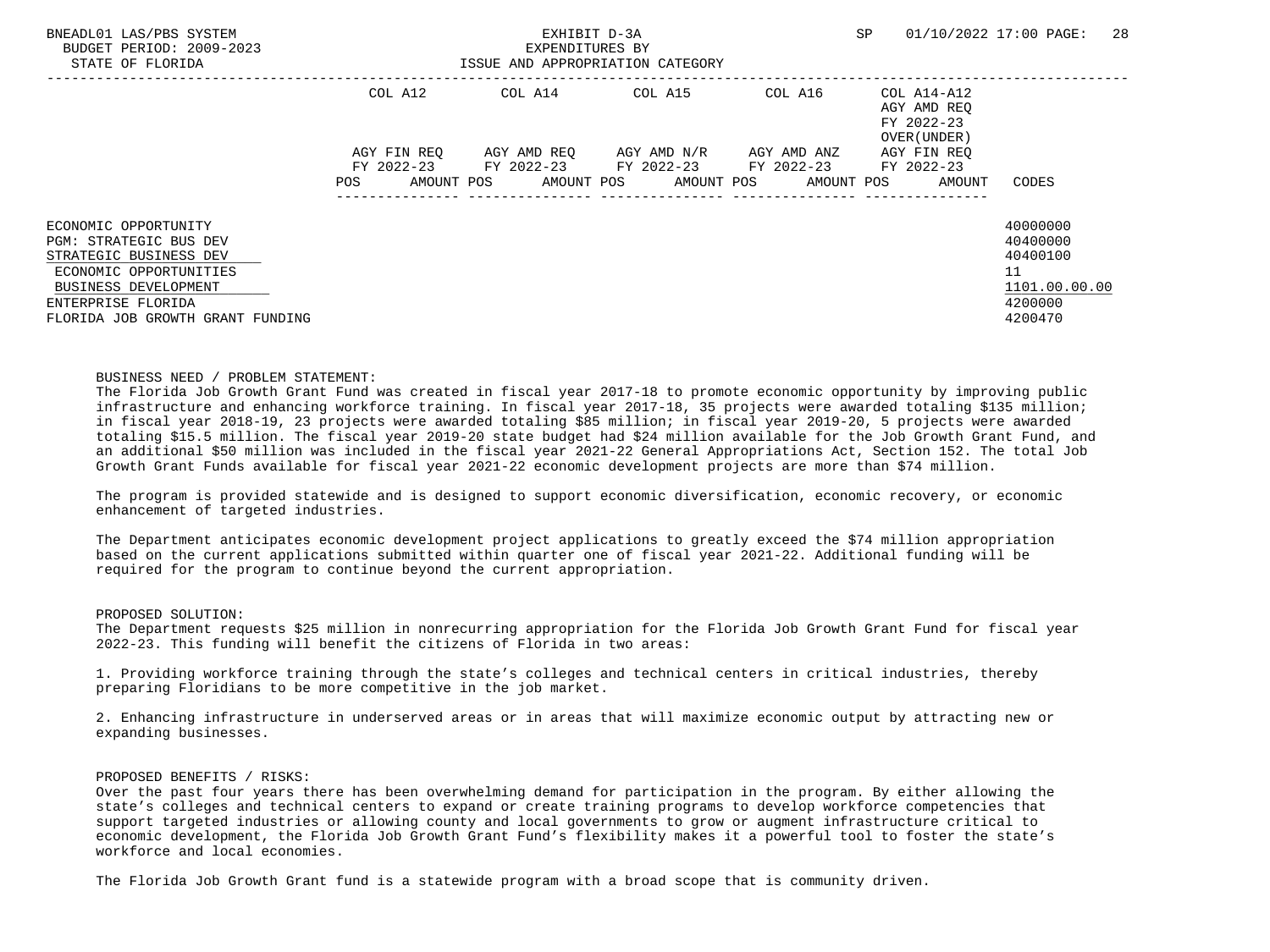| BNEADL01 LAS/PBS SYSTEM<br>BUDGET PERIOD: 2009-2023<br>STATE OF FLORIDA | EXHIBIT D-3A<br>EXPENDITURES BY<br>ISSUE AND APPROPRIATION CATEGORY |             |  |                                             |  |                                  |  |             | <b>SP</b> |                                                          | 01/10/2022 17:00 PAGE: | 28 |
|-------------------------------------------------------------------------|---------------------------------------------------------------------|-------------|--|---------------------------------------------|--|----------------------------------|--|-------------|-----------|----------------------------------------------------------|------------------------|----|
|                                                                         |                                                                     | COL A12     |  | COL A14                                     |  | COL A15                          |  | COL A16     |           | COL A14-A12<br>AGY AMD REO<br>FY 2022-23<br>OVER (UNDER) |                        |    |
|                                                                         |                                                                     | AGY FIN REO |  | AGY AMD REO AGY AMD N/R                     |  |                                  |  | AGY AMD ANZ |           | AGY FIN REO                                              |                        |    |
|                                                                         | POS                                                                 | AMOUNT POS  |  | FY 2022-23 FY 2022-23 FY 2022-23 FY 2022-23 |  | AMOUNT POS AMOUNT POS AMOUNT POS |  |             |           | FY 2022-23<br>AMOUNT                                     | CODES                  |    |
|                                                                         |                                                                     |             |  |                                             |  |                                  |  |             |           |                                                          |                        |    |
| ECONOMIC OPPORTUNITY                                                    |                                                                     |             |  |                                             |  |                                  |  |             |           |                                                          | 40000000               |    |
| PGM: STRATEGIC BUS DEV                                                  |                                                                     |             |  |                                             |  |                                  |  |             |           |                                                          | 40400000               |    |
| STRATEGIC BUSINESS DEV                                                  |                                                                     |             |  |                                             |  |                                  |  |             |           |                                                          | 40400100               |    |
| ECONOMIC OPPORTUNITIES                                                  |                                                                     |             |  |                                             |  |                                  |  |             |           |                                                          | 11                     |    |
| BUSINESS DEVELOPMENT                                                    |                                                                     |             |  |                                             |  |                                  |  |             |           |                                                          | 1101.00.00.00          |    |
| ENTERPRISE FLORIDA                                                      |                                                                     |             |  |                                             |  |                                  |  |             |           |                                                          | 4200000                |    |
| FLORIDA JOB GROWTH GRANT FUNDING                                        |                                                                     |             |  |                                             |  |                                  |  |             |           |                                                          | 4200470                |    |

#### BUSINESS NEED / PROBLEM STATEMENT:

 The Florida Job Growth Grant Fund was created in fiscal year 2017-18 to promote economic opportunity by improving public infrastructure and enhancing workforce training. In fiscal year 2017-18, 35 projects were awarded totaling \$135 million; in fiscal year 2018-19, 23 projects were awarded totaling \$85 million; in fiscal year 2019-20, 5 projects were awarded totaling \$15.5 million. The fiscal year 2019-20 state budget had \$24 million available for the Job Growth Grant Fund, and an additional \$50 million was included in the fiscal year 2021-22 General Appropriations Act, Section 152. The total Job Growth Grant Funds available for fiscal year 2021-22 economic development projects are more than \$74 million.

 The program is provided statewide and is designed to support economic diversification, economic recovery, or economic enhancement of targeted industries.

 The Department anticipates economic development project applications to greatly exceed the \$74 million appropriation based on the current applications submitted within quarter one of fiscal year 2021-22. Additional funding will be required for the program to continue beyond the current appropriation.

## PROPOSED SOLUTION:

 The Department requests \$25 million in nonrecurring appropriation for the Florida Job Growth Grant Fund for fiscal year 2022-23. This funding will benefit the citizens of Florida in two areas:

 1. Providing workforce training through the state's colleges and technical centers in critical industries, thereby preparing Floridians to be more competitive in the job market.

 2. Enhancing infrastructure in underserved areas or in areas that will maximize economic output by attracting new or expanding businesses.

# PROPOSED BENEFITS / RISKS:

 Over the past four years there has been overwhelming demand for participation in the program. By either allowing the state's colleges and technical centers to expand or create training programs to develop workforce competencies that support targeted industries or allowing county and local governments to grow or augment infrastructure critical to economic development, the Florida Job Growth Grant Fund's flexibility makes it a powerful tool to foster the state's workforce and local economies.

The Florida Job Growth Grant fund is a statewide program with a broad scope that is community driven.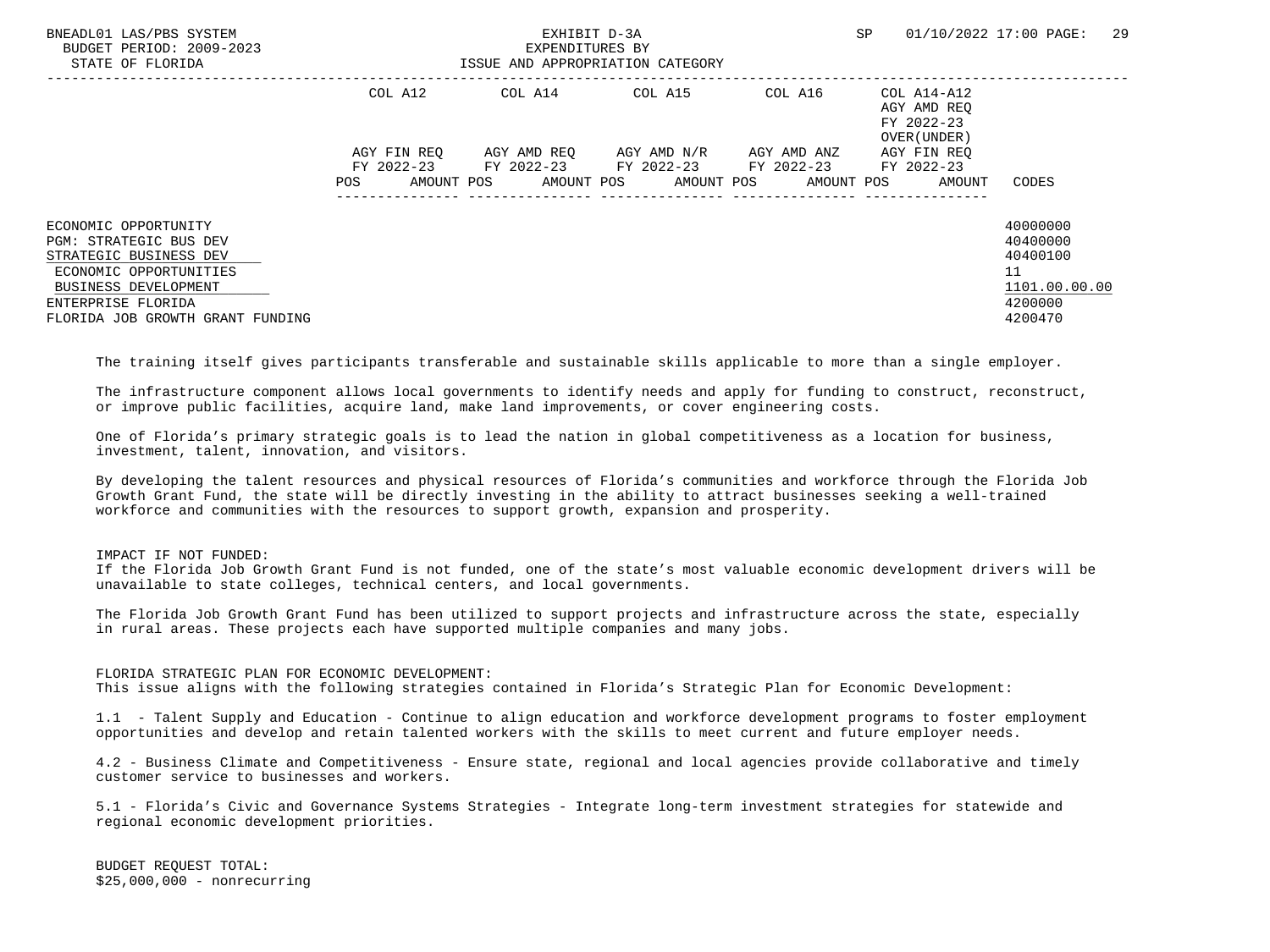| BNEADL01 LAS/PBS SYSTEM<br>BUDGET PERIOD: 2009-2023<br>STATE OF FLORIDA | EXHIBIT D-3A<br>EXPENDITURES BY<br>ISSUE AND APPROPRIATION CATEGORY |  |                       |  |  |                                             | SP |                                           | 01/10/2022 17:00 PAGE: | 29 |
|-------------------------------------------------------------------------|---------------------------------------------------------------------|--|-----------------------|--|--|---------------------------------------------|----|-------------------------------------------|------------------------|----|
|                                                                         | COL A12                                                             |  |                       |  |  |                                             |    | AGY AMD REO<br>FY 2022-23<br>OVER (UNDER) |                        |    |
|                                                                         | AGY FIN REO                                                         |  |                       |  |  | AGY AMD REO AGY AMD N/R AGY AMD ANZ         |    | AGY FIN REO                               |                        |    |
|                                                                         |                                                                     |  | FY 2022-23 FY 2022-23 |  |  | FY 2022-23 FY 2022-23                       |    | FY 2022-23                                |                        |    |
|                                                                         | POS                                                                 |  |                       |  |  | AMOUNT POS AMOUNT POS AMOUNT POS AMOUNT POS |    | AMOUNT                                    | CODES                  |    |
| ECONOMIC OPPORTUNITY                                                    |                                                                     |  |                       |  |  |                                             |    |                                           | 40000000               |    |
| PGM: STRATEGIC BUS DEV                                                  |                                                                     |  |                       |  |  |                                             |    |                                           | 40400000               |    |
| STRATEGIC BUSINESS DEV                                                  |                                                                     |  |                       |  |  |                                             |    |                                           | 40400100               |    |
| ECONOMIC OPPORTUNITIES                                                  |                                                                     |  |                       |  |  |                                             |    |                                           | 11                     |    |
| BUSINESS DEVELOPMENT                                                    |                                                                     |  |                       |  |  |                                             |    |                                           | 1101.00.00.00          |    |
| ENTERPRISE FLORIDA                                                      |                                                                     |  |                       |  |  |                                             |    |                                           | 4200000                |    |
| FLORIDA JOB GROWTH GRANT FUNDING                                        |                                                                     |  |                       |  |  |                                             |    |                                           | 4200470                |    |

The training itself gives participants transferable and sustainable skills applicable to more than a single employer.

 The infrastructure component allows local governments to identify needs and apply for funding to construct, reconstruct, or improve public facilities, acquire land, make land improvements, or cover engineering costs.

 One of Florida's primary strategic goals is to lead the nation in global competitiveness as a location for business, investment, talent, innovation, and visitors.

 By developing the talent resources and physical resources of Florida's communities and workforce through the Florida Job Growth Grant Fund, the state will be directly investing in the ability to attract businesses seeking a well-trained workforce and communities with the resources to support growth, expansion and prosperity.

IMPACT IF NOT FUNDED:

 If the Florida Job Growth Grant Fund is not funded, one of the state's most valuable economic development drivers will be unavailable to state colleges, technical centers, and local governments.

 The Florida Job Growth Grant Fund has been utilized to support projects and infrastructure across the state, especially in rural areas. These projects each have supported multiple companies and many jobs.

 FLORIDA STRATEGIC PLAN FOR ECONOMIC DEVELOPMENT: This issue aligns with the following strategies contained in Florida's Strategic Plan for Economic Development:

 1.1 - Talent Supply and Education - Continue to align education and workforce development programs to foster employment opportunities and develop and retain talented workers with the skills to meet current and future employer needs.

 4.2 - Business Climate and Competitiveness - Ensure state, regional and local agencies provide collaborative and timely customer service to businesses and workers.

 5.1 - Florida's Civic and Governance Systems Strategies - Integrate long-term investment strategies for statewide and regional economic development priorities.

 BUDGET REQUEST TOTAL: \$25,000,000 - nonrecurring